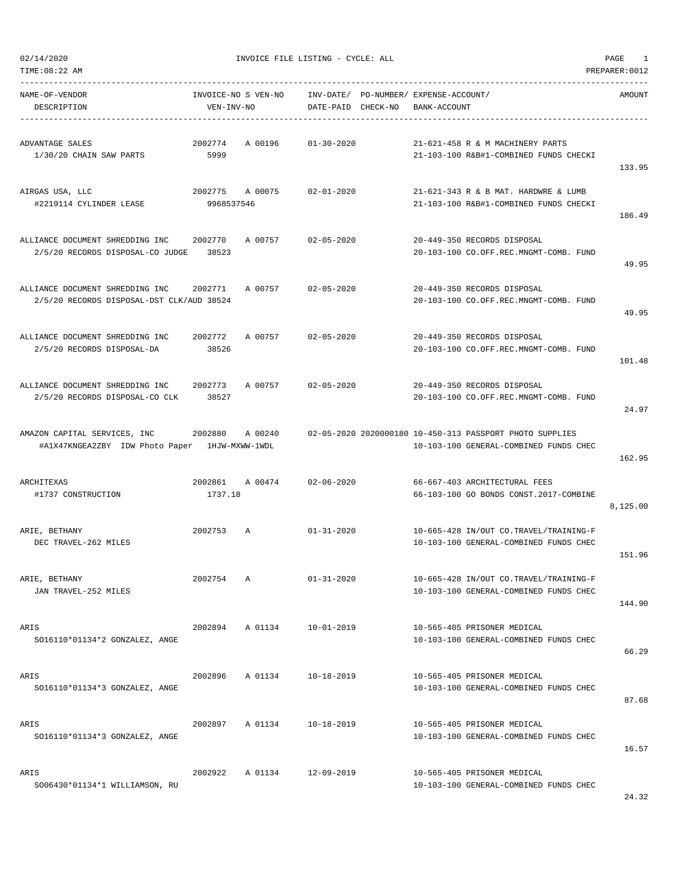| TIME:08:22 AM                                                                  |                       |                     |                    |                                                       |                                                                                                    | PREPARER: 0012 |
|--------------------------------------------------------------------------------|-----------------------|---------------------|--------------------|-------------------------------------------------------|----------------------------------------------------------------------------------------------------|----------------|
| NAME-OF-VENDOR<br>DESCRIPTION                                                  | VEN-INV-NO            | INVOICE-NO S VEN-NO | DATE-PAID CHECK-NO | INV-DATE/ PO-NUMBER/ EXPENSE-ACCOUNT/<br>BANK-ACCOUNT |                                                                                                    | AMOUNT         |
| ADVANTAGE SALES<br>1/30/20 CHAIN SAW PARTS                                     | 2002774<br>5999       | A 00196             | $01 - 30 - 2020$   |                                                       | 21-621-458 R & M MACHINERY PARTS<br>21-103-100 R&B#1-COMBINED FUNDS CHECKI                         | 133.95         |
| AIRGAS USA, LLC<br>#2219114 CYLINDER LEASE                                     | 2002775<br>9968537546 | A 00075             | $02 - 01 - 2020$   |                                                       | 21-621-343 R & B MAT. HARDWRE & LUMB<br>21-103-100 R&B#1-COMBINED FUNDS CHECKI                     | 186.49         |
| ALLIANCE DOCUMENT SHREDDING INC<br>2/5/20 RECORDS DISPOSAL-CO JUDGE            | 2002770<br>38523      | A 00757             | $02 - 05 - 2020$   |                                                       | 20-449-350 RECORDS DISPOSAL<br>20-103-100 CO.OFF.REC.MNGMT-COMB. FUND                              | 49.95          |
| ALLIANCE DOCUMENT SHREDDING INC<br>2/5/20 RECORDS DISPOSAL-DST CLK/AUD 38524   | 2002771               | A 00757             | $02 - 05 - 2020$   |                                                       | 20-449-350 RECORDS DISPOSAL<br>20-103-100 CO.OFF.REC.MNGMT-COMB. FUND                              | 49.95          |
| ALLIANCE DOCUMENT SHREDDING INC.<br>2/5/20 RECORDS DISPOSAL-DA                 | 2002772<br>38526      | A 00757             | $02 - 05 - 2020$   |                                                       | 20-449-350 RECORDS DISPOSAL<br>20-103-100 CO.OFF.REC.MNGMT-COMB. FUND                              | 101.48         |
| ALLIANCE DOCUMENT SHREDDING INC<br>2/5/20 RECORDS DISPOSAL-CO CLK              | 2002773<br>38527      | A 00757             | $02 - 05 - 2020$   |                                                       | 20-449-350 RECORDS DISPOSAL<br>20-103-100 CO.OFF.REC.MNGMT-COMB. FUND                              | 24.97          |
| AMAZON CAPITAL SERVICES, INC<br>#A1X47KNGEA2ZBY IDW Photo Paper 1HJW-MXWW-1WDL | 2002880               | A 00240             |                    |                                                       | 02-05-2020 2020000180 10-450-313 PASSPORT PHOTO SUPPLIES<br>10-103-100 GENERAL-COMBINED FUNDS CHEC | 162.95         |
| ARCHITEXAS<br>#1737 CONSTRUCTION                                               | 2002861<br>1737.18    | A 00474             | $02 - 06 - 2020$   |                                                       | 66-667-403 ARCHITECTURAL FEES<br>66-103-100 GO BONDS CONST.2017-COMBINE                            | 8,125.00       |
| ARIE, BETHANY<br>DEC TRAVEL-262 MILES                                          | 2002753               | Α                   | $01 - 31 - 2020$   |                                                       | 10-665-428 IN/OUT CO.TRAVEL/TRAINING-F<br>10-103-100 GENERAL-COMBINED FUNDS CHEC                   | 151.96         |
| ARIE, BETHANY<br>JAN TRAVEL-252 MILES                                          | 2002754               | Α                   | $01 - 31 - 2020$   |                                                       | 10-665-428 IN/OUT CO.TRAVEL/TRAINING-F<br>10-103-100 GENERAL-COMBINED FUNDS CHEC                   | 144.90         |
| ARIS<br>SO16110*01134*2 GONZALEZ, ANGE                                         | 2002894               | A 01134             | $10 - 01 - 2019$   |                                                       | 10-565-405 PRISONER MEDICAL<br>10-103-100 GENERAL-COMBINED FUNDS CHEC                              | 66.29          |
| ARIS<br>SO16110*01134*3 GONZALEZ, ANGE                                         | 2002896               | A 01134             | $10 - 18 - 2019$   |                                                       | 10-565-405 PRISONER MEDICAL<br>10-103-100 GENERAL-COMBINED FUNDS CHEC                              | 87.68          |
| ARIS<br>SO16110*01134*3 GONZALEZ, ANGE                                         | 2002897               | A 01134             | $10 - 18 - 2019$   |                                                       | 10-565-405 PRISONER MEDICAL<br>10-103-100 GENERAL-COMBINED FUNDS CHEC                              | 16.57          |
| ARIS<br>SO06430*01134*1 WILLIAMSON, RU                                         | 2002922               | A 01134             | 12-09-2019         |                                                       | 10-565-405 PRISONER MEDICAL<br>10-103-100 GENERAL-COMBINED FUNDS CHEC                              |                |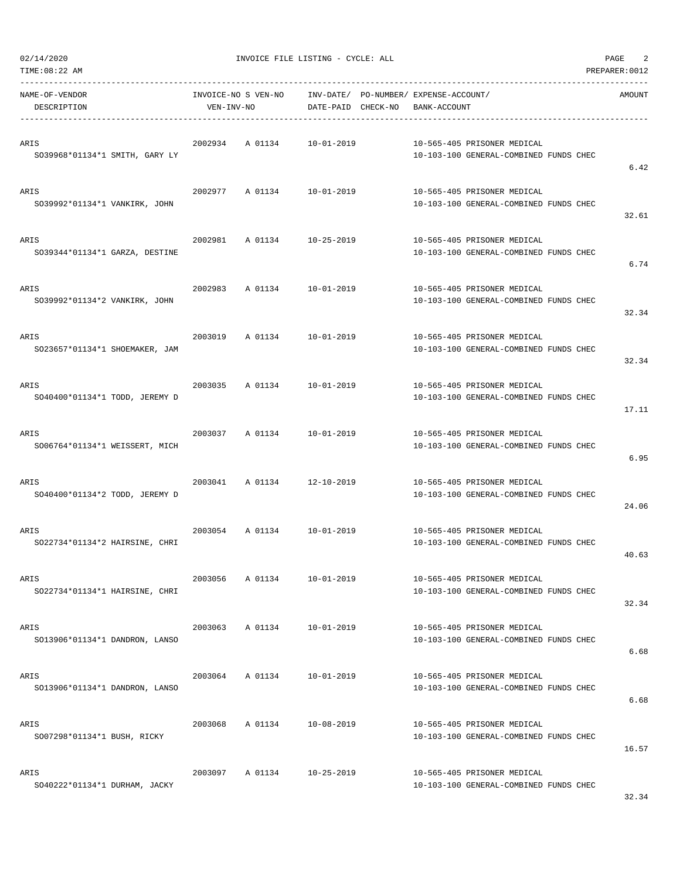| 02/14/2020 |  |
|------------|--|
|            |  |

| TIME:08:22 AM                          |            |                     |                    |                                                                       | PREPARER: 0012 |
|----------------------------------------|------------|---------------------|--------------------|-----------------------------------------------------------------------|----------------|
| NAME-OF-VENDOR<br>DESCRIPTION          | VEN-INV-NO | INVOICE-NO S VEN-NO | DATE-PAID CHECK-NO | INV-DATE/ PO-NUMBER/ EXPENSE-ACCOUNT/<br>BANK-ACCOUNT                 | AMOUNT         |
| ARIS<br>SO39968*01134*1 SMITH, GARY LY | 2002934    | A 01134             | $10 - 01 - 2019$   | 10-565-405 PRISONER MEDICAL<br>10-103-100 GENERAL-COMBINED FUNDS CHEC | 6.42           |
| ARIS<br>SO39992*01134*1 VANKIRK, JOHN  | 2002977    | A 01134             | 10-01-2019         | 10-565-405 PRISONER MEDICAL<br>10-103-100 GENERAL-COMBINED FUNDS CHEC | 32.61          |
| ARIS<br>SO39344*01134*1 GARZA, DESTINE | 2002981    | A 01134             | $10 - 25 - 2019$   | 10-565-405 PRISONER MEDICAL<br>10-103-100 GENERAL-COMBINED FUNDS CHEC |                |
| ARIS<br>SO39992*01134*2 VANKIRK, JOHN  | 2002983    | A 01134             | $10 - 01 - 2019$   | 10-565-405 PRISONER MEDICAL<br>10-103-100 GENERAL-COMBINED FUNDS CHEC | 6.74           |
| ARIS<br>SO23657*01134*1 SHOEMAKER, JAM | 2003019    | A 01134             | $10 - 01 - 2019$   | 10-565-405 PRISONER MEDICAL<br>10-103-100 GENERAL-COMBINED FUNDS CHEC | 32.34          |
| ARIS<br>SO40400*01134*1 TODD, JEREMY D | 2003035    | A 01134             | $10 - 01 - 2019$   | 10-565-405 PRISONER MEDICAL<br>10-103-100 GENERAL-COMBINED FUNDS CHEC | 32.34<br>17.11 |
| ARIS<br>SO06764*01134*1 WEISSERT, MICH | 2003037    | A 01134             | 10-01-2019         | 10-565-405 PRISONER MEDICAL<br>10-103-100 GENERAL-COMBINED FUNDS CHEC | 6.95           |
| ARIS<br>SO40400*01134*2 TODD, JEREMY D | 2003041    | A 01134             | $12 - 10 - 2019$   | 10-565-405 PRISONER MEDICAL<br>10-103-100 GENERAL-COMBINED FUNDS CHEC | 24.06          |
| ARIS<br>SO22734*01134*2 HAIRSINE, CHRI | 2003054    | A 01134             | $10 - 01 - 2019$   | 10-565-405 PRISONER MEDICAL<br>10-103-100 GENERAL-COMBINED FUNDS CHEC | 40.63          |
| ARIS<br>SO22734*01134*1 HAIRSINE, CHRI | 2003056    | A 01134             | $10 - 01 - 2019$   | 10-565-405 PRISONER MEDICAL<br>10-103-100 GENERAL-COMBINED FUNDS CHEC | 32.34          |
| ARIS<br>SO13906*01134*1 DANDRON, LANSO | 2003063    | A 01134             | $10 - 01 - 2019$   | 10-565-405 PRISONER MEDICAL<br>10-103-100 GENERAL-COMBINED FUNDS CHEC | 6.68           |
| ARIS<br>SO13906*01134*1 DANDRON, LANSO | 2003064    | A 01134             | $10 - 01 - 2019$   | 10-565-405 PRISONER MEDICAL<br>10-103-100 GENERAL-COMBINED FUNDS CHEC | 6.68           |
| ARIS<br>SO07298*01134*1 BUSH, RICKY    | 2003068    | A 01134             | $10 - 08 - 2019$   | 10-565-405 PRISONER MEDICAL<br>10-103-100 GENERAL-COMBINED FUNDS CHEC | 16.57          |
| ARIS<br>SO40222*01134*1 DURHAM, JACKY  | 2003097    | A 01134             | $10 - 25 - 2019$   | 10-565-405 PRISONER MEDICAL<br>10-103-100 GENERAL-COMBINED FUNDS CHEC |                |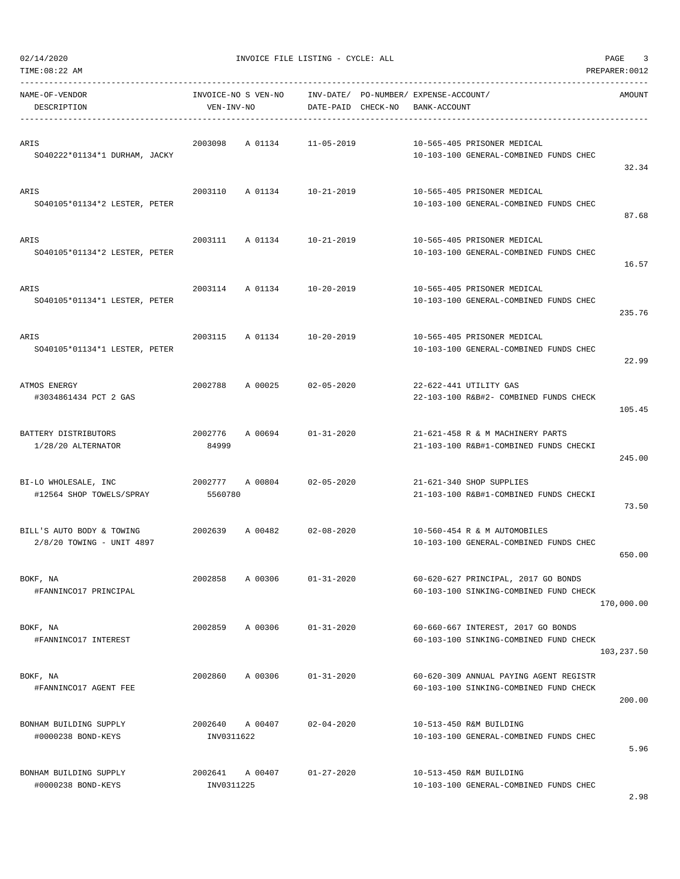| 02/14/2020 |  |
|------------|--|
|            |  |

| TIME:08:22 AM                                          |                       |                     |                                 |                                             |                                                                                  | PREPARER: 0012 |
|--------------------------------------------------------|-----------------------|---------------------|---------------------------------|---------------------------------------------|----------------------------------------------------------------------------------|----------------|
| NAME-OF-VENDOR<br>DESCRIPTION                          | VEN-INV-NO            | INVOICE-NO S VEN-NO | INV-DATE/<br>DATE-PAID CHECK-NO | PO-NUMBER/ EXPENSE-ACCOUNT/<br>BANK-ACCOUNT |                                                                                  | AMOUNT         |
| ARIS<br>SO40222*01134*1 DURHAM, JACKY                  | 2003098               | A 01134             | $11 - 05 - 2019$                |                                             | 10-565-405 PRISONER MEDICAL<br>10-103-100 GENERAL-COMBINED FUNDS CHEC            | 32.34          |
| ARIS<br>SO40105*01134*2 LESTER, PETER                  | 2003110               | A 01134             | 10-21-2019                      |                                             | 10-565-405 PRISONER MEDICAL<br>10-103-100 GENERAL-COMBINED FUNDS CHEC            | 87.68          |
| ARIS<br>SO40105*01134*2 LESTER, PETER                  | 2003111               | A 01134             | $10 - 21 - 2019$                |                                             | 10-565-405 PRISONER MEDICAL<br>10-103-100 GENERAL-COMBINED FUNDS CHEC            | 16.57          |
| ARIS<br>SO40105*01134*1 LESTER, PETER                  | 2003114               | A 01134             | 10-20-2019                      |                                             | 10-565-405 PRISONER MEDICAL<br>10-103-100 GENERAL-COMBINED FUNDS CHEC            | 235.76         |
| ARIS<br>SO40105*01134*1 LESTER, PETER                  | 2003115               | A 01134             | $10 - 20 - 2019$                |                                             | 10-565-405 PRISONER MEDICAL<br>10-103-100 GENERAL-COMBINED FUNDS CHEC            | 22.99          |
| ATMOS ENERGY<br>#3034861434 PCT 2 GAS                  | 2002788               | A 00025             | $02 - 05 - 2020$                |                                             | 22-622-441 UTILITY GAS<br>22-103-100 R&B#2- COMBINED FUNDS CHECK                 | 105.45         |
| BATTERY DISTRIBUTORS<br>1/28/20 ALTERNATOR             | 2002776<br>84999      | A 00694             | $01 - 31 - 2020$                |                                             | 21-621-458 R & M MACHINERY PARTS<br>21-103-100 R&B#1-COMBINED FUNDS CHECKI       | 245.00         |
| BI-LO WHOLESALE, INC<br>#12564 SHOP TOWELS/SPRAY       | 2002777<br>5560780    | A 00804             | $02 - 05 - 2020$                |                                             | 21-621-340 SHOP SUPPLIES<br>21-103-100 R&B#1-COMBINED FUNDS CHECKI               | 73.50          |
| BILL'S AUTO BODY & TOWING<br>2/8/20 TOWING - UNIT 4897 | 2002639               | A 00482             | $02 - 08 - 2020$                |                                             | 10-560-454 R & M AUTOMOBILES<br>10-103-100 GENERAL-COMBINED FUNDS CHEC           | 650.00         |
| BOKF, NA<br>#FANNINCO17 PRINCIPAL                      | 2002858               | A 00306             | $01 - 31 - 2020$                |                                             | 60-620-627 PRINCIPAL, 2017 GO BONDS<br>60-103-100 SINKING-COMBINED FUND CHECK    | 170,000.00     |
| BOKF, NA<br>#FANNINCO17 INTEREST                       | 2002859               | A 00306             | $01 - 31 - 2020$                |                                             | 60-660-667 INTEREST, 2017 GO BONDS<br>60-103-100 SINKING-COMBINED FUND CHECK     | 103,237.50     |
| BOKF, NA<br>#FANNINCO17 AGENT FEE                      | 2002860               | A 00306             | $01 - 31 - 2020$                |                                             | 60-620-309 ANNUAL PAYING AGENT REGISTR<br>60-103-100 SINKING-COMBINED FUND CHECK | 200.00         |
| BONHAM BUILDING SUPPLY<br>#0000238 BOND-KEYS           | 2002640<br>INV0311622 | A 00407             | $02 - 04 - 2020$                |                                             | 10-513-450 R&M BUILDING<br>10-103-100 GENERAL-COMBINED FUNDS CHEC                | 5.96           |
| BONHAM BUILDING SUPPLY<br>#0000238 BOND-KEYS           | 2002641<br>INV0311225 | A 00407             | $01 - 27 - 2020$                |                                             | 10-513-450 R&M BUILDING<br>10-103-100 GENERAL-COMBINED FUNDS CHEC                |                |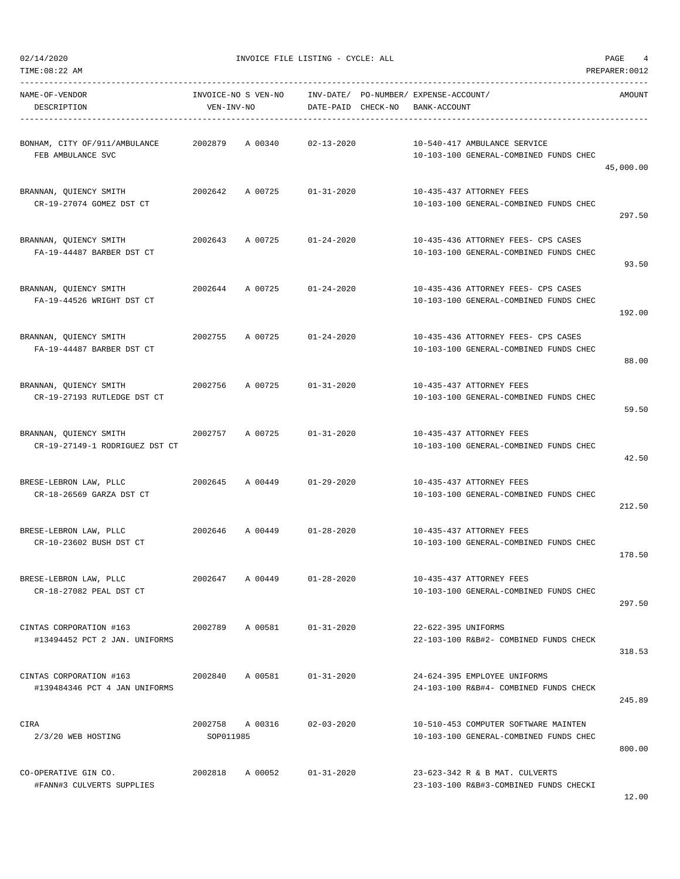02/14/2020 INVOICE FILE LISTING - CYCLE: ALL PAGE 4

| NAME-OF-VENDOR<br>DESCRIPTION                                                 | VEN-INV-NO      |                            |                  | INVOICE-NO S VEN-NO INV-DATE/ PO-NUMBER/ EXPENSE-ACCOUNT/<br>DATE-PAID CHECK-NO BANK-ACCOUNT | AMOUNT    |
|-------------------------------------------------------------------------------|-----------------|----------------------------|------------------|----------------------------------------------------------------------------------------------|-----------|
| BONHAM, CITY OF/911/AMBULANCE 2002879 A 00340 02-13-2020<br>FEB AMBULANCE SVC |                 |                            |                  | 10-540-417 AMBULANCE SERVICE<br>10-103-100 GENERAL-COMBINED FUNDS CHEC                       | 45,000.00 |
| BRANNAN, QUIENCY SMITH<br>CR-19-27074 GOMEZ DST CT                            |                 | 2002642 A 00725            | 01-31-2020       | 10-435-437 ATTORNEY FEES<br>10-103-100 GENERAL-COMBINED FUNDS CHEC                           | 297.50    |
| BRANNAN, QUIENCY SMITH<br>FA-19-44487 BARBER DST CT                           |                 | 2002643 A 00725 01-24-2020 |                  | 10-435-436 ATTORNEY FEES- CPS CASES<br>10-103-100 GENERAL-COMBINED FUNDS CHEC                | 93.50     |
| BRANNAN, QUIENCY SMITH<br>FA-19-44526 WRIGHT DST CT                           |                 | 2002644 A 00725 01-24-2020 |                  | 10-435-436 ATTORNEY FEES- CPS CASES<br>10-103-100 GENERAL-COMBINED FUNDS CHEC                | 192.00    |
| BRANNAN, QUIENCY SMITH<br>FA-19-44487 BARBER DST CT                           |                 | 2002755 A 00725 01-24-2020 |                  | 10-435-436 ATTORNEY FEES- CPS CASES<br>10-103-100 GENERAL-COMBINED FUNDS CHEC                | 88.00     |
| BRANNAN, OUIENCY SMITH<br>CR-19-27193 RUTLEDGE DST CT                         |                 | 2002756 A 00725 01-31-2020 |                  | 10-435-437 ATTORNEY FEES<br>10-103-100 GENERAL-COMBINED FUNDS CHEC                           | 59.50     |
| BRANNAN, QUIENCY SMITH<br>CR-19-27149-1 RODRIGUEZ DST CT                      |                 | 2002757 A 00725 01-31-2020 |                  | 10-435-437 ATTORNEY FEES<br>10-103-100 GENERAL-COMBINED FUNDS CHEC                           | 42.50     |
| BRESE-LEBRON LAW, PLLC<br>CR-18-26569 GARZA DST CT                            |                 | 2002645 A 00449 01-29-2020 |                  | 10-435-437 ATTORNEY FEES<br>10-103-100 GENERAL-COMBINED FUNDS CHEC                           | 212.50    |
| BRESE-LEBRON LAW, PLLC<br>CR-10-23602 BUSH DST CT                             |                 | 2002646 A 00449 01-28-2020 |                  | 10-435-437 ATTORNEY FEES<br>10-103-100 GENERAL-COMBINED FUNDS CHEC                           | 178.50    |
| BRESE-LEBRON LAW, PLLC<br>CR-18-27082 PEAL DST CT                             | 2002647 A 00449 |                            | $01 - 28 - 2020$ | 10-435-437 ATTORNEY FEES<br>10-103-100 GENERAL-COMBINED FUNDS CHEC                           | 297.50    |
| CINTAS CORPORATION #163<br>#13494452 PCT 2 JAN. UNIFORMS                      |                 | 2002789 A 00581 01-31-2020 |                  | 22-622-395 UNIFORMS<br>22-103-100 R&B#2- COMBINED FUNDS CHECK                                | 318.53    |
| #139484346 PCT 4 JAN UNIFORMS                                                 |                 |                            | $01 - 31 - 2020$ | 24-624-395 EMPLOYEE UNIFORMS<br>24-103-100 R&B#4- COMBINED FUNDS CHECK                       | 245.89    |
| CIRA<br>2/3/20 WEB HOSTING                                                    | SOP011985       | 2002758 A 00316            | $02 - 03 - 2020$ | 10-510-453 COMPUTER SOFTWARE MAINTEN<br>10-103-100 GENERAL-COMBINED FUNDS CHEC               | 800.00    |
| CO-OPERATIVE GIN CO.<br>#FANN#3 CULVERTS SUPPLIES                             |                 | 2002818 A 00052 01-31-2020 |                  | 23-623-342 R & B MAT. CULVERTS<br>23-103-100 R&B#3-COMBINED FUNDS CHECKI                     |           |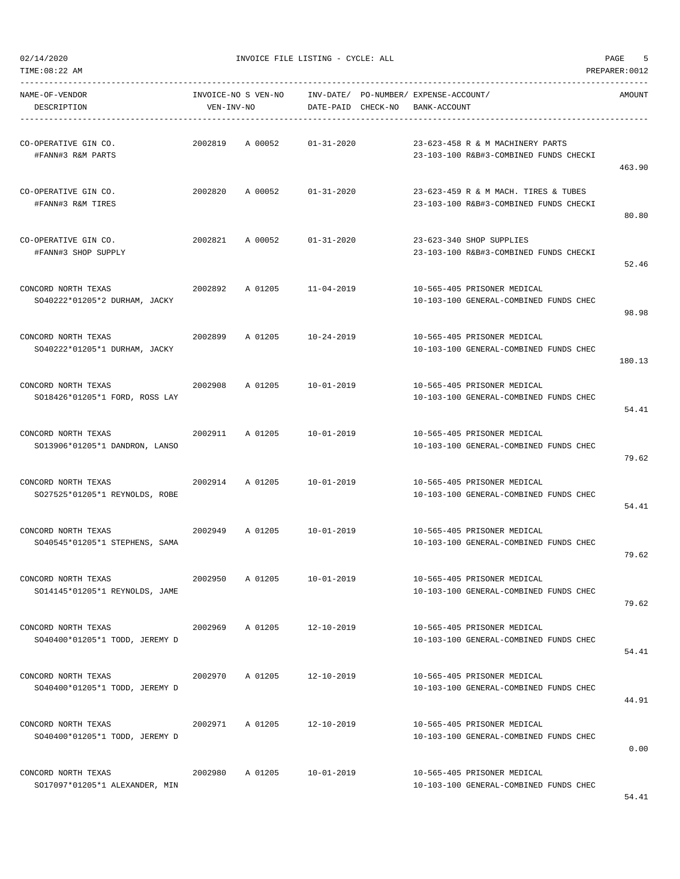$02/14/2020$  PAGE 5

| NAME-OF-VENDOR<br>DESCRIPTION                         | VEN-INV-NO |                 |                            | INVOICE-NO S VEN-NO INV-DATE/ PO-NUMBER/ EXPENSE-ACCOUNT/<br>DATE-PAID CHECK-NO BANK-ACCOUNT | AMOUNT |
|-------------------------------------------------------|------------|-----------------|----------------------------|----------------------------------------------------------------------------------------------|--------|
|                                                       |            |                 |                            |                                                                                              |        |
| CO-OPERATIVE GIN CO.<br>#FANN#3 R&M PARTS             |            |                 | 2002819 A 00052 01-31-2020 | 23-623-458 R & M MACHINERY PARTS<br>23-103-100 R&B#3-COMBINED FUNDS CHECKI                   | 463.90 |
| CO-OPERATIVE GIN CO.<br>#FANN#3 R&M TIRES             |            |                 | 2002820 A 00052 01-31-2020 | 23-623-459 R & M MACH. TIRES & TUBES<br>23-103-100 R&B#3-COMBINED FUNDS CHECKI               | 80.80  |
| CO-OPERATIVE GIN CO.<br>#FANN#3 SHOP SUPPLY           |            |                 | 2002821 A 00052 01-31-2020 | 23-623-340 SHOP SUPPLIES<br>23-103-100 R&B#3-COMBINED FUNDS CHECKI                           | 52.46  |
| CONCORD NORTH TEXAS<br>SO40222*01205*2 DURHAM, JACKY  | 2002892    |                 | A 01205 11-04-2019         | 10-565-405 PRISONER MEDICAL<br>10-103-100 GENERAL-COMBINED FUNDS CHEC                        | 98.98  |
| CONCORD NORTH TEXAS<br>SO40222*01205*1 DURHAM, JACKY  |            |                 | 2002899 A 01205 10-24-2019 | 10-565-405 PRISONER MEDICAL<br>10-103-100 GENERAL-COMBINED FUNDS CHEC                        | 180.13 |
| CONCORD NORTH TEXAS<br>SO18426*01205*1 FORD, ROSS LAY |            | 2002908 A 01205 | 10-01-2019                 | 10-565-405 PRISONER MEDICAL<br>10-103-100 GENERAL-COMBINED FUNDS CHEC                        | 54.41  |
| CONCORD NORTH TEXAS<br>SO13906*01205*1 DANDRON, LANSO |            |                 | 2002911 A 01205 10-01-2019 | 10-565-405 PRISONER MEDICAL<br>10-103-100 GENERAL-COMBINED FUNDS CHEC                        | 79.62  |
| CONCORD NORTH TEXAS<br>SO27525*01205*1 REYNOLDS, ROBE |            | 2002914 A 01205 | 10-01-2019                 | 10-565-405 PRISONER MEDICAL<br>10-103-100 GENERAL-COMBINED FUNDS CHEC                        | 54.41  |
| CONCORD NORTH TEXAS<br>SO40545*01205*1 STEPHENS, SAMA |            |                 | 2002949 A 01205 10-01-2019 | 10-565-405 PRISONER MEDICAL<br>10-103-100 GENERAL-COMBINED FUNDS CHEC                        | 79.62  |
| CONCORD NORTH TEXAS<br>SO14145*01205*1 REYNOLDS, JAME | 2002950    | A 01205         | $10 - 01 - 2019$           | 10-565-405 PRISONER MEDICAL<br>10-103-100 GENERAL-COMBINED FUNDS CHEC                        | 79.62  |
| CONCORD NORTH TEXAS<br>SO40400*01205*1 TODD, JEREMY D |            |                 | 2002969 A 01205 12-10-2019 | 10-565-405 PRISONER MEDICAL<br>10-103-100 GENERAL-COMBINED FUNDS CHEC                        | 54.41  |
| CONCORD NORTH TEXAS<br>SO40400*01205*1 TODD, JEREMY D |            | 2002970 A 01205 | $12 - 10 - 2019$           | 10-565-405 PRISONER MEDICAL<br>10-103-100 GENERAL-COMBINED FUNDS CHEC                        | 44.91  |
| CONCORD NORTH TEXAS<br>SO40400*01205*1 TODD, JEREMY D |            | 2002971 A 01205 | 12-10-2019                 | 10-565-405 PRISONER MEDICAL<br>10-103-100 GENERAL-COMBINED FUNDS CHEC                        | 0.00   |
| CONCORD NORTH TEXAS<br>SO17097*01205*1 ALEXANDER, MIN |            |                 | 2002980 A 01205 10-01-2019 | 10-565-405 PRISONER MEDICAL<br>10-103-100 GENERAL-COMBINED FUNDS CHEC                        |        |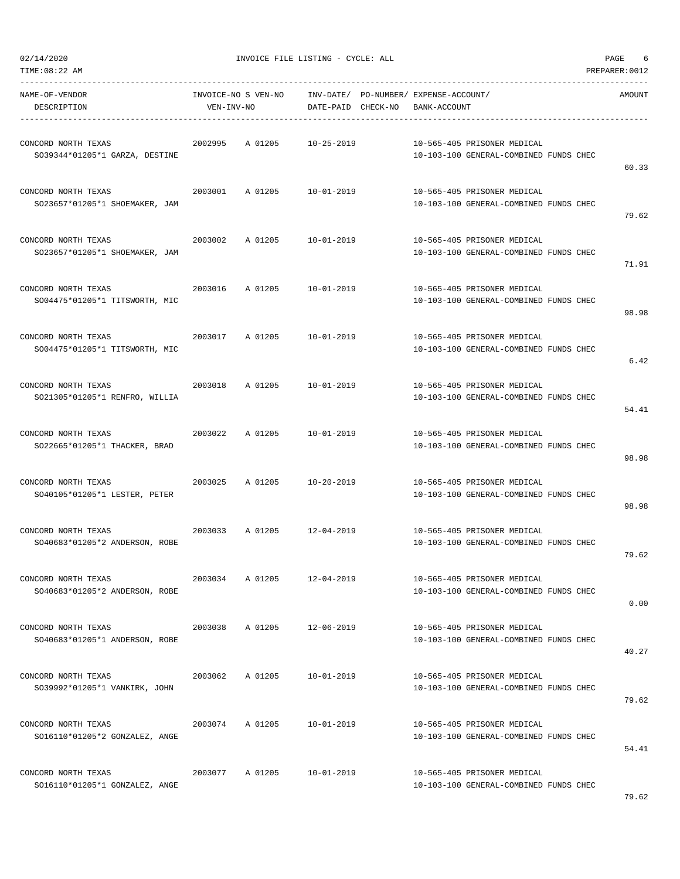| 02/14/2020<br>TIME:08:22 AM                           |            | INVOICE FILE LISTING - CYCLE: ALL |                                                                                 | PAGE<br>6<br>PREPARER: 0012                                           |        |  |
|-------------------------------------------------------|------------|-----------------------------------|---------------------------------------------------------------------------------|-----------------------------------------------------------------------|--------|--|
| NAME-OF-VENDOR<br>DESCRIPTION                         | VEN-INV-NO |                                   | INVOICE-NO S VEN-NO INV-DATE/ PO-NUMBER/ EXPENSE-ACCOUNT/<br>DATE-PAID CHECK-NO | BANK-ACCOUNT                                                          | AMOUNT |  |
| CONCORD NORTH TEXAS<br>SO39344*01205*1 GARZA, DESTINE | 2002995    | A 01205                           | 10-25-2019                                                                      | 10-565-405 PRISONER MEDICAL<br>10-103-100 GENERAL-COMBINED FUNDS CHEC | 60.33  |  |
| CONCORD NORTH TEXAS<br>SO23657*01205*1 SHOEMAKER, JAM | 2003001    | A 01205                           | $10 - 01 - 2019$                                                                | 10-565-405 PRISONER MEDICAL<br>10-103-100 GENERAL-COMBINED FUNDS CHEC | 79.62  |  |
| CONCORD NORTH TEXAS<br>SO23657*01205*1 SHOEMAKER, JAM | 2003002    | A 01205                           | 10-01-2019                                                                      | 10-565-405 PRISONER MEDICAL<br>10-103-100 GENERAL-COMBINED FUNDS CHEC | 71.91  |  |
| CONCORD NORTH TEXAS<br>SO04475*01205*1 TITSWORTH, MIC | 2003016    | A 01205                           | 10-01-2019                                                                      | 10-565-405 PRISONER MEDICAL<br>10-103-100 GENERAL-COMBINED FUNDS CHEC | 98.98  |  |
| CONCORD NORTH TEXAS<br>SO04475*01205*1 TITSWORTH, MIC | 2003017    | A 01205                           | 10-01-2019                                                                      | 10-565-405 PRISONER MEDICAL<br>10-103-100 GENERAL-COMBINED FUNDS CHEC | 6.42   |  |
| CONCORD NORTH TEXAS<br>SO21305*01205*1 RENFRO, WILLIA | 2003018    | A 01205                           | $10 - 01 - 2019$                                                                | 10-565-405 PRISONER MEDICAL<br>10-103-100 GENERAL-COMBINED FUNDS CHEC | 54.41  |  |
| CONCORD NORTH TEXAS<br>SO22665*01205*1 THACKER, BRAD  | 2003022    | A 01205                           | 10-01-2019                                                                      | 10-565-405 PRISONER MEDICAL<br>10-103-100 GENERAL-COMBINED FUNDS CHEC | 98.98  |  |
| CONCORD NORTH TEXAS<br>SO40105*01205*1 LESTER, PETER  | 2003025    | A 01205                           | 10-20-2019                                                                      | 10-565-405 PRISONER MEDICAL<br>10-103-100 GENERAL-COMBINED FUNDS CHEC | 98.98  |  |
| CONCORD NORTH TEXAS<br>SO40683*01205*2 ANDERSON, ROBE | 2003033    | A 01205                           | $12 - 04 - 2019$                                                                | 10-565-405 PRISONER MEDICAL<br>10-103-100 GENERAL-COMBINED FUNDS CHEC | 79.62  |  |
| CONCORD NORTH TEXAS<br>SO40683*01205*2 ANDERSON, ROBE | 2003034    | A 01205                           | $12 - 04 - 2019$                                                                | 10-565-405 PRISONER MEDICAL<br>10-103-100 GENERAL-COMBINED FUNDS CHEC | 0.00   |  |
| CONCORD NORTH TEXAS<br>SO40683*01205*1 ANDERSON, ROBE | 2003038    | A 01205                           | $12 - 06 - 2019$                                                                | 10-565-405 PRISONER MEDICAL<br>10-103-100 GENERAL-COMBINED FUNDS CHEC | 40.27  |  |
| CONCORD NORTH TEXAS<br>SO39992*01205*1 VANKIRK, JOHN  | 2003062    | A 01205                           | 10-01-2019                                                                      | 10-565-405 PRISONER MEDICAL<br>10-103-100 GENERAL-COMBINED FUNDS CHEC | 79.62  |  |
| CONCORD NORTH TEXAS<br>SO16110*01205*2 GONZALEZ, ANGE | 2003074    | A 01205                           | $10 - 01 - 2019$                                                                | 10-565-405 PRISONER MEDICAL<br>10-103-100 GENERAL-COMBINED FUNDS CHEC | 54.41  |  |
| CONCORD NORTH TEXAS<br>SO16110*01205*1 GONZALEZ, ANGE | 2003077    | A 01205                           | $10 - 01 - 2019$                                                                | 10-565-405 PRISONER MEDICAL<br>10-103-100 GENERAL-COMBINED FUNDS CHEC |        |  |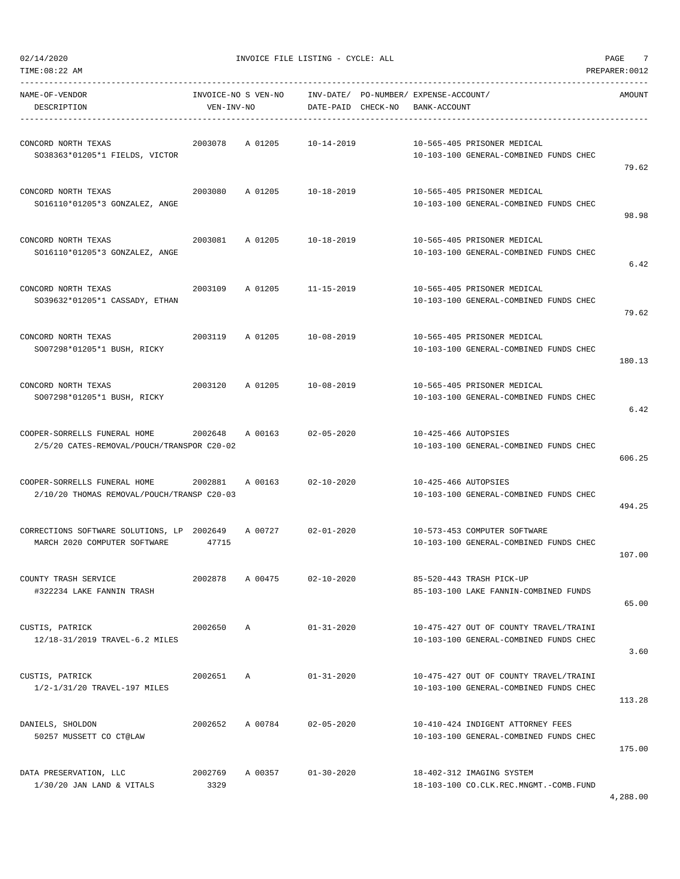| TIME:08:22 AM                                                                      |                                   |                    |                                                             |                      |                                                                                  | PREPARER: 0012 |
|------------------------------------------------------------------------------------|-----------------------------------|--------------------|-------------------------------------------------------------|----------------------|----------------------------------------------------------------------------------|----------------|
| NAME-OF-VENDOR<br>DESCRIPTION                                                      | INVOICE-NO S VEN-NO<br>VEN-INV-NO |                    | INV-DATE/ PO-NUMBER/ EXPENSE-ACCOUNT/<br>DATE-PAID CHECK-NO | BANK-ACCOUNT         |                                                                                  | AMOUNT         |
| CONCORD NORTH TEXAS<br>SO38363*01205*1 FIELDS, VICTOR                              | 2003078                           | A 01205            | $10 - 14 - 2019$                                            |                      | 10-565-405 PRISONER MEDICAL<br>10-103-100 GENERAL-COMBINED FUNDS CHEC            | 79.62          |
| CONCORD NORTH TEXAS<br>SO16110*01205*3 GONZALEZ, ANGE                              | 2003080                           | A 01205            | 10-18-2019                                                  |                      | 10-565-405 PRISONER MEDICAL<br>10-103-100 GENERAL-COMBINED FUNDS CHEC            | 98.98          |
| CONCORD NORTH TEXAS<br>SO16110*01205*3 GONZALEZ, ANGE                              | 2003081                           | A 01205            | 10-18-2019                                                  |                      | 10-565-405 PRISONER MEDICAL<br>10-103-100 GENERAL-COMBINED FUNDS CHEC            | 6.42           |
| CONCORD NORTH TEXAS<br>S039632*01205*1 CASSADY, ETHAN                              | 2003109                           | A 01205 11-15-2019 |                                                             |                      | 10-565-405 PRISONER MEDICAL<br>10-103-100 GENERAL-COMBINED FUNDS CHEC            | 79.62          |
| CONCORD NORTH TEXAS<br>SO07298*01205*1 BUSH, RICKY                                 | 2003119                           | A 01205            | 10-08-2019                                                  |                      | 10-565-405 PRISONER MEDICAL<br>10-103-100 GENERAL-COMBINED FUNDS CHEC            | 180.13         |
| CONCORD NORTH TEXAS<br>SO07298*01205*1 BUSH, RICKY                                 | 2003120                           | A 01205            | 10-08-2019                                                  |                      | 10-565-405 PRISONER MEDICAL<br>10-103-100 GENERAL-COMBINED FUNDS CHEC            | 6.42           |
| COOPER-SORRELLS FUNERAL HOME<br>2/5/20 CATES-REMOVAL/POUCH/TRANSPOR C20-02         | 2002648                           | A 00163            | $02 - 05 - 2020$                                            | 10-425-466 AUTOPSIES | 10-103-100 GENERAL-COMBINED FUNDS CHEC                                           | 606.25         |
| COOPER-SORRELLS FUNERAL HOME 2002881<br>2/10/20 THOMAS REMOVAL/POUCH/TRANSP C20-03 |                                   | A 00163            | $02 - 10 - 2020$                                            | 10-425-466 AUTOPSIES | 10-103-100 GENERAL-COMBINED FUNDS CHEC                                           | 494.25         |
| CORRECTIONS SOFTWARE SOLUTIONS, LP 2002649<br>MARCH 2020 COMPUTER SOFTWARE         | 47715                             | A 00727            | $02 - 01 - 2020$                                            |                      | 10-573-453 COMPUTER SOFTWARE<br>10-103-100 GENERAL-COMBINED FUNDS CHEC           | 107.00         |
| COUNTY TRASH SERVICE<br>#322234 LAKE FANNIN TRASH                                  | 2002878                           | A 00475            | $02 - 10 - 2020$                                            |                      | 85-520-443 TRASH PICK-UP<br>85-103-100 LAKE FANNIN-COMBINED FUNDS                | 65.00          |
| CUSTIS, PATRICK<br>12/18-31/2019 TRAVEL-6.2 MILES                                  | 2002650                           | A                  | $01 - 31 - 2020$                                            |                      | 10-475-427 OUT OF COUNTY TRAVEL/TRAINI<br>10-103-100 GENERAL-COMBINED FUNDS CHEC | 3.60           |
| CUSTIS, PATRICK<br>1/2-1/31/20 TRAVEL-197 MILES                                    | 2002651                           | $\mathbb{A}$       | $01 - 31 - 2020$                                            |                      | 10-475-427 OUT OF COUNTY TRAVEL/TRAINI<br>10-103-100 GENERAL-COMBINED FUNDS CHEC | 113.28         |
| DANIELS, SHOLDON<br>50257 MUSSETT CO CT@LAW                                        | 2002652                           | A 00784            | $02 - 05 - 2020$                                            |                      | 10-410-424 INDIGENT ATTORNEY FEES<br>10-103-100 GENERAL-COMBINED FUNDS CHEC      | 175.00         |
| DATA PRESERVATION, LLC<br>$1/30/20$ JAN LAND & VITALS                              | 2002769<br>3329                   | A 00357            | $01 - 30 - 2020$                                            |                      | 18-402-312 IMAGING SYSTEM<br>18-103-100 CO.CLK.REC.MNGMT.-COMB.FUND              |                |

4,288.00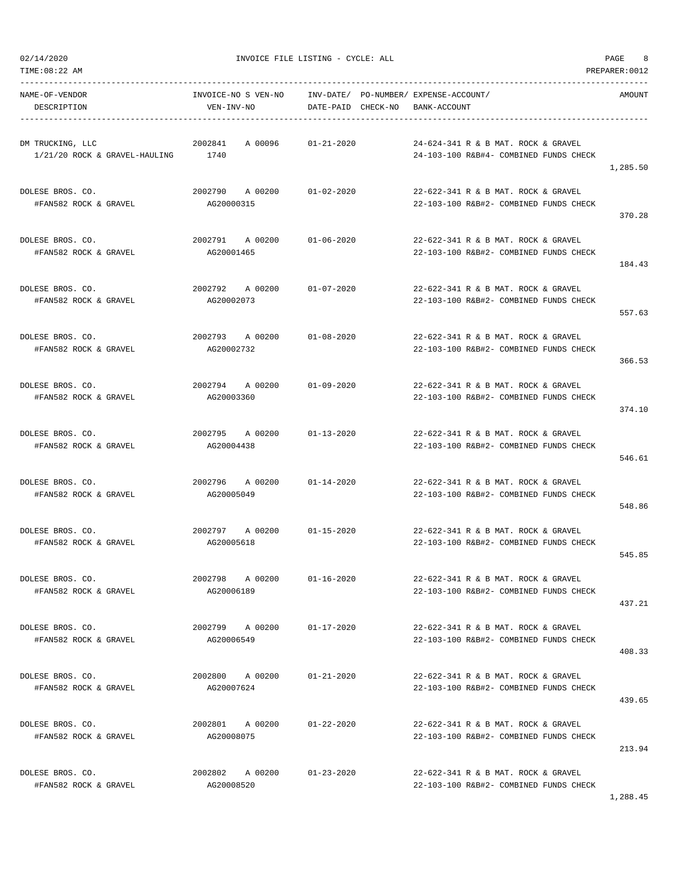02/14/2020 INVOICE FILE LISTING - CYCLE: ALL PAGE 8

-----------------------------------------------------------------------------------------------------------------------------------

NAME-OF-VENDOR INVOICE-NO S VEN-NO INV-DATE/ PO-NUMBER/ EXPENSE-ACCOUNT/ AMOUNT DESCRIPTION VEN-INV-NO DATE-PAID CHECK-NO BANK-ACCOUNT ----------------------------------------------------------------------------------------------------------------------------------- DM TRUCKING, LLC 2002841 A 00096 01-21-2020 24-624-341 R & B MAT. ROCK & GRAVEL 1/21/20 ROCK & GRAVEL-HAULING 1740 24-103-100 R&B#4- COMBINED FUNDS CHECK 1,285.50 DOLESE BROS. CO. 2002790 A 00200 01-02-2020 22-622-341 R & B MAT. ROCK & GRAVEL #FAN582 ROCK & GRAVEL AG20000315 22-103-100 R&B#2- COMBINED FUNDS CHECK 370.28 DOLESE BROS. CO. 2002791 A 00200 01-06-2020 22-622-341 R & B MAT. ROCK & GRAVEL #FAN582 ROCK & GRAVEL AG20001465 22-103-100 R&B#2- COMBINED FUNDS CHECK 184.43 DOLESE BROS. CO. 2002792 A 00200 01-07-2020 22-622-341 R & B MAT. ROCK & GRAVEL #FAN582 ROCK & GRAVEL AG20002073 22-103-100 R&B#2- COMBINED FUNDS CHECK 557.63 DOLESE BROS. CO. 2002793 A 00200 01-08-2020 22-622-341 R & B MAT. ROCK & GRAVEL #FAN582 ROCK & GRAVEL AG20002732 22-103-100 R&B#2- COMBINED FUNDS CHECK 366.53 DOLESE BROS. CO. 2002794 A 00200 01-09-2020 22-622-341 R & B MAT. ROCK & GRAVEL #FAN582 ROCK & GRAVEL AG20003360 22-103-100 R&B#2- COMBINED FUNDS CHECK 374.10 DOLESE BROS. CO. 2002795 A 00200 01-13-2020 22-622-341 R & B MAT. ROCK & GRAVEL #FAN582 ROCK & GRAVEL AG20004438 22-103-100 R&B#2- COMBINED FUNDS CHECK 546.61 DOLESE BROS. CO. 2002796 A 00200 01-14-2020 22-622-341 R & B MAT. ROCK & GRAVEL #FAN582 ROCK & GRAVEL AG20005049 22-103-100 R&B#2- COMBINED FUNDS CHECK 548.86 DOLESE BROS. CO. 2002797 A 00200 01-15-2020 22-622-341 R & B MAT. ROCK & GRAVEL #FAN582 ROCK & GRAVEL AG20005618 22-103-100 R&B#2- COMBINED FUNDS CHECK 545.85 DOLESE BROS. CO. 2002798 A 00200 01-16-2020 22-622-341 R & B MAT. ROCK & GRAVEL #FAN582 ROCK & GRAVEL AG20006189 22-103-100 R&B#2- COMBINED FUNDS CHECK 437.21 DOLESE BROS. CO. 2002799 A 00200 01-17-2020 22-622-341 R & B MAT. ROCK & GRAVEL #FAN582 ROCK & GRAVEL AG20006549 22-103-100 R&B#2- COMBINED FUNDS CHECK 408.33 DOLESE BROS. CO. 2002800 A 00200 01-21-2020 22-622-341 R & B MAT. ROCK & GRAVEL #FAN582 ROCK & GRAVEL AG20007624 22-103-100 R&B#2- COMBINED FUNDS CHECK 439.65 DOLESE BROS. CO. 2002801 A 00200 01-22-2020 22-622-341 R & B MAT. ROCK & GRAVEL #FAN582 ROCK & GRAVEL AG20008075 22-103-100 R&B#2- COMBINED FUNDS CHECK 213.94

DOLESE BROS. CO. 2002802 A 00200 01-23-2020 22-622-341 R & B MAT. ROCK & GRAVEL #FAN582 ROCK & GRAVEL AG20008520 22-103-100 R&B#2- COMBINED FUNDS CHECK

1,288.45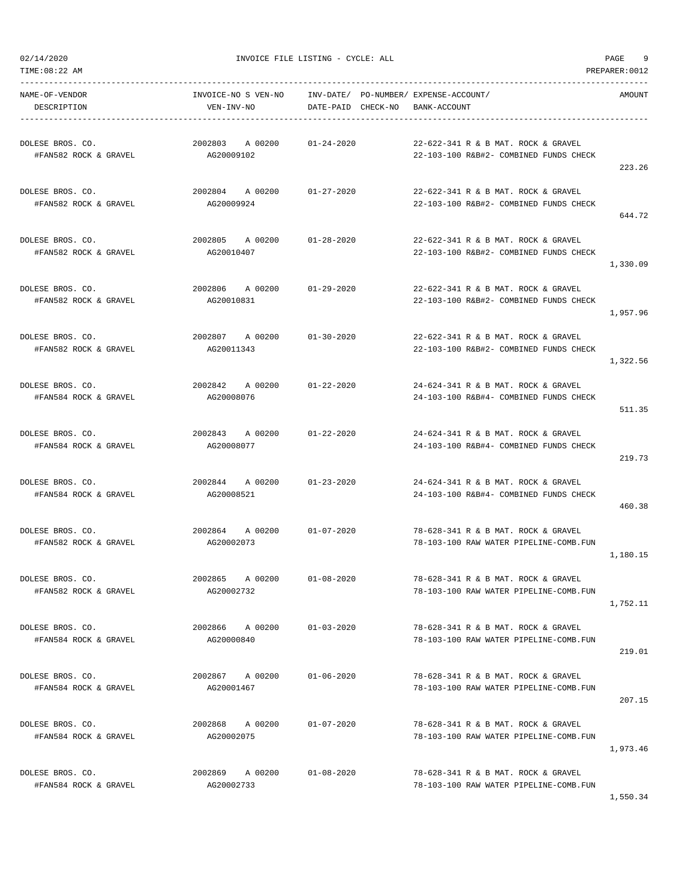02/14/2020 INVOICE FILE LISTING - CYCLE: ALL PAGE 9

| NAME-OF-VENDOR<br>DESCRIPTION             | INVOICE-NO S VEN-NO<br>VEN-INV-NO                            | INV-DATE/ PO-NUMBER/ EXPENSE-ACCOUNT/<br>DATE-PAID CHECK-NO | BANK-ACCOUNT                                                                  | AMOUNT   |
|-------------------------------------------|--------------------------------------------------------------|-------------------------------------------------------------|-------------------------------------------------------------------------------|----------|
| DOLESE BROS. CO.<br>#FAN582 ROCK & GRAVEL | 2002803 A 00200<br>AG20009102                                | 01-24-2020                                                  | 22-622-341 R & B MAT. ROCK & GRAVEL<br>22-103-100 R&B#2- COMBINED FUNDS CHECK | 223.26   |
| DOLESE BROS. CO.<br>#FAN582 ROCK & GRAVEL | 2002804 A 00200 01-27-2020<br>AG20009924                     |                                                             | 22-622-341 R & B MAT. ROCK & GRAVEL<br>22-103-100 R&B#2- COMBINED FUNDS CHECK | 644.72   |
| DOLESE BROS. CO.<br>#FAN582 ROCK & GRAVEL | 2002805 A00200<br>AG20010407                                 | $01 - 28 - 2020$                                            | 22-622-341 R & B MAT. ROCK & GRAVEL<br>22-103-100 R&B#2- COMBINED FUNDS CHECK | 1,330.09 |
| DOLESE BROS. CO.<br>#FAN582 ROCK & GRAVEL | 2002806 A 00200<br>AG20010831                                | 01-29-2020                                                  | 22-622-341 R & B MAT. ROCK & GRAVEL<br>22-103-100 R&B#2- COMBINED FUNDS CHECK | 1,957.96 |
| DOLESE BROS. CO.<br>#FAN582 ROCK & GRAVEL | 2002807 A 00200<br>AG20011343                                | $01 - 30 - 2020$                                            | 22-622-341 R & B MAT. ROCK & GRAVEL<br>22-103-100 R&B#2- COMBINED FUNDS CHECK | 1,322.56 |
| DOLESE BROS. CO.<br>#FAN584 ROCK & GRAVEL | 2002842 A 00200<br>AG20008076                                | $01 - 22 - 2020$                                            | 24-624-341 R & B MAT. ROCK & GRAVEL<br>24-103-100 R&B#4- COMBINED FUNDS CHECK | 511.35   |
| DOLESE BROS. CO.<br>#FAN584 ROCK & GRAVEL | 2002843 A 00200 01-22-2020<br>AG20008077                     |                                                             | 24-624-341 R & B MAT. ROCK & GRAVEL<br>24-103-100 R&B#4- COMBINED FUNDS CHECK | 219.73   |
| DOLESE BROS. CO.<br>#FAN584 ROCK & GRAVEL | 2002844 A00200<br>AG20008521                                 | 01-23-2020                                                  | 24-624-341 R & B MAT. ROCK & GRAVEL<br>24-103-100 R&B#4- COMBINED FUNDS CHECK | 460.38   |
| DOLESE BROS. CO.<br>#FAN582 ROCK & GRAVEL | 2002864        A  00200             01-07-2020<br>AG20002073 |                                                             | 78-628-341 R & B MAT. ROCK & GRAVEL<br>78-103-100 RAW WATER PIPELINE-COMB.FUN | 1,180.15 |
| DOLESE BROS. CO.<br>#FAN582 ROCK & GRAVEL | 2002865<br>A 00200<br>AG20002732                             | $01 - 08 - 2020$                                            | 78-628-341 R & B MAT. ROCK & GRAVEL<br>78-103-100 RAW WATER PIPELINE-COMB.FUN | 1,752.11 |
| DOLESE BROS. CO.<br>#FAN584 ROCK & GRAVEL | 2002866 A 00200<br>AG20000840                                | $01 - 03 - 2020$                                            | 78-628-341 R & B MAT. ROCK & GRAVEL<br>78-103-100 RAW WATER PIPELINE-COMB.FUN | 219.01   |
| DOLESE BROS. CO.<br>#FAN584 ROCK & GRAVEL | 2002867 A 00200<br>AG20001467                                | 01-06-2020                                                  | 78-628-341 R & B MAT. ROCK & GRAVEL<br>78-103-100 RAW WATER PIPELINE-COMB.FUN | 207.15   |
| DOLESE BROS. CO.<br>#FAN584 ROCK & GRAVEL | 2002868<br>A 00200<br>AG20002075                             | $01 - 07 - 2020$                                            | 78-628-341 R & B MAT. ROCK & GRAVEL<br>78-103-100 RAW WATER PIPELINE-COMB.FUN | 1,973.46 |
| DOLESE BROS. CO.<br>#FAN584 ROCK & GRAVEL | 2002869 A 00200<br>AG20002733                                | $01 - 08 - 2020$                                            | 78-628-341 R & B MAT. ROCK & GRAVEL<br>78-103-100 RAW WATER PIPELINE-COMB.FUN |          |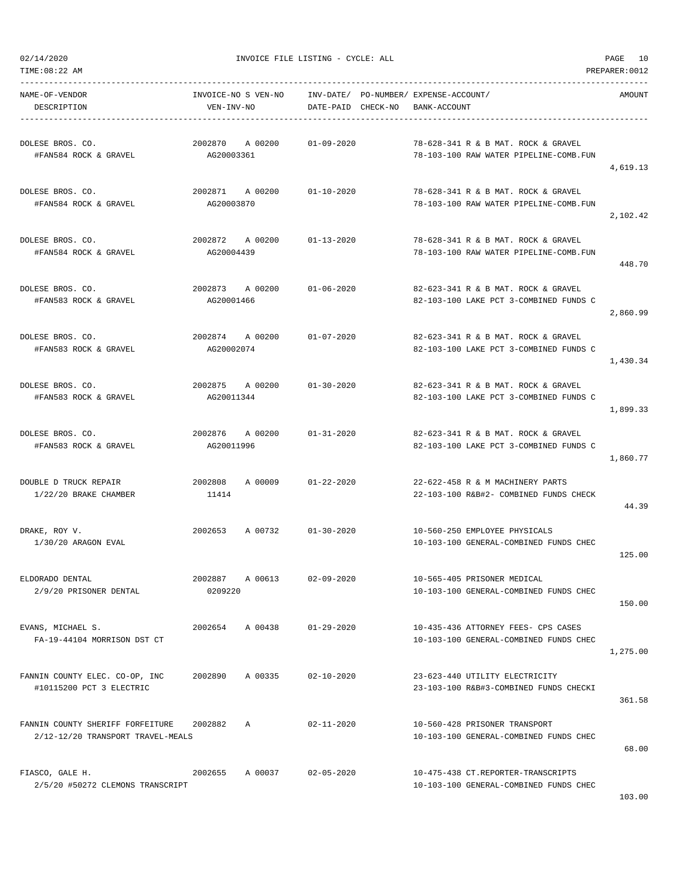02/14/2020 INVOICE FILE LISTING - CYCLE: ALL PAGE 10

| NAME-OF-VENDOR<br>DESCRIPTION                                         | INVOICE-NO S VEN-NO<br>VEN-INV-NO |                            | DATE-PAID CHECK-NO | INV-DATE/ PO-NUMBER/ EXPENSE-ACCOUNT/<br>BANK-ACCOUNT |                                                                               | AMOUNT   |
|-----------------------------------------------------------------------|-----------------------------------|----------------------------|--------------------|-------------------------------------------------------|-------------------------------------------------------------------------------|----------|
| DOLESE BROS. CO.<br>#FAN584 ROCK & GRAVEL                             | 2002870<br>AG20003361             | A 00200                    | $01 - 09 - 2020$   |                                                       | 78-628-341 R & B MAT. ROCK & GRAVEL<br>78-103-100 RAW WATER PIPELINE-COMB.FUN | 4,619.13 |
| DOLESE BROS. CO.<br>#FAN584 ROCK & GRAVEL                             | 2002871 A 00200<br>AG20003870     |                            | $01 - 10 - 2020$   |                                                       | 78-628-341 R & B MAT, ROCK & GRAVEL<br>78-103-100 RAW WATER PIPELINE-COMB.FUN | 2,102.42 |
| DOLESE BROS. CO.<br>#FAN584 ROCK & GRAVEL                             | 2002872 A 00200<br>AG20004439     |                            | $01 - 13 - 2020$   |                                                       | 78-628-341 R & B MAT. ROCK & GRAVEL<br>78-103-100 RAW WATER PIPELINE-COMB.FUN | 448.70   |
| DOLESE BROS. CO.<br>#FAN583 ROCK & GRAVEL                             | 2002873 A 00200<br>AG20001466     |                            | 01-06-2020         |                                                       | 82-623-341 R & B MAT. ROCK & GRAVEL<br>82-103-100 LAKE PCT 3-COMBINED FUNDS C | 2,860.99 |
| DOLESE BROS. CO.<br>#FAN583 ROCK & GRAVEL                             | 2002874 A 00200<br>AG20002074     |                            | $01 - 07 - 2020$   |                                                       | 82-623-341 R & B MAT, ROCK & GRAVEL<br>82-103-100 LAKE PCT 3-COMBINED FUNDS C | 1,430.34 |
| DOLESE BROS. CO.<br>#FAN583 ROCK & GRAVEL                             | 2002875<br>AG20011344             | A 00200                    | $01 - 30 - 2020$   |                                                       | 82-623-341 R & B MAT. ROCK & GRAVEL<br>82-103-100 LAKE PCT 3-COMBINED FUNDS C | 1,899.33 |
| DOLESE BROS. CO.<br>#FAN583 ROCK & GRAVEL                             | AG20011996                        | 2002876 A 00200 01-31-2020 |                    |                                                       | 82-623-341 R & B MAT. ROCK & GRAVEL<br>82-103-100 LAKE PCT 3-COMBINED FUNDS C | 1,860.77 |
| DOUBLE D TRUCK REPAIR<br>1/22/20 BRAKE CHAMBER                        | 2002808<br>11414                  | A 00009 01-22-2020         |                    |                                                       | 22-622-458 R & M MACHINERY PARTS<br>22-103-100 R&B#2- COMBINED FUNDS CHECK    | 44.39    |
| DRAKE, ROY V.<br>$1/30/20$ ARAGON EVAL                                | 2002653                           | A 00732                    | $01 - 30 - 2020$   |                                                       | 10-560-250 EMPLOYEE PHYSICALS<br>10-103-100 GENERAL-COMBINED FUNDS CHEC       | 125.00   |
| ELDORADO DENTAL<br>2/9/20 PRISONER DENTAL                             | 2002887<br>0209220                | A 00613                    | $02 - 09 - 2020$   |                                                       | 10-565-405 PRISONER MEDICAL<br>10-103-100 GENERAL-COMBINED FUNDS CHEC         | 150.00   |
| EVANS, MICHAEL S.<br>FA-19-44104 MORRISON DST CT                      | 2002654                           | A 00438                    | $01 - 29 - 2020$   |                                                       | 10-435-436 ATTORNEY FEES- CPS CASES<br>10-103-100 GENERAL-COMBINED FUNDS CHEC | 1,275.00 |
| FANNIN COUNTY ELEC. CO-OP, INC<br>#10115200 PCT 3 ELECTRIC            | 2002890                           | A 00335                    | $02 - 10 - 2020$   |                                                       | 23-623-440 UTILITY ELECTRICITY<br>23-103-100 R&B#3-COMBINED FUNDS CHECKI      | 361.58   |
| FANNIN COUNTY SHERIFF FORFEITURE<br>2/12-12/20 TRANSPORT TRAVEL-MEALS | 2002882                           | Α                          | $02 - 11 - 2020$   |                                                       | 10-560-428 PRISONER TRANSPORT<br>10-103-100 GENERAL-COMBINED FUNDS CHEC       | 68.00    |
| FIASCO, GALE H.<br>2/5/20 #50272 CLEMONS TRANSCRIPT                   | 2002655                           | A 00037                    | $02 - 05 - 2020$   |                                                       | 10-475-438 CT.REPORTER-TRANSCRIPTS<br>10-103-100 GENERAL-COMBINED FUNDS CHEC  |          |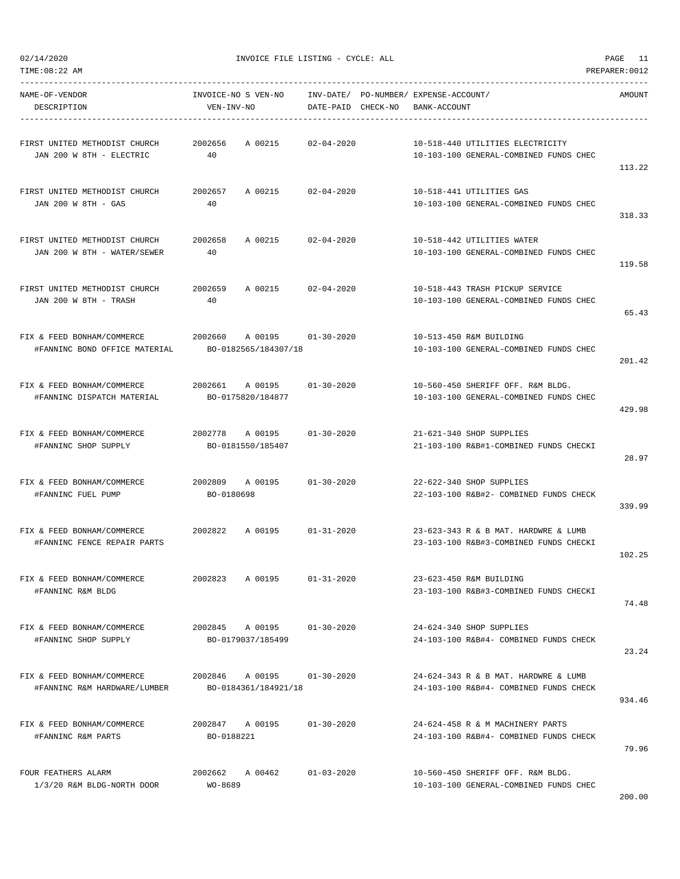| NAME-OF-VENDOR<br>DESCRIPTION                                     | INVOICE-NO S VEN-NO<br>VEN-INV-NO               |                             | INV-DATE/ PO-NUMBER/ EXPENSE-ACCOUNT/<br>DATE-PAID CHECK-NO | BANK-ACCOUNT |                                                                                | AMOUNT |
|-------------------------------------------------------------------|-------------------------------------------------|-----------------------------|-------------------------------------------------------------|--------------|--------------------------------------------------------------------------------|--------|
| FIRST UNITED METHODIST CHURCH<br>JAN 200 W 8TH - ELECTRIC         | 2002656<br>40                                   | A 00215<br>$02 - 04 - 2020$ |                                                             |              | 10-518-440 UTILITIES ELECTRICITY<br>10-103-100 GENERAL-COMBINED FUNDS CHEC     | 113.22 |
| FIRST UNITED METHODIST CHURCH<br>JAN 200 W 8TH - GAS              | 2002657<br>40                                   | A 00215 02-04-2020          |                                                             |              | 10-518-441 UTILITIES GAS<br>10-103-100 GENERAL-COMBINED FUNDS CHEC             | 318.33 |
| FIRST UNITED METHODIST CHURCH<br>JAN 200 W 8TH - WATER/SEWER      | 2002658<br>40                                   | A 00215 02-04-2020          |                                                             |              | 10-518-442 UTILITIES WATER<br>10-103-100 GENERAL-COMBINED FUNDS CHEC           | 119.58 |
| FIRST UNITED METHODIST CHURCH<br>JAN 200 W 8TH - TRASH            | 2002659<br>A 00215<br>40                        | $02 - 04 - 2020$            |                                                             |              | 10-518-443 TRASH PICKUP SERVICE<br>10-103-100 GENERAL-COMBINED FUNDS CHEC      | 65.43  |
| FIX & FEED BONHAM/COMMERCE<br>#FANNINC BOND OFFICE MATERIAL       | BO-0182565/184307/18                            | 2002660 A 00195 01-30-2020  |                                                             |              | 10-513-450 R&M BUILDING<br>10-103-100 GENERAL-COMBINED FUNDS CHEC              | 201.42 |
| FIX & FEED BONHAM/COMMERCE<br>#FANNINC DISPATCH MATERIAL          | 2002661 A 00195 01-30-2020<br>BO-0175820/184877 |                             |                                                             |              | 10-560-450 SHERIFF OFF. R&M BLDG.<br>10-103-100 GENERAL-COMBINED FUNDS CHEC    | 429.98 |
| FIX & FEED BONHAM/COMMERCE<br>#FANNINC SHOP SUPPLY                | 2002778 A 00195<br>BO-0181550/185407            | $01 - 30 - 2020$            |                                                             |              | 21-621-340 SHOP SUPPLIES<br>21-103-100 R&B#1-COMBINED FUNDS CHECKI             | 28.97  |
| FIX & FEED BONHAM/COMMERCE<br>#FANNINC FUEL PUMP                  | 2002809 A 00195<br>BO-0180698                   | $01 - 30 - 2020$            |                                                             |              | 22-622-340 SHOP SUPPLIES<br>22-103-100 R&B#2- COMBINED FUNDS CHECK             | 339.99 |
| FIX & FEED BONHAM/COMMERCE 2002822<br>#FANNINC FENCE REPAIR PARTS | A 00195                                         | $01 - 31 - 2020$            |                                                             |              | 23-623-343 R & B MAT, HARDWRE & LUMB<br>23-103-100 R&B#3-COMBINED FUNDS CHECKI | 102.25 |
| FIX & FEED BONHAM/COMMERCE<br>#FANNINC R&M BLDG                   | 2002823<br>A 00195                              | $01 - 31 - 2020$            |                                                             |              | 23-623-450 R&M BUILDING<br>23-103-100 R&B#3-COMBINED FUNDS CHECKI              | 74.48  |
| FIX & FEED BONHAM/COMMERCE<br>#FANNINC SHOP SUPPLY                | 2002845 A 00195<br>BO-0179037/185499            | $01 - 30 - 2020$            |                                                             |              | 24-624-340 SHOP SUPPLIES<br>24-103-100 R&B#4- COMBINED FUNDS CHECK             | 23.24  |
| FIX & FEED BONHAM/COMMERCE<br>#FANNINC R&M HARDWARE/LUMBER        | BO-0184361/184921/18                            | 2002846 A 00195 01-30-2020  |                                                             |              | 24-624-343 R & B MAT. HARDWRE & LUMB<br>24-103-100 R&B#4- COMBINED FUNDS CHECK | 934.46 |
| FIX & FEED BONHAM/COMMERCE<br>#FANNINC R&M PARTS                  | 2002847 A 00195<br>BO-0188221                   | $01 - 30 - 2020$            |                                                             |              | 24-624-458 R & M MACHINERY PARTS<br>24-103-100 R&B#4- COMBINED FUNDS CHECK     | 79.96  |
| FOUR FEATHERS ALARM<br>1/3/20 R&M BLDG-NORTH DOOR                 | 2002662<br>A 00462<br>WO-8689                   | $01 - 03 - 2020$            |                                                             |              | 10-560-450 SHERIFF OFF. R&M BLDG.<br>10-103-100 GENERAL-COMBINED FUNDS CHEC    |        |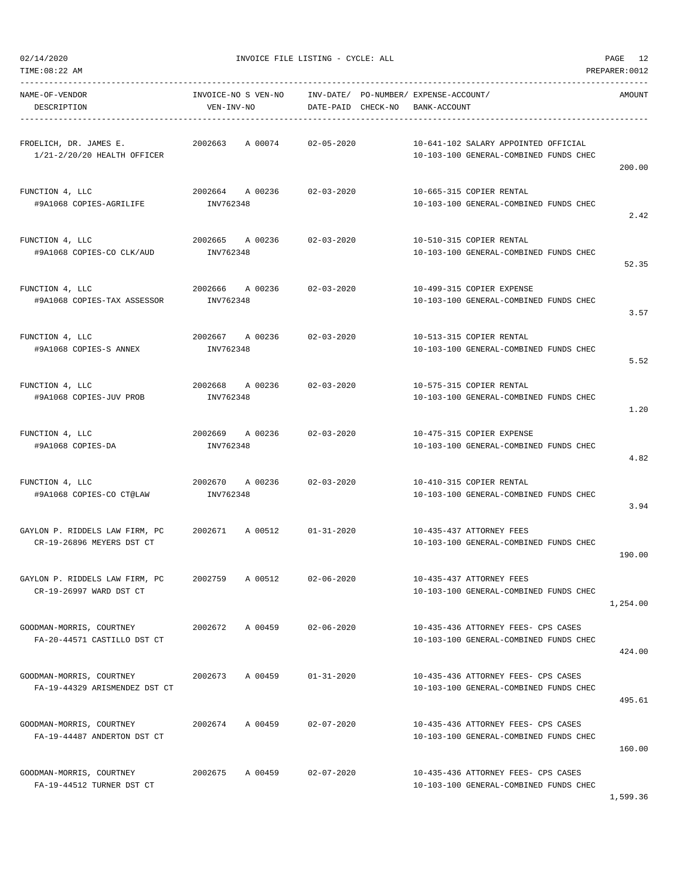TIME:08:22 AM PREPARER:0012 -----------------------------------------------------------------------------------------------------------------------------------

2.42

52.35

3.57

5.52

1.20

4.82

3.94

NAME-OF-VENDOR INVOICE-NO S VEN-NO INV-DATE/ PO-NUMBER/ EXPENSE-ACCOUNT/ AMOUNT DESCRIPTION VEN-INV-NO DATE-PAID CHECK-NO BANK-ACCOUNT ----------------------------------------------------------------------------------------------------------------------------------- FROELICH, DR. JAMES E. 2002663 A 00074 02-05-2020 10-641-102 SALARY APPOINTED OFFICIAL 1/21-2/20/20 HEALTH OFFICER 10-103-100 GENERAL-COMBINED FUNDS CHEC 200.00 FUNCTION 4, LLC 2002664 A 00236 02-03-2020 10-665-315 COPIER RENTAL #9A1068 COPIES-AGRILIFE INV762348 10-103-100 GENERAL-COMBINED FUNDS CHEC FUNCTION 4, LLC 2002665 A 00236 02-03-2020 10-510-315 COPIER RENTAL #9A1068 COPIES-CO CLK/AUD INV762348 10-103-100 GENERAL-COMBINED FUNDS CHEC FUNCTION 4, LLC 2002666 A 00236 02-03-2020 10-499-315 COPIER EXPENSE #9A1068 COPIES-TAX ASSESSOR INV762348 10-103-100 GENERAL-COMBINED FUNDS CHEC FUNCTION 4, LLC 2002667 A 00236 02-03-2020 10-513-315 COPIER RENTAL #9A1068 COPIES-S ANNEX INV762348 10-103-100 GENERAL-COMBINED FUNDS CHEC FUNCTION 4, LLC 2002668 A 00236 02-03-2020 10-575-315 COPIER RENTAL #9A1068 COPIES-JUV PROB INV762348 10-103-100 GENERAL-COMBINED FUNDS CHEC FUNCTION 4, LLC 2002669 A 00236 02-03-2020 10-475-315 COPIER EXPENSE #9A1068 COPIES-DA INV762348 10-103-100 GENERAL-COMBINED FUNDS CHEC FUNCTION 4, LLC 2002670 A 00236 02-03-2020 10-410-315 COPIER RENTAL #9A1068 COPIES-CO CT@LAW INV762348 10-103-100 GENERAL-COMBINED FUNDS CHEC GAYLON P. RIDDELS LAW FIRM, PC 2002671 A 00512 01-31-2020 10-435-437 ATTORNEY FEES CR-19-26896 MEYERS DST CT 10-103-100 GENERAL-COMBINED FUNDS CHEC 190.00 GAYLON P. RIDDELS LAW FIRM, PC 2002759 A 00512 02-06-2020 10-435-437 ATTORNEY FEES CR-19-26997 WARD DST CT 10-103-100 GENERAL-COMBINED FUNDS CHEC 1,254.00 GOODMAN-MORRIS, COURTNEY 2002672 A 00459 02-06-2020 10-435-436 ATTORNEY FEES- CPS CASES FA-20-44571 CASTILLO DST CT 10-103-100 GENERAL-COMBINED FUNDS CHEC 424.00 GOODMAN-MORRIS, COURTNEY 2002673 A 00459 01-31-2020 10-435-436 ATTORNEY FEES- CPS CASES FA-19-44329 ARISMENDEZ DST CT 10-103-100 GENERAL-COMBINED FUNDS CHEC 495.61 GOODMAN-MORRIS, COURTNEY 2002674 A 00459 02-07-2020 10-435-436 ATTORNEY FEES- CPS CASES FA-19-44487 ANDERTON DST CT 10-103-100 GENERAL-COMBINED FUNDS CHEC 160.00 GOODMAN-MORRIS, COURTNEY 2002675 A 00459 02-07-2020 10-435-436 ATTORNEY FEES- CPS CASES FA-19-44512 TURNER DST CT 10-103-100 GENERAL-COMBINED FUNDS CHEC 1,599.36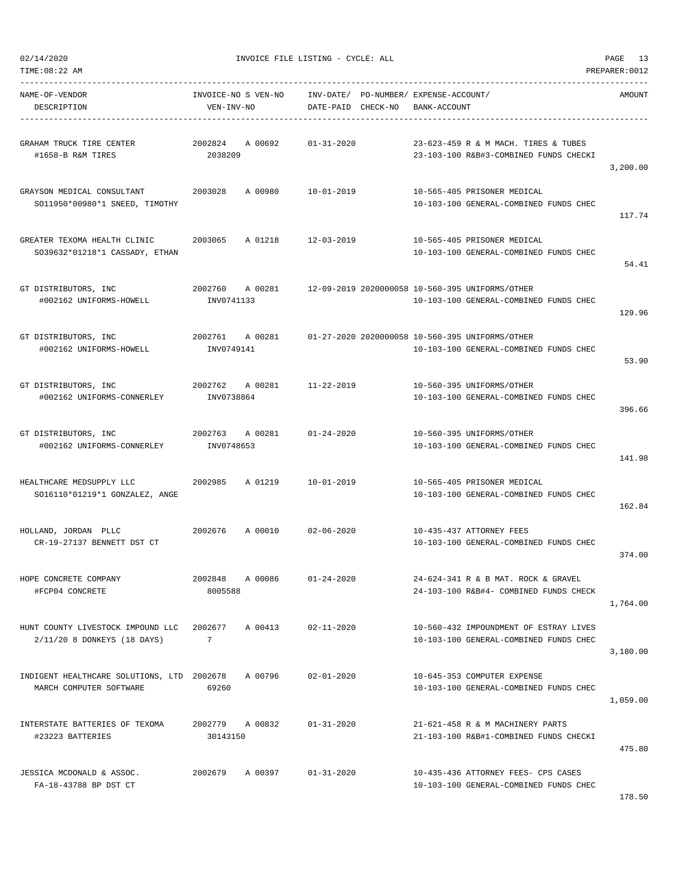| NAME-OF-VENDOR<br>DESCRIPTION                                              | VEN-INV-NO                    | INVOICE-NO S VEN-NO INV-DATE/ PO-NUMBER/ EXPENSE-ACCOUNT/ | DATE-PAID CHECK-NO | BANK-ACCOUNT |                                                                                                           | AMOUNT   |
|----------------------------------------------------------------------------|-------------------------------|-----------------------------------------------------------|--------------------|--------------|-----------------------------------------------------------------------------------------------------------|----------|
| GRAHAM TRUCK TIRE CENTER $2002824$ A 00692 01-31-2020<br>#1658-B R&M TIRES | 2038209                       |                                                           |                    |              | 23-623-459 R & M MACH. TIRES & TUBES<br>23-103-100 R&B#3-COMBINED FUNDS CHECKI                            | 3,200.00 |
| GRAYSON MEDICAL CONSULTANT<br>SO11950*00980*1 SNEED, TIMOTHY               |                               | 2003028 A 00980 10-01-2019                                |                    |              | 10-565-405 PRISONER MEDICAL<br>10-103-100 GENERAL-COMBINED FUNDS CHEC                                     | 117.74   |
| GREATER TEXOMA HEALTH CLINIC<br>S039632*01218*1 CASSADY, ETHAN             | 2003065                       | A 01218 12-03-2019                                        |                    |              | 10-565-405 PRISONER MEDICAL<br>10-103-100 GENERAL-COMBINED FUNDS CHEC                                     | 54.41    |
| GT DISTRIBUTORS, INC<br>#002162 UNIFORMS-HOWELL                            | INV0741133                    |                                                           |                    |              | 2002760 A 00281 12-09-2019 2020000058 10-560-395 UNIFORMS/OTHER<br>10-103-100 GENERAL-COMBINED FUNDS CHEC | 129.96   |
| GT DISTRIBUTORS, INC<br>#002162 UNIFORMS-HOWELL                            | INV0749141                    |                                                           |                    |              | 2002761 A 00281 01-27-2020 2020000058 10-560-395 UNIFORMS/OTHER<br>10-103-100 GENERAL-COMBINED FUNDS CHEC | 53.90    |
| GT DISTRIBUTORS, INC<br>#002162 UNIFORMS-CONNERLEY                         | INV0738864                    | 2002762 A 00281 11-22-2019                                |                    |              | 10-560-395 UNIFORMS/OTHER<br>10-103-100 GENERAL-COMBINED FUNDS CHEC                                       | 396.66   |
| GT DISTRIBUTORS, INC<br>#002162 UNIFORMS-CONNERLEY                         | 2002763 A 00281<br>INV0748653 |                                                           | $01 - 24 - 2020$   |              | 10-560-395 UNIFORMS/OTHER<br>10-103-100 GENERAL-COMBINED FUNDS CHEC                                       | 141.98   |
| HEALTHCARE MEDSUPPLY LLC<br>SO16110*01219*1 GONZALEZ, ANGE                 | 2002985                       | A 01219                                                   | 10-01-2019         |              | 10-565-405 PRISONER MEDICAL<br>10-103-100 GENERAL-COMBINED FUNDS CHEC                                     | 162.84   |
| HOLLAND, JORDAN PLLC<br>CR-19-27137 BENNETT DST CT                         |                               | 2002676 A 00010 02-06-2020                                |                    |              | 10-435-437 ATTORNEY FEES<br>10-103-100 GENERAL-COMBINED FUNDS CHEC                                        | 374.00   |
| HOPE CONCRETE COMPANY<br>#FCP04 CONCRETE                                   | 2002848<br>8005588            | A 00086                                                   | $01 - 24 - 2020$   |              | 24-624-341 R & B MAT. ROCK & GRAVEL<br>24-103-100 R&B#4- COMBINED FUNDS CHECK                             | 1,764.00 |
| HUNT COUNTY LIVESTOCK IMPOUND LLC<br>2/11/20 8 DONKEYS (18 DAYS)           | 2002677<br>7                  | A 00413                                                   | $02 - 11 - 2020$   |              | 10-560-432 IMPOUNDMENT OF ESTRAY LIVES<br>10-103-100 GENERAL-COMBINED FUNDS CHEC                          | 3,180.00 |
| INDIGENT HEALTHCARE SOLUTIONS, LTD 2002678<br>MARCH COMPUTER SOFTWARE      | 69260                         | A 00796                                                   | $02 - 01 - 2020$   |              | 10-645-353 COMPUTER EXPENSE<br>10-103-100 GENERAL-COMBINED FUNDS CHEC                                     | 1,059.00 |
| INTERSTATE BATTERIES OF TEXOMA<br>#23223 BATTERIES                         | 2002779<br>30143150           | A 00832                                                   | $01 - 31 - 2020$   |              | 21-621-458 R & M MACHINERY PARTS<br>21-103-100 R&B#1-COMBINED FUNDS CHECKI                                | 475.80   |
| JESSICA MCDONALD & ASSOC.<br>FA-18-43788 BP DST CT                         | 2002679                       | A 00397                                                   | $01 - 31 - 2020$   |              | 10-435-436 ATTORNEY FEES- CPS CASES<br>10-103-100 GENERAL-COMBINED FUNDS CHEC                             |          |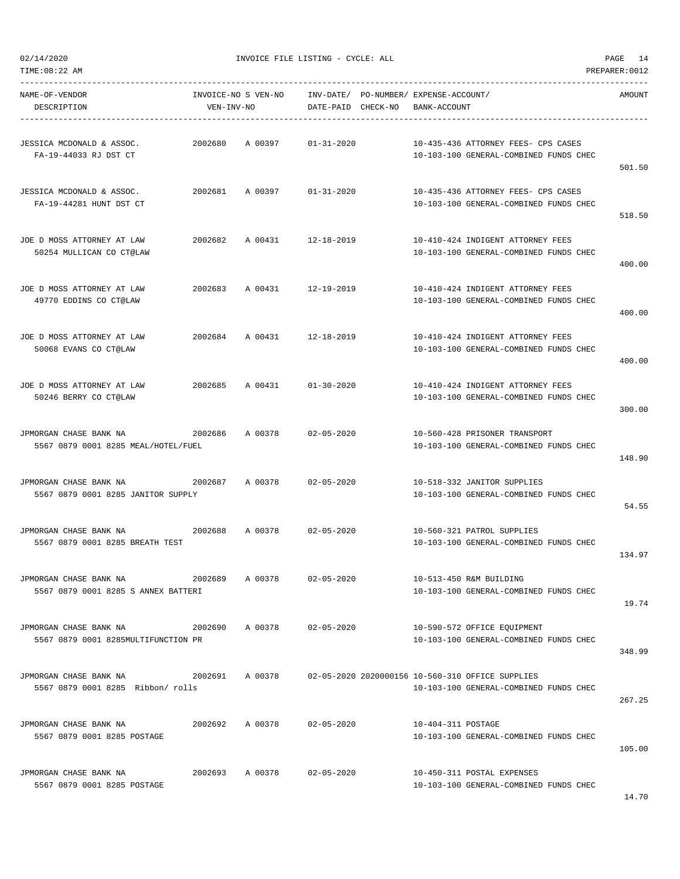TIME:08:22 AM PREPARER:0012

| NAME-OF-VENDOR<br>DESCRIPTION                                 | INVOICE-NO S VEN-NO<br>VEN-INV-NO |                            | INV-DATE/ PO-NUMBER/ EXPENSE-ACCOUNT/<br>DATE-PAID CHECK-NO | BANK-ACCOUNT       |                                                                                            | AMOUNT |
|---------------------------------------------------------------|-----------------------------------|----------------------------|-------------------------------------------------------------|--------------------|--------------------------------------------------------------------------------------------|--------|
| JESSICA MCDONALD & ASSOC.<br>FA-19-44033 RJ DST CT            | 2002680                           | A 00397                    | 01-31-2020                                                  |                    | 10-435-436 ATTORNEY FEES- CPS CASES<br>10-103-100 GENERAL-COMBINED FUNDS CHEC              | 501.50 |
| JESSICA MCDONALD & ASSOC.<br>FA-19-44281 HUNT DST CT          |                                   | 2002681 A 00397 01-31-2020 |                                                             |                    | 10-435-436 ATTORNEY FEES- CPS CASES<br>10-103-100 GENERAL-COMBINED FUNDS CHEC              | 518.50 |
| JOE D MOSS ATTORNEY AT LAW<br>50254 MULLICAN CO CT@LAW        | 2002682                           | A 00431 12-18-2019         |                                                             |                    | 10-410-424 INDIGENT ATTORNEY FEES<br>10-103-100 GENERAL-COMBINED FUNDS CHEC                | 400.00 |
| JOE D MOSS ATTORNEY AT LAW<br>49770 EDDINS CO CT@LAW          | 2002683 A 00431                   |                            | 12-19-2019                                                  |                    | 10-410-424 INDIGENT ATTORNEY FEES<br>10-103-100 GENERAL-COMBINED FUNDS CHEC                | 400.00 |
| JOE D MOSS ATTORNEY AT LAW<br>50068 EVANS CO CT@LAW           |                                   | 2002684 A 00431 12-18-2019 |                                                             |                    | 10-410-424 INDIGENT ATTORNEY FEES<br>10-103-100 GENERAL-COMBINED FUNDS CHEC                | 400.00 |
| JOE D MOSS ATTORNEY AT LAW<br>50246 BERRY CO CT@LAW           |                                   | 2002685 A 00431 01-30-2020 |                                                             |                    | 10-410-424 INDIGENT ATTORNEY FEES<br>10-103-100 GENERAL-COMBINED FUNDS CHEC                | 300.00 |
| JPMORGAN CHASE BANK NA<br>5567 0879 0001 8285 MEAL/HOTEL/FUEL | 2002686                           | A 00378 02-05-2020         |                                                             |                    | 10-560-428 PRISONER TRANSPORT<br>10-103-100 GENERAL-COMBINED FUNDS CHEC                    | 148.90 |
| JPMORGAN CHASE BANK NA<br>5567 0879 0001 8285 JANITOR SUPPLY  | 2002687                           | A 00378                    | 02-05-2020                                                  |                    | 10-518-332 JANITOR SUPPLIES<br>10-103-100 GENERAL-COMBINED FUNDS CHEC                      | 54.55  |
| JPMORGAN CHASE BANK NA<br>5567 0879 0001 8285 BREATH TEST     | 2002688                           | A 00378                    | 02-05-2020                                                  |                    | 10-560-321 PATROL SUPPLIES<br>10-103-100 GENERAL-COMBINED FUNDS CHEC                       | 134.97 |
| JPMORGAN CHASE BANK NA<br>5567 0879 0001 8285 S ANNEX BATTERI | 2002689                           | A 00378                    | $02 - 05 - 2020$                                            |                    | 10-513-450 R&M BUILDING<br>10-103-100 GENERAL-COMBINED FUNDS CHEC                          | 19.74  |
| JPMORGAN CHASE BANK NA<br>5567 0879 0001 8285MULTIFUNCTION PR | 2002690                           | A 00378                    | 02-05-2020                                                  |                    | 10-590-572 OFFICE EQUIPMENT<br>10-103-100 GENERAL-COMBINED FUNDS CHEC                      | 348.99 |
| JPMORGAN CHASE BANK NA<br>5567 0879 0001 8285 Ribbon/ rolls   | 2002691 A 00378                   |                            |                                                             |                    | 02-05-2020 2020000156 10-560-310 OFFICE SUPPLIES<br>10-103-100 GENERAL-COMBINED FUNDS CHEC | 267.25 |
| JPMORGAN CHASE BANK NA<br>5567 0879 0001 8285 POSTAGE         | 2002692                           | A 00378                    | $02 - 05 - 2020$                                            | 10-404-311 POSTAGE | 10-103-100 GENERAL-COMBINED FUNDS CHEC                                                     | 105.00 |
| JPMORGAN CHASE BANK NA<br>5567 0879 0001 8285 POSTAGE         | 2002693 A 00378                   |                            | 02-05-2020                                                  |                    | 10-450-311 POSTAL EXPENSES<br>10-103-100 GENERAL-COMBINED FUNDS CHEC                       |        |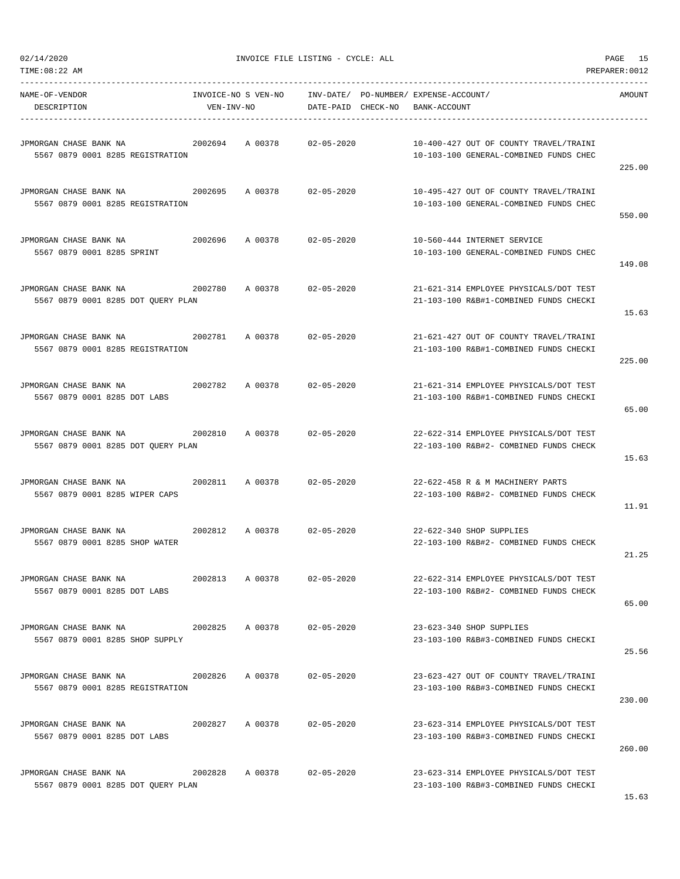| NAME-OF-VENDOR<br>DESCRIPTION                                                         | VEN-INV-NO | INVOICE-NO S VEN-NO INV-DATE/ PO-NUMBER/ EXPENSE-ACCOUNT/ |            | DATE-PAID CHECK-NO BANK-ACCOUNT |                                                                                  | AMOUNT |
|---------------------------------------------------------------------------------------|------------|-----------------------------------------------------------|------------|---------------------------------|----------------------------------------------------------------------------------|--------|
| 5567 0879 0001 8285 REGISTRATION                                                      |            |                                                           |            |                                 | 10-400-427 OUT OF COUNTY TRAVEL/TRAINI<br>10-103-100 GENERAL-COMBINED FUNDS CHEC | 225.00 |
| JPMORGAN CHASE BANK NA<br>5567 0879 0001 8285 REGISTRATION                            |            | 2002695 A 00378 02-05-2020                                |            |                                 | 10-495-427 OUT OF COUNTY TRAVEL/TRAINI<br>10-103-100 GENERAL-COMBINED FUNDS CHEC | 550.00 |
| JPMORGAN CHASE BANK NA<br>5567 0879 0001 8285 SPRINT                                  |            |                                                           |            |                                 | 10-560-444 INTERNET SERVICE<br>10-103-100 GENERAL-COMBINED FUNDS CHEC            | 149.08 |
| JPMORGAN CHASE BANK NA<br>5567 0879 0001 8285 DOT QUERY PLAN                          |            | 2002780 A 00378 02-05-2020                                |            |                                 | 21-621-314 EMPLOYEE PHYSICALS/DOT TEST<br>21-103-100 R&B#1-COMBINED FUNDS CHECKI | 15.63  |
| 5567 0879 0001 8285 REGISTRATION                                                      |            |                                                           |            |                                 | 21-621-427 OUT OF COUNTY TRAVEL/TRAINI<br>21-103-100 R&B#1-COMBINED FUNDS CHECKI | 225.00 |
| 5567 0879 0001 8285 DOT LABS                                                          |            |                                                           |            |                                 | 21-621-314 EMPLOYEE PHYSICALS/DOT TEST<br>21-103-100 R&B#1-COMBINED FUNDS CHECKI | 65.00  |
| 5567 0879 0001 8285 DOT QUERY PLAN                                                    |            |                                                           |            |                                 | 22-622-314 EMPLOYEE PHYSICALS/DOT TEST<br>22-103-100 R&B#2- COMBINED FUNDS CHECK | 15.63  |
| 5567 0879 0001 8285 WIPER CAPS                                                        |            |                                                           |            |                                 | 22-622-458 R & M MACHINERY PARTS<br>22-103-100 R&B#2- COMBINED FUNDS CHECK       | 11.91  |
| 5567 0879 0001 8285 SHOP WATER                                                        |            |                                                           |            |                                 | 22-622-340 SHOP SUPPLIES<br>22-103-100 R&B#2- COMBINED FUNDS CHECK               | 21.25  |
| JPMORGAN CHASE BANK NA<br>5567 0879 0001 8285 DOT LABS                                | 2002813    | A 00378                                                   | 02-05-2020 |                                 | 22-622-314 EMPLOYEE PHYSICALS/DOT TEST<br>22-103-100 R&B#2- COMBINED FUNDS CHECK | 65.00  |
| 5567 0879 0001 8285 SHOP SUPPLY                                                       |            |                                                           |            |                                 | 23-623-340 SHOP SUPPLIES<br>23-103-100 R&B#3-COMBINED FUNDS CHECKI               | 25.56  |
| JPMORGAN CHASE BANK NA 5002826 A 00378 02-05-2020<br>5567 0879 0001 8285 REGISTRATION |            |                                                           |            |                                 | 23-623-427 OUT OF COUNTY TRAVEL/TRAINI<br>23-103-100 R&B#3-COMBINED FUNDS CHECKI | 230.00 |
| JPMORGAN CHASE BANK NA<br>5567 0879 0001 8285 DOT LABS                                |            | 2002827 A 00378 02-05-2020                                |            |                                 | 23-623-314 EMPLOYEE PHYSICALS/DOT TEST<br>23-103-100 R&B#3-COMBINED FUNDS CHECKI | 260.00 |
| JPMORGAN CHASE BANK NA<br>5567 0879 0001 8285 DOT QUERY PLAN                          |            | 2002828 A 00378 02-05-2020                                |            |                                 | 23-623-314 EMPLOYEE PHYSICALS/DOT TEST<br>23-103-100 R&B#3-COMBINED FUNDS CHECKI |        |

TIME:08:22 AM PREPARER:0012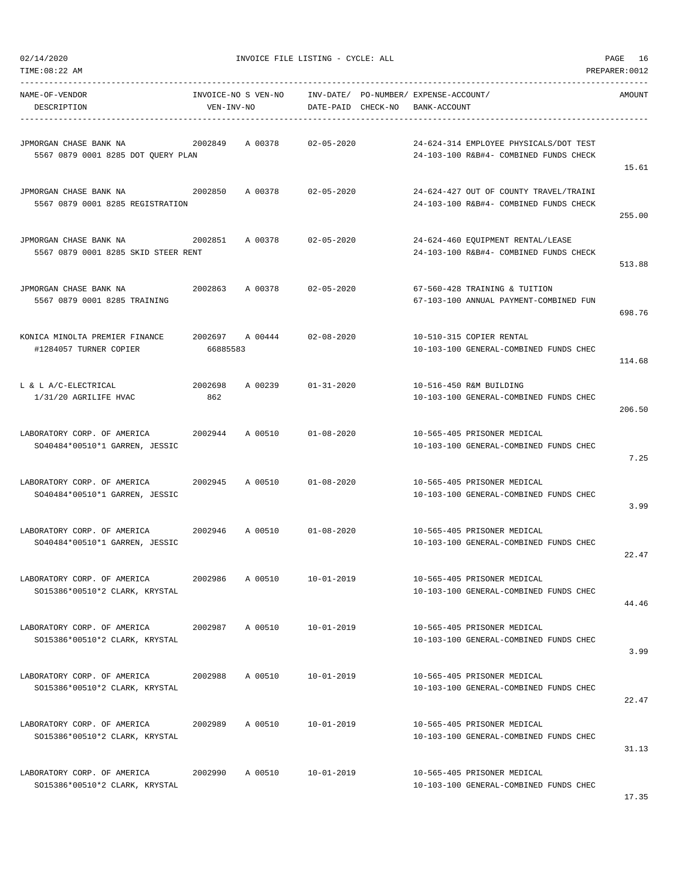| 02/14/2020                                                               |                             | INVOICE FILE LISTING - CYCLE: ALL |                    | PAGE<br>16 |                                                                                  |                |
|--------------------------------------------------------------------------|-----------------------------|-----------------------------------|--------------------|------------|----------------------------------------------------------------------------------|----------------|
| TIME:08:22 AM                                                            |                             |                                   |                    |            |                                                                                  | PREPARER: 0012 |
| NAME-OF-VENDOR<br>DESCRIPTION                                            | VEN-INV-NO                  |                                   | DATE-PAID CHECK-NO |            | INVOICE-NO S VEN-NO INV-DATE/ PO-NUMBER/ EXPENSE-ACCOUNT/<br>BANK-ACCOUNT        | AMOUNT         |
| JPMORGAN CHASE BANK NA<br>5567 0879 0001 8285 DOT QUERY PLAN             | 2002849                     | A 00378                           | 02-05-2020         |            | 24-624-314 EMPLOYEE PHYSICALS/DOT TEST<br>24-103-100 R&B#4- COMBINED FUNDS CHECK | 15.61          |
| JPMORGAN CHASE BANK NA<br>5567 0879 0001 8285 REGISTRATION               | 2002850                     | A 00378                           | 02-05-2020         |            | 24-624-427 OUT OF COUNTY TRAVEL/TRAINI<br>24-103-100 R&B#4- COMBINED FUNDS CHECK | 255.00         |
| JPMORGAN CHASE BANK NA<br>2002851<br>5567 0879 0001 8285 SKID STEER RENT |                             | A 00378                           | $02 - 05 - 2020$   |            | 24-624-460 EQUIPMENT RENTAL/LEASE<br>24-103-100 R&B#4- COMBINED FUNDS CHECK      | 513.88         |
| JPMORGAN CHASE BANK NA<br>5567 0879 0001 8285 TRAINING                   | 2002863                     | A 00378                           | $02 - 05 - 2020$   |            | 67-560-428 TRAINING & TUITION<br>67-103-100 ANNUAL PAYMENT-COMBINED FUN          | 698.76         |
| KONICA MINOLTA PREMIER FINANCE<br>#1284057 TURNER COPIER                 | 2002697 A 00444<br>66885583 |                                   | 02-08-2020         |            | 10-510-315 COPIER RENTAL<br>10-103-100 GENERAL-COMBINED FUNDS CHEC               | 114.68         |
| L & L A/C-ELECTRICAL<br>1/31/20 AGRILIFE HVAC                            | 2002698<br>862              | A 00239                           | $01 - 31 - 2020$   |            | 10-516-450 R&M BUILDING<br>10-103-100 GENERAL-COMBINED FUNDS CHEC                | 206.50         |
| LABORATORY CORP. OF AMERICA<br>SO40484*00510*1 GARREN, JESSIC            | 2002944                     | A 00510                           | $01 - 08 - 2020$   |            | 10-565-405 PRISONER MEDICAL<br>10-103-100 GENERAL-COMBINED FUNDS CHEC            | 7.25           |
| LABORATORY CORP. OF AMERICA<br>SO40484*00510*1 GARREN, JESSIC            | 2002945                     | A 00510                           | $01 - 08 - 2020$   |            | 10-565-405 PRISONER MEDICAL<br>10-103-100 GENERAL-COMBINED FUNDS CHEC            | 3.99           |
| LABORATORY CORP. OF AMERICA<br>SO40484*00510*1 GARREN, JESSIC            | 2002946                     | A 00510                           | $01 - 08 - 2020$   |            | 10-565-405 PRISONER MEDICAL<br>10-103-100 GENERAL-COMBINED FUNDS CHEC            | 22.47          |
| LABORATORY CORP. OF AMERICA<br>SO15386*00510*2 CLARK, KRYSTAL            | 2002986                     | A 00510                           | $10 - 01 - 2019$   |            | 10-565-405 PRISONER MEDICAL<br>10-103-100 GENERAL-COMBINED FUNDS CHEC            | 44.46          |
| LABORATORY CORP. OF AMERICA<br>SO15386*00510*2 CLARK, KRYSTAL            | 2002987                     | A 00510                           | $10 - 01 - 2019$   |            | 10-565-405 PRISONER MEDICAL<br>10-103-100 GENERAL-COMBINED FUNDS CHEC            | 3.99           |
| LABORATORY CORP. OF AMERICA<br>SO15386*00510*2 CLARK, KRYSTAL            | 2002988                     | A 00510                           | $10 - 01 - 2019$   |            | 10-565-405 PRISONER MEDICAL<br>10-103-100 GENERAL-COMBINED FUNDS CHEC            | 22.47          |
| LABORATORY CORP. OF AMERICA<br>SO15386*00510*2 CLARK, KRYSTAL            | 2002989                     | A 00510                           | $10 - 01 - 2019$   |            | 10-565-405 PRISONER MEDICAL<br>10-103-100 GENERAL-COMBINED FUNDS CHEC            | 31.13          |
| LABORATORY CORP. OF AMERICA<br>SO15386*00510*2 CLARK, KRYSTAL            | 2002990                     | A 00510                           | $10 - 01 - 2019$   |            | 10-565-405 PRISONER MEDICAL<br>10-103-100 GENERAL-COMBINED FUNDS CHEC            |                |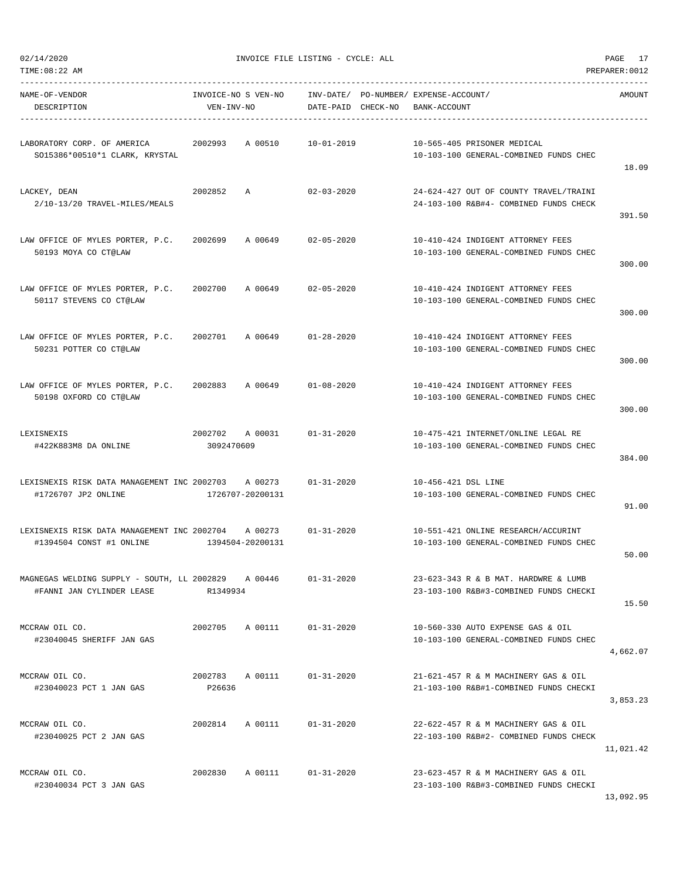$02/14/2020$  PAGE 17

| NAME-OF-VENDOR<br>DESCRIPTION                                                   | INVOICE-NO S VEN-NO<br>VEN-INV-NO |                  | DATE-PAID CHECK-NO | INV-DATE/ PO-NUMBER/ EXPENSE-ACCOUNT/<br>BANK-ACCOUNT |                                                                                  | AMOUNT    |
|---------------------------------------------------------------------------------|-----------------------------------|------------------|--------------------|-------------------------------------------------------|----------------------------------------------------------------------------------|-----------|
| LABORATORY CORP. OF AMERICA<br>SO15386*00510*1 CLARK, KRYSTAL                   | 2002993                           | A 00510          | 10-01-2019         |                                                       | 10-565-405 PRISONER MEDICAL<br>10-103-100 GENERAL-COMBINED FUNDS CHEC            | 18.09     |
| LACKEY, DEAN<br>2/10-13/20 TRAVEL-MILES/MEALS                                   | 2002852                           | Α                | $02 - 03 - 2020$   |                                                       | 24-624-427 OUT OF COUNTY TRAVEL/TRAINI<br>24-103-100 R&B#4- COMBINED FUNDS CHECK | 391.50    |
| LAW OFFICE OF MYLES PORTER, P.C.<br>50193 MOYA CO CT@LAW                        | 2002699                           | A 00649          | 02-05-2020         |                                                       | 10-410-424 INDIGENT ATTORNEY FEES<br>10-103-100 GENERAL-COMBINED FUNDS CHEC      | 300.00    |
| LAW OFFICE OF MYLES PORTER, P.C.<br>50117 STEVENS CO CT@LAW                     | 2002700                           | A 00649          | $02 - 05 - 2020$   |                                                       | 10-410-424 INDIGENT ATTORNEY FEES<br>10-103-100 GENERAL-COMBINED FUNDS CHEC      | 300.00    |
| LAW OFFICE OF MYLES PORTER, P.C.<br>50231 POTTER CO CT@LAW                      | 2002701                           | A 00649          | $01 - 28 - 2020$   |                                                       | 10-410-424 INDIGENT ATTORNEY FEES<br>10-103-100 GENERAL-COMBINED FUNDS CHEC      | 300.00    |
| LAW OFFICE OF MYLES PORTER, P.C.<br>50198 OXFORD CO CT@LAW                      | 2002883                           | A 00649          | $01 - 08 - 2020$   |                                                       | 10-410-424 INDIGENT ATTORNEY FEES<br>10-103-100 GENERAL-COMBINED FUNDS CHEC      | 300.00    |
| LEXISNEXIS<br>#422K883M8 DA ONLINE                                              | 2002702<br>3092470609             | A 00031          | $01 - 31 - 2020$   |                                                       | 10-475-421 INTERNET/ONLINE LEGAL RE<br>10-103-100 GENERAL-COMBINED FUNDS CHEC    | 384.00    |
| LEXISNEXIS RISK DATA MANAGEMENT INC 2002703 A 00273<br>#1726707 JP2 ONLINE      |                                   | 1726707-20200131 | $01 - 31 - 2020$   | 10-456-421 DSL LINE                                   | 10-103-100 GENERAL-COMBINED FUNDS CHEC                                           | 91.00     |
| LEXISNEXIS RISK DATA MANAGEMENT INC 2002704 A 00273<br>#1394504 CONST #1 ONLINE | 1394504-20200131                  |                  | $01 - 31 - 2020$   |                                                       | 10-551-421 ONLINE RESEARCH/ACCURINT<br>10-103-100 GENERAL-COMBINED FUNDS CHEC    | 50.00     |
| MAGNEGAS WELDING SUPPLY - SOUTH, LL 2002829<br>#FANNI JAN CYLINDER LEASE        | R1349934                          | A 00446          | $01 - 31 - 2020$   |                                                       | 23-623-343 R & B MAT. HARDWRE & LUMB<br>23-103-100 R&B#3-COMBINED FUNDS CHECKI   | 15.50     |
| MCCRAW OIL CO.<br>#23040045 SHERIFF JAN GAS                                     | 2002705                           | A 00111          | $01 - 31 - 2020$   |                                                       | 10-560-330 AUTO EXPENSE GAS & OIL<br>10-103-100 GENERAL-COMBINED FUNDS CHEC      | 4,662.07  |
| MCCRAW OIL CO.<br>#23040023 PCT 1 JAN GAS                                       | 2002783 A 00111<br>P26636         |                  | $01 - 31 - 2020$   |                                                       | 21-621-457 R & M MACHINERY GAS & OIL<br>21-103-100 R&B#1-COMBINED FUNDS CHECKI   | 3,853.23  |
| MCCRAW OIL CO.<br>#23040025 PCT 2 JAN GAS                                       | 2002814                           | A 00111          | $01 - 31 - 2020$   |                                                       | 22-622-457 R & M MACHINERY GAS & OIL<br>22-103-100 R&B#2- COMBINED FUNDS CHECK   | 11,021.42 |
| MCCRAW OIL CO.<br>#23040034 PCT 3 JAN GAS                                       | 2002830                           | A 00111          | $01 - 31 - 2020$   |                                                       | 23-623-457 R & M MACHINERY GAS & OIL<br>23-103-100 R&B#3-COMBINED FUNDS CHECKI   |           |

13,092.95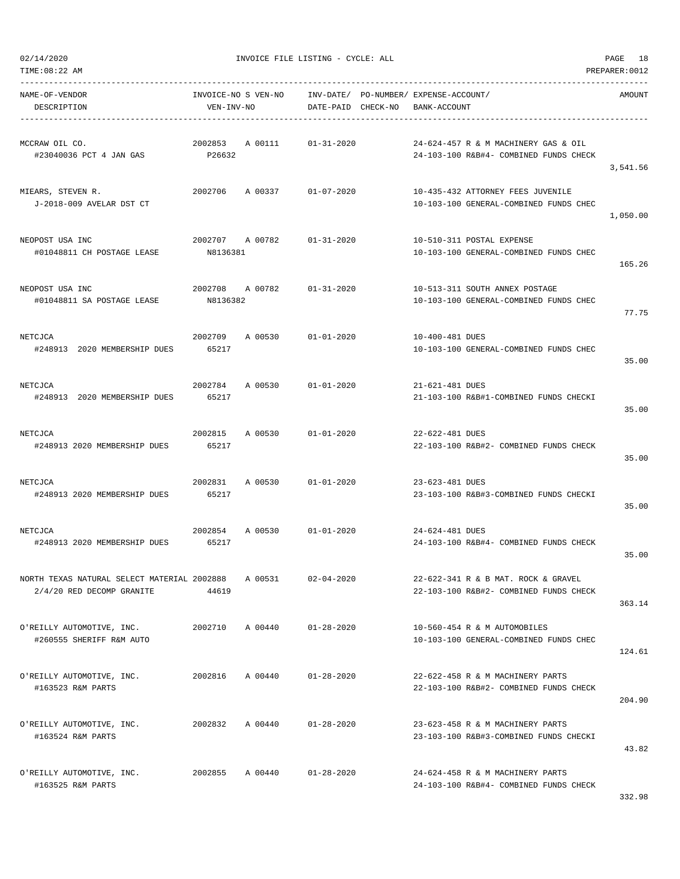| TIME: 08:22 AM                                                           |                                   |         |                        |          |                                                                                | PREPARER: 0012 |
|--------------------------------------------------------------------------|-----------------------------------|---------|------------------------|----------|--------------------------------------------------------------------------------|----------------|
| NAME-OF-VENDOR<br>DESCRIPTION                                            | INVOICE-NO S VEN-NO<br>VEN-INV-NO |         | INV-DATE/<br>DATE-PAID | CHECK-NO | PO-NUMBER / EXPENSE-ACCOUNT /<br>BANK-ACCOUNT                                  | AMOUNT         |
| MCCRAW OIL CO.<br>#23040036 PCT 4 JAN GAS                                | 2002853<br>P26632                 | A 00111 | $01 - 31 - 2020$       |          | 24-624-457 R & M MACHINERY GAS & OIL<br>24-103-100 R&B#4- COMBINED FUNDS CHECK | 3,541.56       |
| MIEARS, STEVEN R.<br>J-2018-009 AVELAR DST CT                            | 2002706                           | A 00337 | $01 - 07 - 2020$       |          | 10-435-432 ATTORNEY FEES JUVENILE<br>10-103-100 GENERAL-COMBINED FUNDS CHEC    | 1,050.00       |
| NEOPOST USA INC<br>#01048811 CH POSTAGE LEASE                            | 2002707<br>N8136381               | A 00782 | $01 - 31 - 2020$       |          | 10-510-311 POSTAL EXPENSE<br>10-103-100 GENERAL-COMBINED FUNDS CHEC            | 165.26         |
| NEOPOST USA INC<br>#01048811 SA POSTAGE LEASE                            | 2002708<br>N8136382               | A 00782 | $01 - 31 - 2020$       |          | 10-513-311 SOUTH ANNEX POSTAGE<br>10-103-100 GENERAL-COMBINED FUNDS CHEC       | 77.75          |
| NETCJCA<br>#248913 2020 MEMBERSHIP DUES                                  | 2002709<br>65217                  | A 00530 | $01 - 01 - 2020$       |          | 10-400-481 DUES<br>10-103-100 GENERAL-COMBINED FUNDS CHEC                      | 35.00          |
| NETCJCA<br>#248913 2020 MEMBERSHIP DUES                                  | 2002784<br>65217                  | A 00530 | $01 - 01 - 2020$       |          | 21-621-481 DUES<br>21-103-100 R&B#1-COMBINED FUNDS CHECKI                      | 35.00          |
| NETCJCA<br>#248913 2020 MEMBERSHIP DUES                                  | 2002815<br>65217                  | A 00530 | $01 - 01 - 2020$       |          | 22-622-481 DUES<br>22-103-100 R&B#2- COMBINED FUNDS CHECK                      | 35.00          |
| NETCJCA<br>#248913 2020 MEMBERSHIP DUES                                  | 2002831<br>65217                  | A 00530 | $01 - 01 - 2020$       |          | 23-623-481 DUES<br>23-103-100 R&B#3-COMBINED FUNDS CHECKI                      | 35.00          |
| NETCJCA<br>#248913 2020 MEMBERSHIP DUES                                  | 2002854<br>65217                  | A 00530 | $01 - 01 - 2020$       |          | 24-624-481 DUES<br>24-103-100 R&B#4- COMBINED FUNDS CHECK                      | 35.00          |
| NORTH TEXAS NATURAL SELECT MATERIAL 2002888<br>2/4/20 RED DECOMP GRANITE | 44619                             | A 00531 | $02 - 04 - 2020$       |          | 22-622-341 R & B MAT. ROCK & GRAVEL<br>22-103-100 R&B#2- COMBINED FUNDS CHECK  | 363.14         |
| O'REILLY AUTOMOTIVE, INC.<br>#260555 SHERIFF R&M AUTO                    | 2002710                           | A 00440 | $01 - 28 - 2020$       |          | 10-560-454 R & M AUTOMOBILES<br>10-103-100 GENERAL-COMBINED FUNDS CHEC         | 124.61         |
| O'REILLY AUTOMOTIVE, INC.<br>#163523 R&M PARTS                           | 2002816                           | A 00440 | $01 - 28 - 2020$       |          | 22-622-458 R & M MACHINERY PARTS<br>22-103-100 R&B#2- COMBINED FUNDS CHECK     | 204.90         |
| O'REILLY AUTOMOTIVE, INC.<br>#163524 R&M PARTS                           | 2002832                           | A 00440 | $01 - 28 - 2020$       |          | 23-623-458 R & M MACHINERY PARTS<br>23-103-100 R&B#3-COMBINED FUNDS CHECKI     | 43.82          |
| O'REILLY AUTOMOTIVE, INC.<br>#163525 R&M PARTS                           | 2002855                           | A 00440 | $01 - 28 - 2020$       |          | 24-624-458 R & M MACHINERY PARTS<br>24-103-100 R&B#4- COMBINED FUNDS CHECK     |                |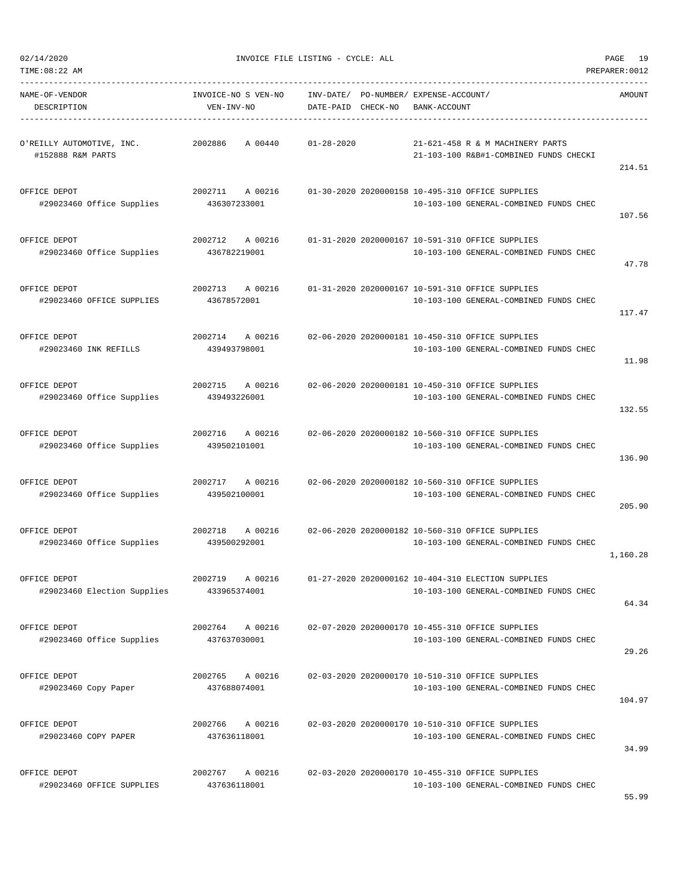| TIME:08:22 AM                                  |                                    |                                                                                                | PREPARER: 0012 |
|------------------------------------------------|------------------------------------|------------------------------------------------------------------------------------------------|----------------|
| NAME-OF-VENDOR<br>DESCRIPTION                  | INVOICE-NO S VEN-NO<br>VEN-INV-NO  | INV-DATE/<br>PO-NUMBER/ EXPENSE-ACCOUNT/<br>CHECK-NO<br>BANK-ACCOUNT<br>DATE-PAID              | AMOUNT         |
| O'REILLY AUTOMOTIVE, INC.<br>#152888 R&M PARTS | 2002886<br>A 00440                 | $01 - 28 - 2020$<br>21-621-458 R & M MACHINERY PARTS<br>21-103-100 R&B#1-COMBINED FUNDS CHECKI | 214.51         |
| OFFICE DEPOT<br>#29023460 Office Supplies      | 2002711<br>A 00216<br>436307233001 | 01-30-2020 2020000158 10-495-310 OFFICE SUPPLIES<br>10-103-100 GENERAL-COMBINED FUNDS CHEC     | 107.56         |
| OFFICE DEPOT<br>#29023460 Office Supplies      | 2002712<br>A 00216<br>436782219001 | 01-31-2020 2020000167 10-591-310 OFFICE SUPPLIES<br>10-103-100 GENERAL-COMBINED FUNDS CHEC     | 47.78          |
| OFFICE DEPOT<br>#29023460 OFFICE SUPPLIES      | 2002713<br>A 00216<br>43678572001  | 01-31-2020 2020000167 10-591-310 OFFICE SUPPLIES<br>10-103-100 GENERAL-COMBINED FUNDS CHEC     | 117.47         |
| OFFICE DEPOT<br>#29023460 INK REFILLS          | 2002714<br>A 00216<br>439493798001 | 02-06-2020 2020000181 10-450-310 OFFICE SUPPLIES<br>10-103-100 GENERAL-COMBINED FUNDS CHEC     | 11.98          |
| OFFICE DEPOT<br>#29023460 Office Supplies      | 2002715<br>A 00216<br>439493226001 | 02-06-2020 2020000181 10-450-310 OFFICE SUPPLIES<br>10-103-100 GENERAL-COMBINED FUNDS CHEC     | 132.55         |
| OFFICE DEPOT<br>#29023460 Office Supplies      | 2002716<br>A 00216<br>439502101001 | 02-06-2020 2020000182 10-560-310 OFFICE SUPPLIES<br>10-103-100 GENERAL-COMBINED FUNDS CHEC     | 136.90         |
| OFFICE DEPOT<br>#29023460 Office Supplies      | 2002717<br>A 00216<br>439502100001 | 02-06-2020 2020000182 10-560-310 OFFICE SUPPLIES<br>10-103-100 GENERAL-COMBINED FUNDS CHEC     | 205.90         |
| OFFICE DEPOT<br>#29023460 Office Supplies      | 2002718<br>A 00216<br>439500292001 | 02-06-2020 2020000182 10-560-310 OFFICE SUPPLIES<br>10-103-100 GENERAL-COMBINED FUNDS CHEC     | 1,160.28       |
| OFFICE DEPOT<br>#29023460 Election Supplies    | 2002719<br>A 00216<br>433965374001 | 01-27-2020 2020000162 10-404-310 ELECTION SUPPLIES<br>10-103-100 GENERAL-COMBINED FUNDS CHEC   | 64.34          |
| OFFICE DEPOT<br>#29023460 Office Supplies      | 2002764<br>A 00216<br>437637030001 | 02-07-2020 2020000170 10-455-310 OFFICE SUPPLIES<br>10-103-100 GENERAL-COMBINED FUNDS CHEC     | 29.26          |
| OFFICE DEPOT<br>#29023460 Copy Paper           | 2002765<br>A 00216<br>437688074001 | 02-03-2020 2020000170 10-510-310 OFFICE SUPPLIES<br>10-103-100 GENERAL-COMBINED FUNDS CHEC     | 104.97         |
| OFFICE DEPOT<br>#29023460 COPY PAPER           | 2002766<br>A 00216<br>437636118001 | 02-03-2020 2020000170 10-510-310 OFFICE SUPPLIES<br>10-103-100 GENERAL-COMBINED FUNDS CHEC     | 34.99          |
| OFFICE DEPOT<br>#29023460 OFFICE SUPPLIES      | 2002767<br>A 00216<br>437636118001 | 02-03-2020 2020000170 10-455-310 OFFICE SUPPLIES<br>10-103-100 GENERAL-COMBINED FUNDS CHEC     |                |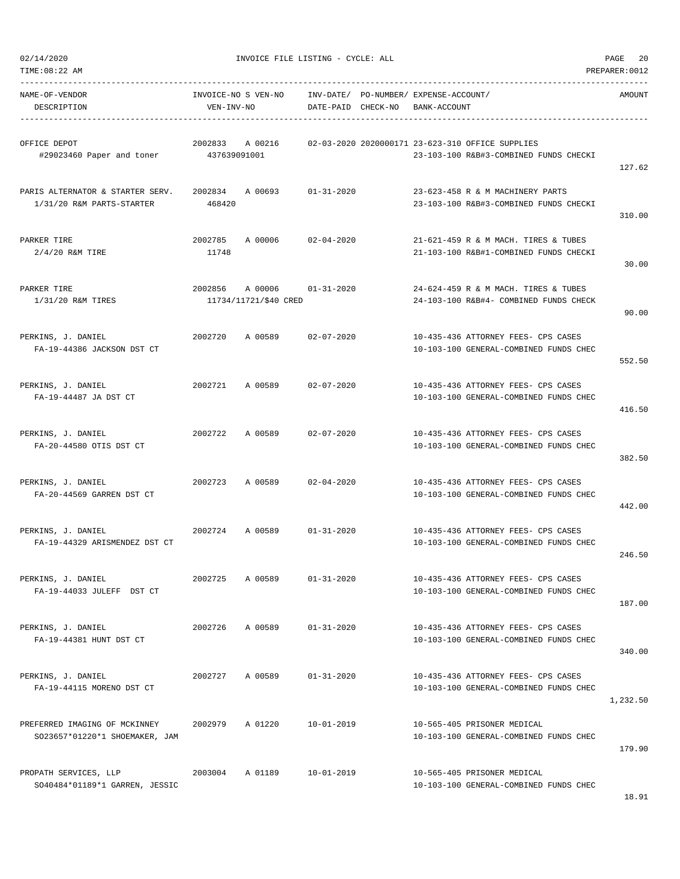| TIME: 08:22 AM                                                  |                                   |                                  |                                 |                                             |                                                                                            | PREPARER: 0012 |
|-----------------------------------------------------------------|-----------------------------------|----------------------------------|---------------------------------|---------------------------------------------|--------------------------------------------------------------------------------------------|----------------|
| NAME-OF-VENDOR<br>DESCRIPTION                                   | INVOICE-NO S VEN-NO<br>VEN-INV-NO |                                  | INV-DATE/<br>DATE-PAID CHECK-NO | PO-NUMBER/ EXPENSE-ACCOUNT/<br>BANK-ACCOUNT |                                                                                            | AMOUNT         |
| OFFICE DEPOT<br>#29023460 Paper and toner                       | 2002833<br>437639091001           | A 00216                          |                                 |                                             | 02-03-2020 2020000171 23-623-310 OFFICE SUPPLIES<br>23-103-100 R&B#3-COMBINED FUNDS CHECKI | 127.62         |
| PARIS ALTERNATOR & STARTER SERV.<br>1/31/20 R&M PARTS-STARTER   | 2002834<br>468420                 | A 00693                          | $01 - 31 - 2020$                |                                             | 23-623-458 R & M MACHINERY PARTS<br>23-103-100 R&B#3-COMBINED FUNDS CHECKI                 | 310.00         |
| PARKER TIRE<br>$2/4/20$ R&M TIRE                                | 2002785<br>11748                  | A 00006                          | $02 - 04 - 2020$                |                                             | 21-621-459 R & M MACH. TIRES & TUBES<br>21-103-100 R&B#1-COMBINED FUNDS CHECKI             | 30.00          |
| PARKER TIRE<br>1/31/20 R&M TIRES                                | 2002856                           | A 00006<br>11734/11721/\$40 CRED | $01 - 31 - 2020$                |                                             | 24-624-459 R & M MACH. TIRES & TUBES<br>24-103-100 R&B#4- COMBINED FUNDS CHECK             | 90.00          |
| PERKINS, J. DANIEL<br>FA-19-44386 JACKSON DST CT                | 2002720                           | A 00589                          | $02 - 07 - 2020$                |                                             | 10-435-436 ATTORNEY FEES- CPS CASES<br>10-103-100 GENERAL-COMBINED FUNDS CHEC              | 552.50         |
| PERKINS, J. DANIEL<br>FA-19-44487 JA DST CT                     | 2002721                           | A 00589                          | $02 - 07 - 2020$                |                                             | 10-435-436 ATTORNEY FEES- CPS CASES<br>10-103-100 GENERAL-COMBINED FUNDS CHEC              | 416.50         |
| PERKINS, J. DANIEL<br>FA-20-44580 OTIS DST CT                   | 2002722                           | A 00589                          | $02 - 07 - 2020$                |                                             | 10-435-436 ATTORNEY FEES- CPS CASES<br>10-103-100 GENERAL-COMBINED FUNDS CHEC              | 382.50         |
| PERKINS, J. DANIEL<br>FA-20-44569 GARREN DST CT                 | 2002723                           | A 00589                          | $02 - 04 - 2020$                |                                             | 10-435-436 ATTORNEY FEES- CPS CASES<br>10-103-100 GENERAL-COMBINED FUNDS CHEC              | 442.00         |
| PERKINS, J. DANIEL<br>FA-19-44329 ARISMENDEZ DST CT             | 2002724                           | A 00589                          | $01 - 31 - 2020$                |                                             | 10-435-436 ATTORNEY FEES- CPS CASES<br>10-103-100 GENERAL-COMBINED FUNDS CHEC              | 246.50         |
| PERKINS, J. DANIEL<br>FA-19-44033 JULEFF DST CT                 | 2002725                           | A 00589                          | $01 - 31 - 2020$                |                                             | 10-435-436 ATTORNEY FEES- CPS CASES<br>10-103-100 GENERAL-COMBINED FUNDS CHEC              | 187.00         |
| PERKINS, J. DANIEL<br>FA-19-44381 HUNT DST CT                   | 2002726                           | A 00589                          | $01 - 31 - 2020$                |                                             | 10-435-436 ATTORNEY FEES- CPS CASES<br>10-103-100 GENERAL-COMBINED FUNDS CHEC              | 340.00         |
| PERKINS, J. DANIEL<br>FA-19-44115 MORENO DST CT                 | 2002727                           | A 00589                          | $01 - 31 - 2020$                |                                             | 10-435-436 ATTORNEY FEES- CPS CASES<br>10-103-100 GENERAL-COMBINED FUNDS CHEC              | 1,232.50       |
| PREFERRED IMAGING OF MCKINNEY<br>SO23657*01220*1 SHOEMAKER, JAM | 2002979                           | A 01220                          | $10 - 01 - 2019$                |                                             | 10-565-405 PRISONER MEDICAL<br>10-103-100 GENERAL-COMBINED FUNDS CHEC                      | 179.90         |
| PROPATH SERVICES, LLP<br>SO40484*01189*1 GARREN, JESSIC         | 2003004                           | A 01189                          | $10 - 01 - 2019$                |                                             | 10-565-405 PRISONER MEDICAL<br>10-103-100 GENERAL-COMBINED FUNDS CHEC                      |                |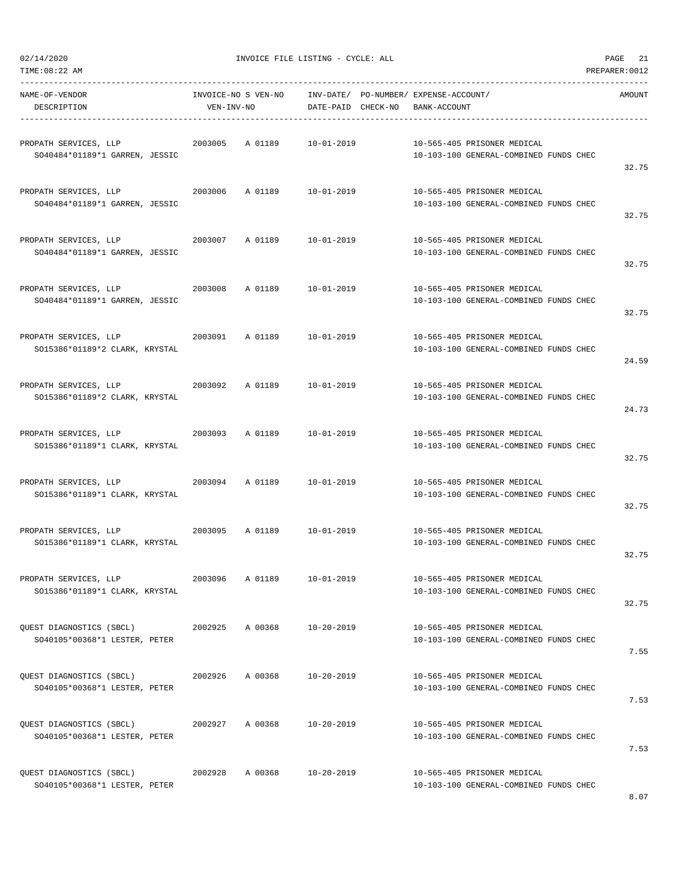| TIME: 08:22 AM                                                     |                                   |         |                    |                                                       |                                        | PREPARER: 0012 |
|--------------------------------------------------------------------|-----------------------------------|---------|--------------------|-------------------------------------------------------|----------------------------------------|----------------|
| NAME-OF-VENDOR<br>DESCRIPTION                                      | INVOICE-NO S VEN-NO<br>VEN-INV-NO |         | DATE-PAID CHECK-NO | INV-DATE/ PO-NUMBER/ EXPENSE-ACCOUNT/<br>BANK-ACCOUNT |                                        | AMOUNT         |
| PROPATH SERVICES, LLP<br>SO40484*01189*1 GARREN, JESSIC            | 2003005                           | A 01189 | $10 - 01 - 2019$   | 10-565-405 PRISONER MEDICAL                           | 10-103-100 GENERAL-COMBINED FUNDS CHEC | 32.75          |
| PROPATH SERVICES, LLP<br>SO40484*01189*1 GARREN, JESSIC            | 2003006                           | A 01189 | 10-01-2019         | 10-565-405 PRISONER MEDICAL                           | 10-103-100 GENERAL-COMBINED FUNDS CHEC | 32.75          |
| PROPATH SERVICES, LLP<br>SO40484*01189*1 GARREN, JESSIC            | 2003007                           | A 01189 | $10 - 01 - 2019$   | 10-565-405 PRISONER MEDICAL                           | 10-103-100 GENERAL-COMBINED FUNDS CHEC | 32.75          |
| PROPATH SERVICES, LLP<br>SO40484*01189*1 GARREN, JESSIC            | 2003008                           | A 01189 | $10 - 01 - 2019$   | 10-565-405 PRISONER MEDICAL                           | 10-103-100 GENERAL-COMBINED FUNDS CHEC | 32.75          |
| PROPATH SERVICES, LLP<br>SO15386*01189*2 CLARK, KRYSTAL            | 2003091                           | A 01189 | $10 - 01 - 2019$   | 10-565-405 PRISONER MEDICAL                           | 10-103-100 GENERAL-COMBINED FUNDS CHEC | 24.59          |
| PROPATH SERVICES, LLP<br>2003092<br>SO15386*01189*2 CLARK, KRYSTAL |                                   | A 01189 | $10 - 01 - 2019$   | 10-565-405 PRISONER MEDICAL                           | 10-103-100 GENERAL-COMBINED FUNDS CHEC | 24.73          |
| PROPATH SERVICES, LLP<br>SO15386*01189*1 CLARK, KRYSTAL            | 2003093                           | A 01189 | $10 - 01 - 2019$   | 10-565-405 PRISONER MEDICAL                           | 10-103-100 GENERAL-COMBINED FUNDS CHEC | 32.75          |
| PROPATH SERVICES, LLP<br>SO15386*01189*1 CLARK, KRYSTAL            | 2003094                           | A 01189 | $10 - 01 - 2019$   | 10-565-405 PRISONER MEDICAL                           | 10-103-100 GENERAL-COMBINED FUNDS CHEC | 32.75          |
| PROPATH SERVICES, LLP<br>SO15386*01189*1 CLARK, KRYSTAL            | 2003095                           | A 01189 | 10-01-2019         | 10-565-405 PRISONER MEDICAL                           | 10-103-100 GENERAL-COMBINED FUNDS CHEC | 32.75          |
| PROPATH SERVICES, LLP<br>SO15386*01189*1 CLARK, KRYSTAL            | 2003096                           | A 01189 | $10 - 01 - 2019$   | 10-565-405 PRISONER MEDICAL                           | 10-103-100 GENERAL-COMBINED FUNDS CHEC | 32.75          |
| QUEST DIAGNOSTICS (SBCL)<br>SO40105*00368*1 LESTER, PETER          | 2002925                           | A 00368 | $10 - 20 - 2019$   | 10-565-405 PRISONER MEDICAL                           | 10-103-100 GENERAL-COMBINED FUNDS CHEC | 7.55           |
| OUEST DIAGNOSTICS (SBCL)<br>SO40105*00368*1 LESTER, PETER          | 2002926                           | A 00368 | 10-20-2019         | 10-565-405 PRISONER MEDICAL                           | 10-103-100 GENERAL-COMBINED FUNDS CHEC | 7.53           |
| QUEST DIAGNOSTICS (SBCL)<br>SO40105*00368*1 LESTER, PETER          | 2002927                           | A 00368 | 10-20-2019         | 10-565-405 PRISONER MEDICAL                           | 10-103-100 GENERAL-COMBINED FUNDS CHEC | 7.53           |
| QUEST DIAGNOSTICS (SBCL)<br>SO40105*00368*1 LESTER, PETER          | 2002928                           | A 00368 | $10 - 20 - 2019$   | 10-565-405 PRISONER MEDICAL                           | 10-103-100 GENERAL-COMBINED FUNDS CHEC |                |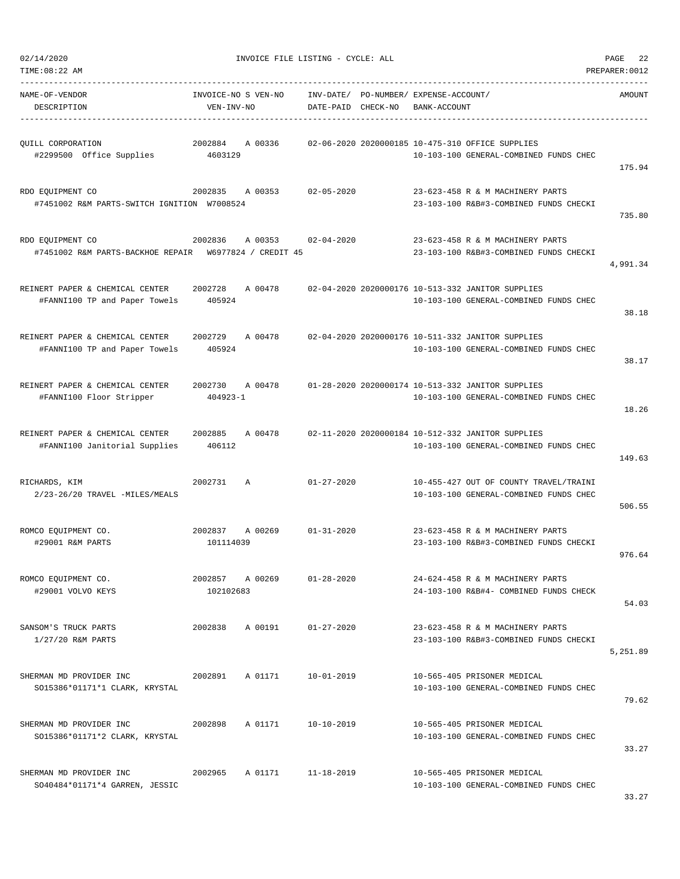| TIME:08:22 AM                                                              |                                    |                    |                                                       |                                                                                             | PREPARER: 0012 |
|----------------------------------------------------------------------------|------------------------------------|--------------------|-------------------------------------------------------|---------------------------------------------------------------------------------------------|----------------|
| NAME-OF-VENDOR<br>DESCRIPTION                                              | INVOICE-NO S VEN-NO<br>VEN-INV-NO  | DATE-PAID CHECK-NO | INV-DATE/ PO-NUMBER/ EXPENSE-ACCOUNT/<br>BANK-ACCOUNT |                                                                                             | AMOUNT         |
| QUILL CORPORATION<br>#2299500 Office Supplies                              | A 00336<br>2002884<br>4603129      |                    |                                                       | 02-06-2020 2020000185 10-475-310 OFFICE SUPPLIES<br>10-103-100 GENERAL-COMBINED FUNDS CHEC  | 175.94         |
| RDO EQUIPMENT CO<br>#7451002 R&M PARTS-SWITCH IGNITION W7008524            | 2002835<br>A 00353                 | $02 - 05 - 2020$   |                                                       | 23-623-458 R & M MACHINERY PARTS<br>23-103-100 R&B#3-COMBINED FUNDS CHECKI                  | 735.80         |
| RDO EQUIPMENT CO<br>#7451002 R&M PARTS-BACKHOE REPAIR W6977824 / CREDIT 45 | 2002836<br>A 00353                 | $02 - 04 - 2020$   |                                                       | 23-623-458 R & M MACHINERY PARTS<br>23-103-100 R&B#3-COMBINED FUNDS CHECKI                  | 4,991.34       |
| REINERT PAPER & CHEMICAL CENTER<br>#FANNI100 TP and Paper Towels           | A 00478<br>2002728<br>405924       |                    |                                                       | 02-04-2020 2020000176 10-513-332 JANITOR SUPPLIES<br>10-103-100 GENERAL-COMBINED FUNDS CHEC | 38.18          |
| REINERT PAPER & CHEMICAL CENTER<br>#FANNI100 TP and Paper Towels           | 2002729<br>A 00478<br>405924       |                    |                                                       | 02-04-2020 2020000176 10-511-332 JANITOR SUPPLIES<br>10-103-100 GENERAL-COMBINED FUNDS CHEC | 38.17          |
| REINERT PAPER & CHEMICAL CENTER<br>#FANNI100 Floor Stripper                | A 00478<br>2002730<br>$404923 - 1$ |                    |                                                       | 01-28-2020 2020000174 10-513-332 JANITOR SUPPLIES<br>10-103-100 GENERAL-COMBINED FUNDS CHEC | 18.26          |
| REINERT PAPER & CHEMICAL CENTER<br>#FANNI100 Janitorial Supplies           | 2002885<br>A 00478<br>406112       |                    |                                                       | 02-11-2020 2020000184 10-512-332 JANITOR SUPPLIES<br>10-103-100 GENERAL-COMBINED FUNDS CHEC | 149.63         |
| RICHARDS, KIM<br>2/23-26/20 TRAVEL -MILES/MEALS                            | 2002731<br>$\mathbb{A}$            | $01 - 27 - 2020$   |                                                       | 10-455-427 OUT OF COUNTY TRAVEL/TRAINI<br>10-103-100 GENERAL-COMBINED FUNDS CHEC            | 506.55         |
| ROMCO EQUIPMENT CO.<br>#29001 R&M PARTS                                    | 2002837<br>A 00269<br>101114039    | $01 - 31 - 2020$   |                                                       | 23-623-458 R & M MACHINERY PARTS<br>23-103-100 R&B#3-COMBINED FUNDS CHECKI                  | 976.64         |
| ROMCO EQUIPMENT CO.<br>#29001 VOLVO KEYS                                   | 2002857<br>A 00269<br>102102683    | $01 - 28 - 2020$   |                                                       | 24-624-458 R & M MACHINERY PARTS<br>24-103-100 R&B#4- COMBINED FUNDS CHECK                  | 54.03          |
| SANSOM'S TRUCK PARTS<br>1/27/20 R&M PARTS                                  | 2002838<br>A 00191                 | $01 - 27 - 2020$   |                                                       | 23-623-458 R & M MACHINERY PARTS<br>23-103-100 R&B#3-COMBINED FUNDS CHECKI                  | 5,251.89       |
| SHERMAN MD PROVIDER INC<br>SO15386*01171*1 CLARK, KRYSTAL                  | 2002891<br>A 01171                 | $10 - 01 - 2019$   |                                                       | 10-565-405 PRISONER MEDICAL<br>10-103-100 GENERAL-COMBINED FUNDS CHEC                       | 79.62          |
| SHERMAN MD PROVIDER INC<br>SO15386*01171*2 CLARK, KRYSTAL                  | 2002898<br>A 01171                 | 10-10-2019         |                                                       | 10-565-405 PRISONER MEDICAL<br>10-103-100 GENERAL-COMBINED FUNDS CHEC                       | 33.27          |
| SHERMAN MD PROVIDER INC<br>SO40484*01171*4 GARREN, JESSIC                  | 2002965<br>A 01171                 | $11 - 18 - 2019$   |                                                       | 10-565-405 PRISONER MEDICAL<br>10-103-100 GENERAL-COMBINED FUNDS CHEC                       | 33.27          |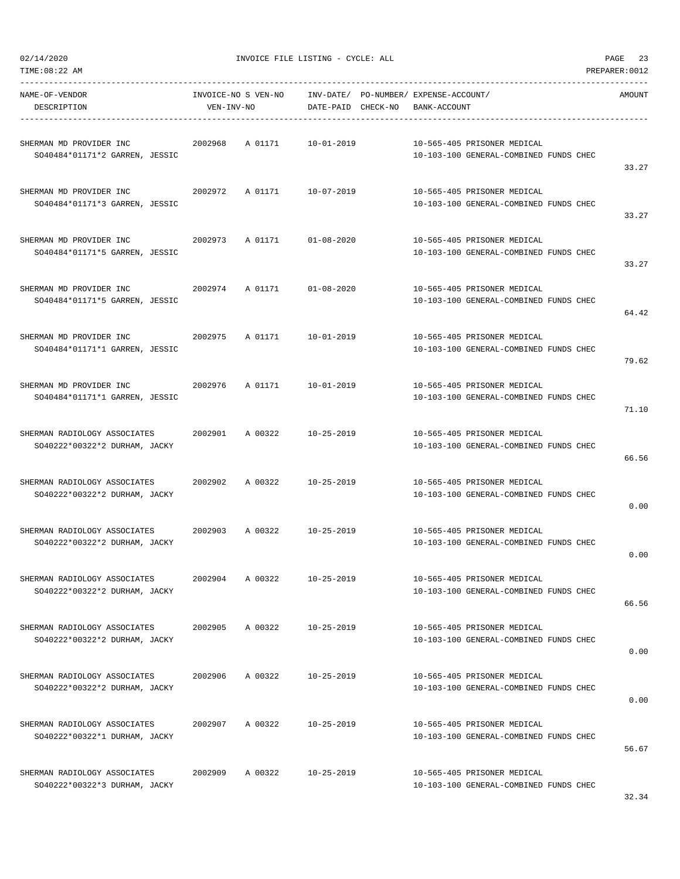TIME:08:22 AM PREPARER:0012

| NAME-OF-VENDOR<br>DESCRIPTION                                 | VEN-INV-NO | INVOICE-NO S VEN-NO INV-DATE/ PO-NUMBER/ EXPENSE-ACCOUNT/ | DATE-PAID CHECK-NO | BANK-ACCOUNT |                                                                       | AMOUNT |
|---------------------------------------------------------------|------------|-----------------------------------------------------------|--------------------|--------------|-----------------------------------------------------------------------|--------|
| SHERMAN MD PROVIDER INC<br>SO40484*01171*2 GARREN, JESSIC     | 2002968    | A 01171                                                   | 10-01-2019         |              | 10-565-405 PRISONER MEDICAL<br>10-103-100 GENERAL-COMBINED FUNDS CHEC | 33.27  |
| SHERMAN MD PROVIDER INC<br>SO40484*01171*3 GARREN, JESSIC     |            | 2002972 A 01171                                           | 10-07-2019         |              | 10-565-405 PRISONER MEDICAL<br>10-103-100 GENERAL-COMBINED FUNDS CHEC | 33.27  |
| SHERMAN MD PROVIDER INC<br>SO40484*01171*5 GARREN, JESSIC     | 2002973    | A 01171 01-08-2020                                        |                    |              | 10-565-405 PRISONER MEDICAL<br>10-103-100 GENERAL-COMBINED FUNDS CHEC | 33.27  |
| SHERMAN MD PROVIDER INC<br>SO40484*01171*5 GARREN, JESSIC     | 2002974    | A 01171 01-08-2020                                        |                    |              | 10-565-405 PRISONER MEDICAL<br>10-103-100 GENERAL-COMBINED FUNDS CHEC | 64.42  |
| SHERMAN MD PROVIDER INC<br>SO40484*01171*1 GARREN, JESSIC     | 2002975    | A 01171 10-01-2019                                        |                    |              | 10-565-405 PRISONER MEDICAL<br>10-103-100 GENERAL-COMBINED FUNDS CHEC | 79.62  |
| SHERMAN MD PROVIDER INC<br>SO40484*01171*1 GARREN, JESSIC     | 2002976    | A 01171                                                   | 10-01-2019         |              | 10-565-405 PRISONER MEDICAL<br>10-103-100 GENERAL-COMBINED FUNDS CHEC | 71.10  |
| SHERMAN RADIOLOGY ASSOCIATES<br>SO40222*00322*2 DURHAM, JACKY | 2002901    | A 00322 10-25-2019                                        |                    |              | 10-565-405 PRISONER MEDICAL<br>10-103-100 GENERAL-COMBINED FUNDS CHEC | 66.56  |
| SHERMAN RADIOLOGY ASSOCIATES<br>SO40222*00322*2 DURHAM, JACKY | 2002902    |                                                           | A 00322 10-25-2019 |              | 10-565-405 PRISONER MEDICAL<br>10-103-100 GENERAL-COMBINED FUNDS CHEC | 0.00   |
| SHERMAN RADIOLOGY ASSOCIATES<br>SO40222*00322*2 DURHAM, JACKY |            | 2002903 A 00322                                           | 10-25-2019         |              | 10-565-405 PRISONER MEDICAL<br>10-103-100 GENERAL-COMBINED FUNDS CHEC | 0.00   |
| SHERMAN RADIOLOGY ASSOCIATES<br>SO40222*00322*2 DURHAM, JACKY |            | 2002904 A 00322                                           | $10 - 25 - 2019$   |              | 10-565-405 PRISONER MEDICAL<br>10-103-100 GENERAL-COMBINED FUNDS CHEC | 66.56  |
| SHERMAN RADIOLOGY ASSOCIATES<br>SO40222*00322*2 DURHAM, JACKY | 2002905    | A 00322                                                   | $10 - 25 - 2019$   |              | 10-565-405 PRISONER MEDICAL<br>10-103-100 GENERAL-COMBINED FUNDS CHEC | 0.00   |
| SHERMAN RADIOLOGY ASSOCIATES<br>SO40222*00322*2 DURHAM, JACKY | 2002906    | A 00322                                                   | $10 - 25 - 2019$   |              | 10-565-405 PRISONER MEDICAL<br>10-103-100 GENERAL-COMBINED FUNDS CHEC | 0.00   |
| SHERMAN RADIOLOGY ASSOCIATES<br>SO40222*00322*1 DURHAM, JACKY | 2002907    | A 00322                                                   | $10 - 25 - 2019$   |              | 10-565-405 PRISONER MEDICAL<br>10-103-100 GENERAL-COMBINED FUNDS CHEC | 56.67  |
| SHERMAN RADIOLOGY ASSOCIATES<br>SO40222*00322*3 DURHAM, JACKY | 2002909    | A 00322                                                   | $10 - 25 - 2019$   |              | 10-565-405 PRISONER MEDICAL<br>10-103-100 GENERAL-COMBINED FUNDS CHEC |        |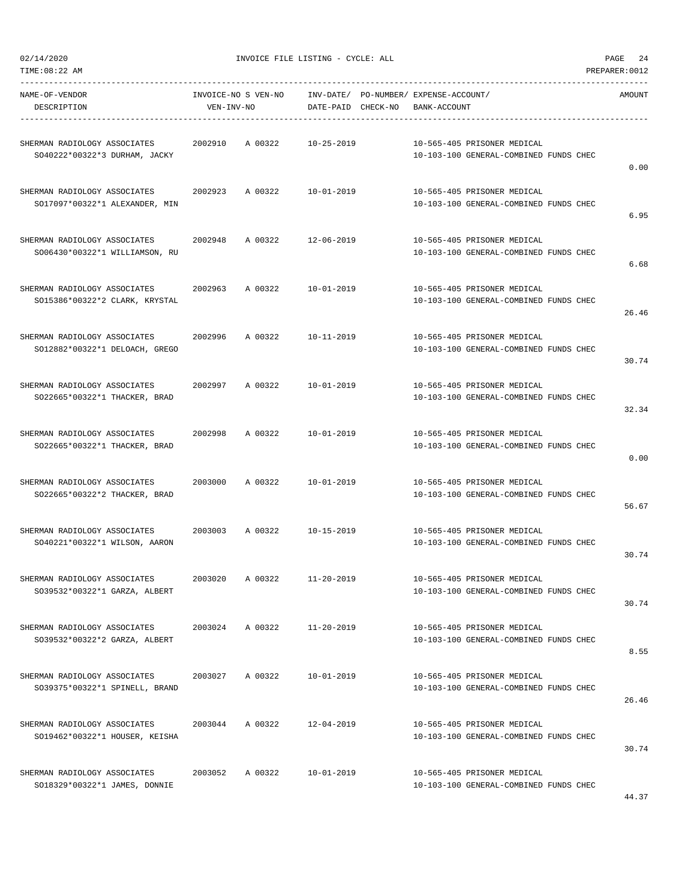02/14/2020 INVOICE FILE LISTING - CYCLE: ALL PAGE 24

| NAME-OF-VENDOR<br>DESCRIPTION                                  | VEN-INV-NO | INVOICE-NO S VEN-NO | DATE-PAID CHECK-NO | INV-DATE/ PO-NUMBER/ EXPENSE-ACCOUNT/<br>BANK-ACCOUNT |                                        | AMOUNT |
|----------------------------------------------------------------|------------|---------------------|--------------------|-------------------------------------------------------|----------------------------------------|--------|
| SHERMAN RADIOLOGY ASSOCIATES<br>SO40222*00322*3 DURHAM, JACKY  | 2002910    | A 00322             | $10 - 25 - 2019$   | 10-565-405 PRISONER MEDICAL                           | 10-103-100 GENERAL-COMBINED FUNDS CHEC |        |
|                                                                |            |                     |                    |                                                       |                                        | 0.00   |
| SHERMAN RADIOLOGY ASSOCIATES                                   | 2002923    | A 00322             | 10-01-2019         | 10-565-405 PRISONER MEDICAL                           |                                        |        |
| SO17097*00322*1 ALEXANDER, MIN                                 |            |                     |                    |                                                       | 10-103-100 GENERAL-COMBINED FUNDS CHEC | 6.95   |
| SHERMAN RADIOLOGY ASSOCIATES                                   | 2002948    | A 00322             | $12 - 06 - 2019$   | 10-565-405 PRISONER MEDICAL                           |                                        |        |
| SO06430*00322*1 WILLIAMSON, RU                                 |            |                     |                    |                                                       | 10-103-100 GENERAL-COMBINED FUNDS CHEC | 6.68   |
| SHERMAN RADIOLOGY ASSOCIATES                                   | 2002963    | A 00322             | $10 - 01 - 2019$   | 10-565-405 PRISONER MEDICAL                           |                                        |        |
| SO15386*00322*2 CLARK, KRYSTAL                                 |            |                     |                    |                                                       | 10-103-100 GENERAL-COMBINED FUNDS CHEC |        |
|                                                                |            |                     |                    |                                                       |                                        | 26.46  |
| SHERMAN RADIOLOGY ASSOCIATES                                   | 2002996    | A 00322             | 10-11-2019         | 10-565-405 PRISONER MEDICAL                           |                                        |        |
| SO12882*00322*1 DELOACH, GREGO                                 |            |                     |                    |                                                       | 10-103-100 GENERAL-COMBINED FUNDS CHEC | 30.74  |
| SHERMAN RADIOLOGY ASSOCIATES                                   | 2002997    | A 00322             | $10 - 01 - 2019$   | 10-565-405 PRISONER MEDICAL                           |                                        |        |
| SO22665*00322*1 THACKER, BRAD                                  |            |                     |                    |                                                       | 10-103-100 GENERAL-COMBINED FUNDS CHEC | 32.34  |
|                                                                |            |                     |                    |                                                       |                                        |        |
| SHERMAN RADIOLOGY ASSOCIATES<br>SO22665*00322*1 THACKER, BRAD  | 2002998    | A 00322             | $10 - 01 - 2019$   | 10-565-405 PRISONER MEDICAL                           | 10-103-100 GENERAL-COMBINED FUNDS CHEC |        |
|                                                                |            |                     |                    |                                                       |                                        | 0.00   |
| SHERMAN RADIOLOGY ASSOCIATES                                   | 2003000    | A 00322             | $10 - 01 - 2019$   | 10-565-405 PRISONER MEDICAL                           |                                        |        |
| SO22665*00322*2 THACKER, BRAD                                  |            |                     |                    |                                                       | 10-103-100 GENERAL-COMBINED FUNDS CHEC | 56.67  |
| SHERMAN RADIOLOGY ASSOCIATES                                   | 2003003    | A 00322             | 10-15-2019         | 10-565-405 PRISONER MEDICAL                           |                                        |        |
| SO40221*00322*1 WILSON, AARON                                  |            |                     |                    |                                                       | 10-103-100 GENERAL-COMBINED FUNDS CHEC |        |
|                                                                |            |                     |                    |                                                       |                                        | 30.74  |
| SHERMAN RADIOLOGY ASSOCIATES<br>SO39532*00322*1 GARZA, ALBERT  | 2003020    | A 00322             | $11 - 20 - 2019$   | 10-565-405 PRISONER MEDICAL                           | 10-103-100 GENERAL-COMBINED FUNDS CHEC |        |
|                                                                |            |                     |                    |                                                       |                                        | 30.74  |
| SHERMAN RADIOLOGY ASSOCIATES                                   | 2003024    | A 00322             | $11 - 20 - 2019$   | 10-565-405 PRISONER MEDICAL                           |                                        |        |
| SO39532*00322*2 GARZA, ALBERT                                  |            |                     |                    |                                                       | 10-103-100 GENERAL-COMBINED FUNDS CHEC | 8.55   |
|                                                                |            |                     |                    |                                                       |                                        |        |
| SHERMAN RADIOLOGY ASSOCIATES<br>S039375*00322*1 SPINELL, BRAND | 2003027    | A 00322             | $10 - 01 - 2019$   | 10-565-405 PRISONER MEDICAL                           | 10-103-100 GENERAL-COMBINED FUNDS CHEC |        |
|                                                                |            |                     |                    |                                                       |                                        | 26.46  |
| SHERMAN RADIOLOGY ASSOCIATES                                   | 2003044    | A 00322             | $12 - 04 - 2019$   | 10-565-405 PRISONER MEDICAL                           |                                        |        |
| SO19462*00322*1 HOUSER, KEISHA                                 |            |                     |                    |                                                       | 10-103-100 GENERAL-COMBINED FUNDS CHEC | 30.74  |
| SHERMAN RADIOLOGY ASSOCIATES                                   | 2003052    | A 00322             | $10 - 01 - 2019$   | 10-565-405 PRISONER MEDICAL                           |                                        |        |
| SO18329*00322*1 JAMES, DONNIE                                  |            |                     |                    |                                                       | 10-103-100 GENERAL-COMBINED FUNDS CHEC |        |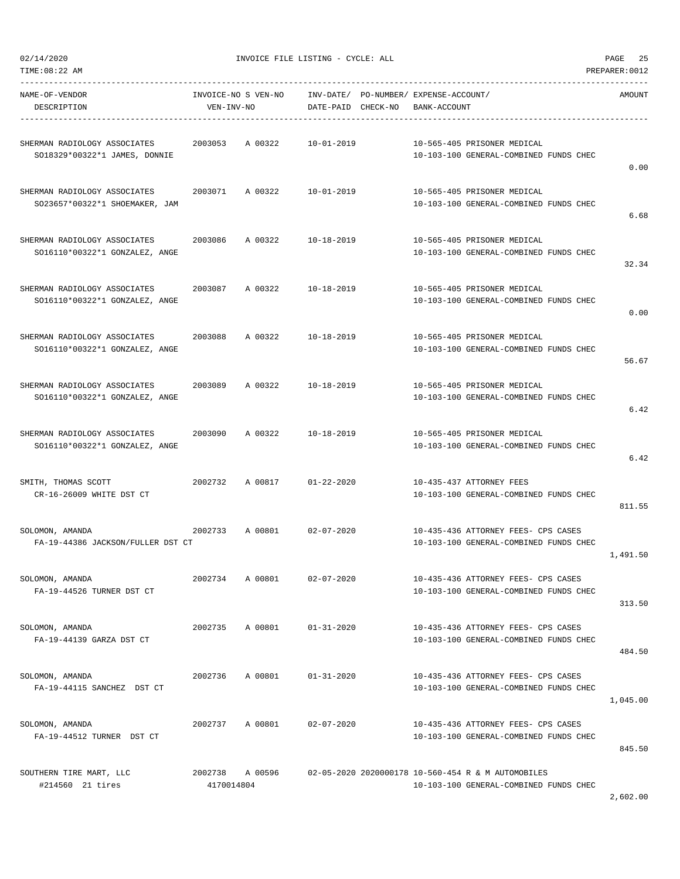| TIME:08:22 AM                                                  |                       |         |                    |                                       |                                                                                              | PREPARER: 0012 |
|----------------------------------------------------------------|-----------------------|---------|--------------------|---------------------------------------|----------------------------------------------------------------------------------------------|----------------|
| NAME-OF-VENDOR                                                 | INVOICE-NO S VEN-NO   |         |                    | INV-DATE/ PO-NUMBER/ EXPENSE-ACCOUNT/ |                                                                                              | AMOUNT         |
| DESCRIPTION                                                    | VEN-INV-NO            |         | DATE-PAID CHECK-NO | BANK-ACCOUNT                          |                                                                                              |                |
| SHERMAN RADIOLOGY ASSOCIATES<br>SO18329*00322*1 JAMES, DONNIE  | 2003053               | A 00322 | $10 - 01 - 2019$   |                                       | 10-565-405 PRISONER MEDICAL<br>10-103-100 GENERAL-COMBINED FUNDS CHEC                        | 0.00           |
| SHERMAN RADIOLOGY ASSOCIATES<br>SO23657*00322*1 SHOEMAKER, JAM | 2003071               | A 00322 | $10 - 01 - 2019$   |                                       | 10-565-405 PRISONER MEDICAL<br>10-103-100 GENERAL-COMBINED FUNDS CHEC                        | 6.68           |
| SHERMAN RADIOLOGY ASSOCIATES<br>SO16110*00322*1 GONZALEZ, ANGE | 2003086               | A 00322 | $10 - 18 - 2019$   |                                       | 10-565-405 PRISONER MEDICAL<br>10-103-100 GENERAL-COMBINED FUNDS CHEC                        | 32.34          |
| SHERMAN RADIOLOGY ASSOCIATES<br>SO16110*00322*1 GONZALEZ, ANGE | 2003087               | A 00322 | $10 - 18 - 2019$   |                                       | 10-565-405 PRISONER MEDICAL<br>10-103-100 GENERAL-COMBINED FUNDS CHEC                        | 0.00           |
| SHERMAN RADIOLOGY ASSOCIATES<br>SO16110*00322*1 GONZALEZ, ANGE | 2003088               | A 00322 | $10 - 18 - 2019$   |                                       | 10-565-405 PRISONER MEDICAL<br>10-103-100 GENERAL-COMBINED FUNDS CHEC                        | 56.67          |
| SHERMAN RADIOLOGY ASSOCIATES<br>SO16110*00322*1 GONZALEZ, ANGE | 2003089               | A 00322 | $10 - 18 - 2019$   |                                       | 10-565-405 PRISONER MEDICAL<br>10-103-100 GENERAL-COMBINED FUNDS CHEC                        | 6.42           |
| SHERMAN RADIOLOGY ASSOCIATES<br>SO16110*00322*1 GONZALEZ, ANGE | 2003090               | A 00322 | $10 - 18 - 2019$   |                                       | 10-565-405 PRISONER MEDICAL<br>10-103-100 GENERAL-COMBINED FUNDS CHEC                        | 6.42           |
| SMITH, THOMAS SCOTT<br>CR-16-26009 WHITE DST CT                | 2002732               | A 00817 | $01 - 22 - 2020$   |                                       | 10-435-437 ATTORNEY FEES<br>10-103-100 GENERAL-COMBINED FUNDS CHEC                           | 811.55         |
| SOLOMON, AMANDA<br>FA-19-44386 JACKSON/FULLER DST CT           | 2002733               | A 00801 | $02 - 07 - 2020$   |                                       | 10-435-436 ATTORNEY FEES- CPS CASES<br>10-103-100 GENERAL-COMBINED FUNDS CHEC                | 1,491.50       |
| SOLOMON, AMANDA<br>FA-19-44526 TURNER DST CT                   | 2002734               | A 00801 | $02 - 07 - 2020$   |                                       | 10-435-436 ATTORNEY FEES- CPS CASES<br>10-103-100 GENERAL-COMBINED FUNDS CHEC                | 313.50         |
| SOLOMON, AMANDA<br>FA-19-44139 GARZA DST CT                    | 2002735 A 00801       |         | $01 - 31 - 2020$   |                                       | 10-435-436 ATTORNEY FEES- CPS CASES<br>10-103-100 GENERAL-COMBINED FUNDS CHEC                | 484.50         |
| SOLOMON, AMANDA<br>FA-19-44115 SANCHEZ DST CT                  | 2002736               | A 00801 | $01 - 31 - 2020$   |                                       | 10-435-436 ATTORNEY FEES- CPS CASES<br>10-103-100 GENERAL-COMBINED FUNDS CHEC                | 1,045.00       |
| SOLOMON, AMANDA<br>FA-19-44512 TURNER DST CT                   | 2002737               | A 00801 | $02 - 07 - 2020$   |                                       | 10-435-436 ATTORNEY FEES- CPS CASES<br>10-103-100 GENERAL-COMBINED FUNDS CHEC                | 845.50         |
| SOUTHERN TIRE MART, LLC<br>#214560 21 tires                    | 2002738<br>4170014804 | A 00596 |                    |                                       | 02-05-2020 2020000178 10-560-454 R & M AUTOMOBILES<br>10-103-100 GENERAL-COMBINED FUNDS CHEC |                |

2,602.00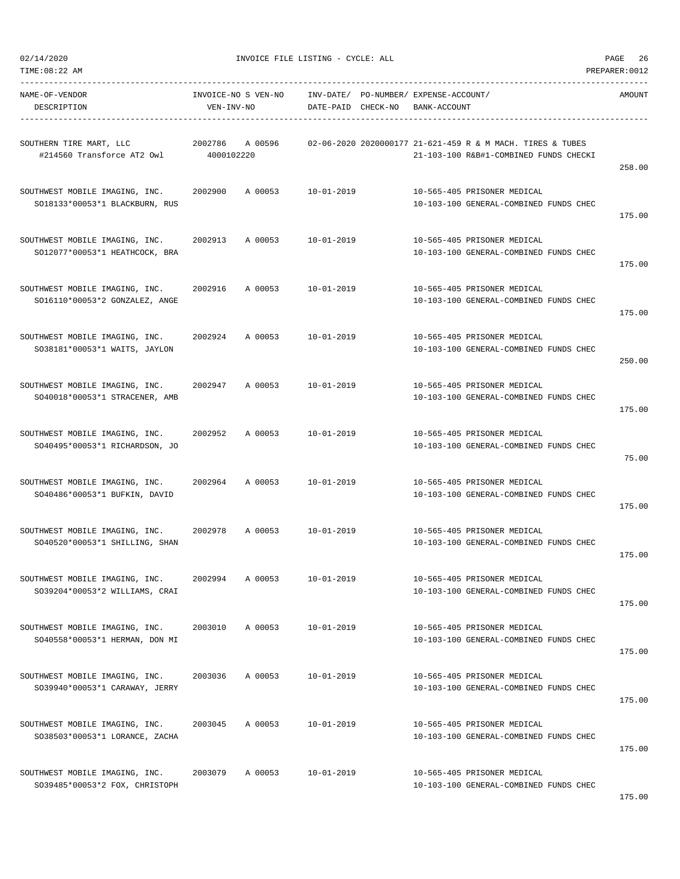| TIME:08:22 AM                                                    |                     |                    |                                       |              |                                                                       | PREPARER: 0012 |
|------------------------------------------------------------------|---------------------|--------------------|---------------------------------------|--------------|-----------------------------------------------------------------------|----------------|
| NAME-OF-VENDOR                                                   | INVOICE-NO S VEN-NO |                    | INV-DATE/ PO-NUMBER/ EXPENSE-ACCOUNT/ |              |                                                                       | AMOUNT         |
| DESCRIPTION                                                      | VEN-INV-NO          | DATE-PAID CHECK-NO |                                       | BANK-ACCOUNT |                                                                       |                |
|                                                                  |                     |                    |                                       |              |                                                                       |                |
| SOUTHERN TIRE MART, LLC                                          | 2002786<br>A 00596  |                    |                                       |              | 02-06-2020 2020000177 21-621-459 R & M MACH. TIRES & TUBES            |                |
| #214560 Transforce AT2 Owl                                       | 4000102220          |                    |                                       |              | 21-103-100 R&B#1-COMBINED FUNDS CHECKI                                | 258.00         |
|                                                                  |                     | $10 - 01 - 2019$   |                                       |              |                                                                       |                |
| SOUTHWEST MOBILE IMAGING, INC.<br>SO18133*00053*1 BLACKBURN, RUS | 2002900<br>A 00053  |                    |                                       |              | 10-565-405 PRISONER MEDICAL<br>10-103-100 GENERAL-COMBINED FUNDS CHEC |                |
|                                                                  |                     |                    |                                       |              |                                                                       | 175.00         |
| SOUTHWEST MOBILE IMAGING, INC.                                   | 2002913<br>A 00053  | 10-01-2019         |                                       |              | 10-565-405 PRISONER MEDICAL                                           |                |
| SO12077*00053*1 HEATHCOCK, BRA                                   |                     |                    |                                       |              | 10-103-100 GENERAL-COMBINED FUNDS CHEC                                |                |
|                                                                  |                     |                    |                                       |              |                                                                       | 175.00         |
| SOUTHWEST MOBILE IMAGING, INC.                                   | 2002916<br>A 00053  | $10 - 01 - 2019$   |                                       |              | 10-565-405 PRISONER MEDICAL                                           |                |
| SO16110*00053*2 GONZALEZ, ANGE                                   |                     |                    |                                       |              | 10-103-100 GENERAL-COMBINED FUNDS CHEC                                |                |
|                                                                  |                     |                    |                                       |              |                                                                       | 175.00         |
| SOUTHWEST MOBILE IMAGING, INC.                                   | 2002924<br>A 00053  | $10 - 01 - 2019$   |                                       |              | 10-565-405 PRISONER MEDICAL                                           |                |
| SO38181*00053*1 WAITS, JAYLON                                    |                     |                    |                                       |              | 10-103-100 GENERAL-COMBINED FUNDS CHEC                                |                |
|                                                                  |                     |                    |                                       |              |                                                                       | 250.00         |
| SOUTHWEST MOBILE IMAGING, INC.                                   | 2002947<br>A 00053  | $10 - 01 - 2019$   |                                       |              | 10-565-405 PRISONER MEDICAL                                           |                |
| SO40018*00053*1 STRACENER, AMB                                   |                     |                    |                                       |              | 10-103-100 GENERAL-COMBINED FUNDS CHEC                                |                |
|                                                                  |                     |                    |                                       |              |                                                                       | 175.00         |
| SOUTHWEST MOBILE IMAGING, INC.                                   | 2002952<br>A 00053  | $10 - 01 - 2019$   |                                       |              | 10-565-405 PRISONER MEDICAL                                           |                |
| SO40495*00053*1 RICHARDSON, JO                                   |                     |                    |                                       |              | 10-103-100 GENERAL-COMBINED FUNDS CHEC                                |                |
|                                                                  |                     |                    |                                       |              |                                                                       | 75.00          |
| SOUTHWEST MOBILE IMAGING, INC.                                   | 2002964<br>A 00053  | $10 - 01 - 2019$   |                                       |              | 10-565-405 PRISONER MEDICAL                                           |                |
| SO40486*00053*1 BUFKIN, DAVID                                    |                     |                    |                                       |              | 10-103-100 GENERAL-COMBINED FUNDS CHEC                                |                |
|                                                                  |                     |                    |                                       |              |                                                                       | 175.00         |
| SOUTHWEST MOBILE IMAGING, INC.                                   | 2002978<br>A 00053  | $10 - 01 - 2019$   |                                       |              | 10-565-405 PRISONER MEDICAL                                           |                |
| SO40520*00053*1 SHILLING, SHAN                                   |                     |                    |                                       |              | 10-103-100 GENERAL-COMBINED FUNDS CHEC                                |                |
|                                                                  |                     |                    |                                       |              |                                                                       | 175.00         |
| SOUTHWEST MOBILE IMAGING, INC.                                   | A 00053<br>2002994  | $10 - 01 - 2019$   |                                       |              | 10-565-405 PRISONER MEDICAL                                           |                |
| S039204*00053*2 WILLIAMS, CRAI                                   |                     |                    |                                       |              | 10-103-100 GENERAL-COMBINED FUNDS CHEC                                |                |
|                                                                  |                     |                    |                                       |              |                                                                       | 175.00         |
| SOUTHWEST MOBILE IMAGING, INC.                                   | 2003010<br>A 00053  | 10-01-2019         |                                       |              | 10-565-405 PRISONER MEDICAL                                           |                |
| SO40558*00053*1 HERMAN, DON MI                                   |                     |                    |                                       |              | 10-103-100 GENERAL-COMBINED FUNDS CHEC                                |                |
|                                                                  |                     |                    |                                       |              |                                                                       | 175.00         |
| SOUTHWEST MOBILE IMAGING, INC.                                   | A 00053<br>2003036  | $10 - 01 - 2019$   |                                       |              | 10-565-405 PRISONER MEDICAL                                           |                |
| S039940*00053*1 CARAWAY, JERRY                                   |                     |                    |                                       |              | 10-103-100 GENERAL-COMBINED FUNDS CHEC                                |                |
|                                                                  |                     |                    |                                       |              |                                                                       | 175.00         |
| SOUTHWEST MOBILE IMAGING, INC.                                   | 2003045<br>A 00053  | $10 - 01 - 2019$   |                                       |              | 10-565-405 PRISONER MEDICAL                                           |                |
| SO38503*00053*1 LORANCE, ZACHA                                   |                     |                    |                                       |              | 10-103-100 GENERAL-COMBINED FUNDS CHEC                                |                |
|                                                                  |                     |                    |                                       |              |                                                                       | 175.00         |
| SOUTHWEST MOBILE IMAGING, INC.                                   | 2003079<br>A 00053  | $10 - 01 - 2019$   |                                       |              | 10-565-405 PRISONER MEDICAL                                           |                |
| SO39485*00053*2 FOX, CHRISTOPH                                   |                     |                    |                                       |              | 10-103-100 GENERAL-COMBINED FUNDS CHEC                                |                |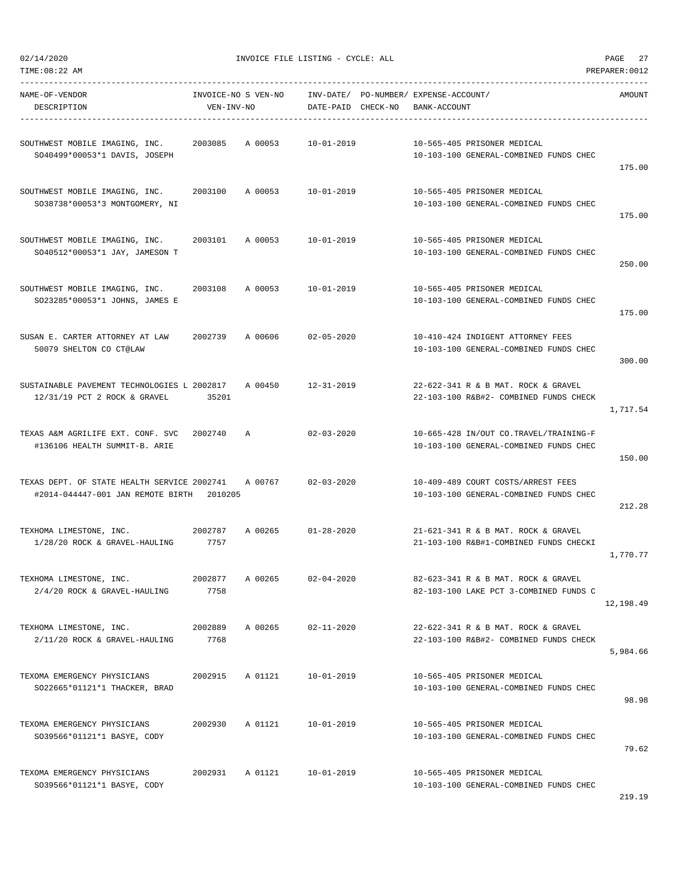$02/14/2020$  PAGE 27

| NAME-OF-VENDOR<br>DESCRIPTION                                                    | INVOICE-NO S VEN-NO<br>VEN-INV-NO |         | DATE-PAID CHECK-NO | INV-DATE/ PO-NUMBER/ EXPENSE-ACCOUNT/<br>BANK-ACCOUNT |                                                                                  | AMOUNT    |
|----------------------------------------------------------------------------------|-----------------------------------|---------|--------------------|-------------------------------------------------------|----------------------------------------------------------------------------------|-----------|
| SOUTHWEST MOBILE IMAGING, INC.<br>SO40499*00053*1 DAVIS, JOSEPH                  | 2003085                           | A 00053 | 10-01-2019         |                                                       | 10-565-405 PRISONER MEDICAL<br>10-103-100 GENERAL-COMBINED FUNDS CHEC            | 175.00    |
| SOUTHWEST MOBILE IMAGING, INC.<br>SO38738*00053*3 MONTGOMERY, NI                 | 2003100                           | A 00053 | 10-01-2019         |                                                       | 10-565-405 PRISONER MEDICAL<br>10-103-100 GENERAL-COMBINED FUNDS CHEC            | 175.00    |
| SOUTHWEST MOBILE IMAGING, INC.<br>SO40512*00053*1 JAY, JAMESON T                 | 2003101                           | A 00053 | 10-01-2019         |                                                       | 10-565-405 PRISONER MEDICAL<br>10-103-100 GENERAL-COMBINED FUNDS CHEC            | 250.00    |
| SOUTHWEST MOBILE IMAGING, INC.<br>SO23285*00053*1 JOHNS, JAMES E                 | 2003108                           | A 00053 | 10-01-2019         |                                                       | 10-565-405 PRISONER MEDICAL<br>10-103-100 GENERAL-COMBINED FUNDS CHEC            | 175.00    |
| SUSAN E. CARTER ATTORNEY AT LAW<br>50079 SHELTON CO CT@LAW                       | 2002739                           | A 00606 | 02-05-2020         |                                                       | 10-410-424 INDIGENT ATTORNEY FEES<br>10-103-100 GENERAL-COMBINED FUNDS CHEC      | 300.00    |
| SUSTAINABLE PAVEMENT TECHNOLOGIES L 2002817<br>12/31/19 PCT 2 ROCK & GRAVEL      | 35201                             | A 00450 | $12 - 31 - 2019$   |                                                       | 22-622-341 R & B MAT, ROCK & GRAVEL<br>22-103-100 R&B#2- COMBINED FUNDS CHECK    | 1,717.54  |
| TEXAS A&M AGRILIFE EXT. CONF. SVC<br>#136106 HEALTH SUMMIT-B. ARIE               | 2002740                           | A       | $02 - 03 - 2020$   |                                                       | 10-665-428 IN/OUT CO.TRAVEL/TRAINING-F<br>10-103-100 GENERAL-COMBINED FUNDS CHEC | 150.00    |
| TEXAS DEPT. OF STATE HEALTH SERVICE 2002741<br>#2014-044447-001 JAN REMOTE BIRTH | 2010205                           | A 00767 | $02 - 03 - 2020$   |                                                       | 10-409-489 COURT COSTS/ARREST FEES<br>10-103-100 GENERAL-COMBINED FUNDS CHEC     | 212.28    |
| TEXHOMA LIMESTONE, INC.<br>2002787<br>1/28/20 ROCK & GRAVEL-HAULING              | 7757                              | A 00265 | $01 - 28 - 2020$   |                                                       | 21-621-341 R & B MAT. ROCK & GRAVEL<br>21-103-100 R&B#1-COMBINED FUNDS CHECKI    | 1,770.77  |
| TEXHOMA LIMESTONE, INC.<br>2/4/20 ROCK & GRAVEL-HAULING                          | 2002877<br>7758                   | A 00265 | $02 - 04 - 2020$   |                                                       | 82-623-341 R & B MAT. ROCK & GRAVEL<br>82-103-100 LAKE PCT 3-COMBINED FUNDS C    | 12,198.49 |
| TEXHOMA LIMESTONE, INC.<br>2/11/20 ROCK & GRAVEL-HAULING                         | 2002889<br>7768                   | A 00265 | $02 - 11 - 2020$   |                                                       | 22-622-341 R & B MAT. ROCK & GRAVEL<br>22-103-100 R&B#2- COMBINED FUNDS CHECK    | 5,984.66  |
| TEXOMA EMERGENCY PHYSICIANS<br>SO22665*01121*1 THACKER, BRAD                     | 2002915                           | A 01121 | $10 - 01 - 2019$   |                                                       | 10-565-405 PRISONER MEDICAL<br>10-103-100 GENERAL-COMBINED FUNDS CHEC            | 98.98     |
| TEXOMA EMERGENCY PHYSICIANS<br>SO39566*01121*1 BASYE, CODY                       | 2002930                           | A 01121 | $10 - 01 - 2019$   |                                                       | 10-565-405 PRISONER MEDICAL<br>10-103-100 GENERAL-COMBINED FUNDS CHEC            | 79.62     |
| TEXOMA EMERGENCY PHYSICIANS<br>SO39566*01121*1 BASYE, CODY                       | 2002931                           | A 01121 | $10 - 01 - 2019$   |                                                       | 10-565-405 PRISONER MEDICAL<br>10-103-100 GENERAL-COMBINED FUNDS CHEC            |           |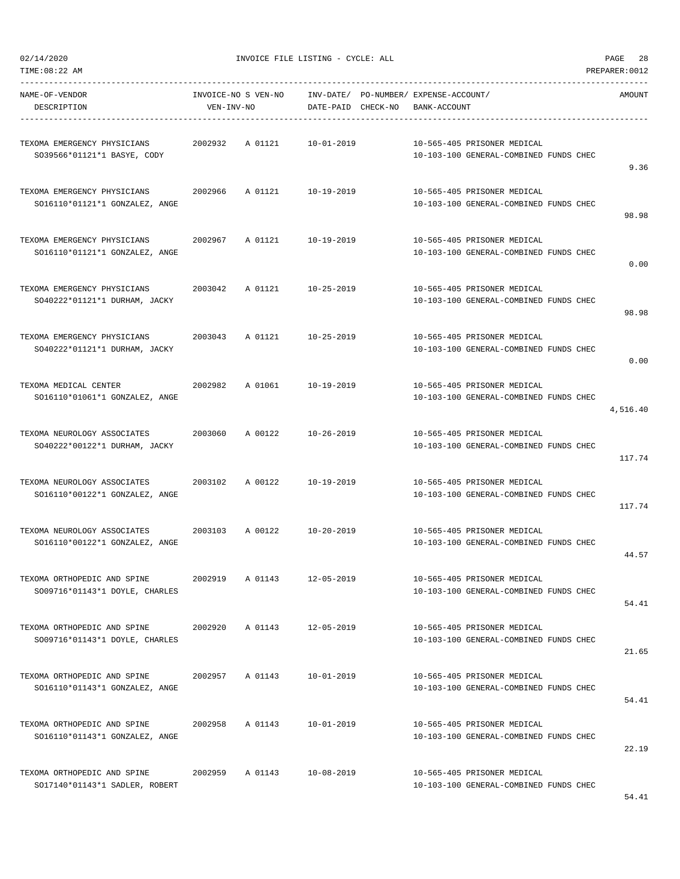| NAME-OF-VENDOR<br>DESCRIPTION                                                            | VEN-INV-NO | INVOICE-NO S VEN-NO INV-DATE/ PO-NUMBER/ EXPENSE-ACCOUNT/ | DATE-PAID CHECK-NO BANK-ACCOUNT |  |                                                                       | AMOUNT   |
|------------------------------------------------------------------------------------------|------------|-----------------------------------------------------------|---------------------------------|--|-----------------------------------------------------------------------|----------|
| TEXOMA EMERGENCY PHYSICIANS  2002932  A 01121  10-01-2019<br>SO39566*01121*1 BASYE, CODY |            |                                                           |                                 |  | 10-565-405 PRISONER MEDICAL<br>10-103-100 GENERAL-COMBINED FUNDS CHEC | 9.36     |
| TEXOMA EMERGENCY PHYSICIANS<br>SO16110*01121*1 GONZALEZ, ANGE                            | 2002966    | A 01121                                                   | 10-19-2019                      |  | 10-565-405 PRISONER MEDICAL<br>10-103-100 GENERAL-COMBINED FUNDS CHEC | 98.98    |
| TEXOMA EMERGENCY PHYSICIANS<br>SO16110*01121*1 GONZALEZ, ANGE                            | 2002967    | A 01121 10-19-2019                                        |                                 |  | 10-565-405 PRISONER MEDICAL<br>10-103-100 GENERAL-COMBINED FUNDS CHEC | 0.00     |
| TEXOMA EMERGENCY PHYSICIANS<br>SO40222*01121*1 DURHAM, JACKY                             | 2003042    | A 01121 10-25-2019                                        |                                 |  | 10-565-405 PRISONER MEDICAL<br>10-103-100 GENERAL-COMBINED FUNDS CHEC | 98.98    |
| TEXOMA EMERGENCY PHYSICIANS<br>SO40222*01121*1 DURHAM, JACKY                             |            | 2003043 A 01121 10-25-2019                                |                                 |  | 10-565-405 PRISONER MEDICAL<br>10-103-100 GENERAL-COMBINED FUNDS CHEC | 0.00     |
| TEXOMA MEDICAL CENTER<br>SO16110*01061*1 GONZALEZ, ANGE                                  | 2002982    | A 01061                                                   | 10-19-2019                      |  | 10-565-405 PRISONER MEDICAL<br>10-103-100 GENERAL-COMBINED FUNDS CHEC | 4,516.40 |
| TEXOMA NEUROLOGY ASSOCIATES<br>SO40222*00122*1 DURHAM, JACKY                             | 2003060    | A 00122 10-26-2019                                        |                                 |  | 10-565-405 PRISONER MEDICAL<br>10-103-100 GENERAL-COMBINED FUNDS CHEC | 117.74   |
| TEXOMA NEUROLOGY ASSOCIATES<br>SO16110*00122*1 GONZALEZ, ANGE                            | 2003102    | A 00122                                                   | 10-19-2019                      |  | 10-565-405 PRISONER MEDICAL<br>10-103-100 GENERAL-COMBINED FUNDS CHEC | 117.74   |
| TEXOMA NEUROLOGY ASSOCIATES<br>SO16110*00122*1 GONZALEZ, ANGE                            |            | 2003103 A 00122                                           | 10-20-2019                      |  | 10-565-405 PRISONER MEDICAL<br>10-103-100 GENERAL-COMBINED FUNDS CHEC | 44.57    |
| TEXOMA ORTHOPEDIC AND SPINE<br>SO09716*01143*1 DOYLE, CHARLES                            | 2002919    | A 01143                                                   | $12 - 05 - 2019$                |  | 10-565-405 PRISONER MEDICAL<br>10-103-100 GENERAL-COMBINED FUNDS CHEC | 54.41    |
| TEXOMA ORTHOPEDIC AND SPINE<br>SO09716*01143*1 DOYLE, CHARLES                            |            | 2002920 A 01143 12-05-2019                                |                                 |  | 10-565-405 PRISONER MEDICAL<br>10-103-100 GENERAL-COMBINED FUNDS CHEC | 21.65    |
| TEXOMA ORTHOPEDIC AND SPINE<br>SO16110*01143*1 GONZALEZ, ANGE                            |            | 2002957 A 01143                                           | $10 - 01 - 2019$                |  | 10-565-405 PRISONER MEDICAL<br>10-103-100 GENERAL-COMBINED FUNDS CHEC | 54.41    |
| TEXOMA ORTHOPEDIC AND SPINE<br>SO16110*01143*1 GONZALEZ, ANGE                            |            | 2002958 A 01143                                           | $10 - 01 - 2019$                |  | 10-565-405 PRISONER MEDICAL<br>10-103-100 GENERAL-COMBINED FUNDS CHEC | 22.19    |
| TEXOMA ORTHOPEDIC AND SPINE<br>SO17140*01143*1 SADLER, ROBERT                            | 2002959    | A 01143                                                   | 10-08-2019                      |  | 10-565-405 PRISONER MEDICAL<br>10-103-100 GENERAL-COMBINED FUNDS CHEC |          |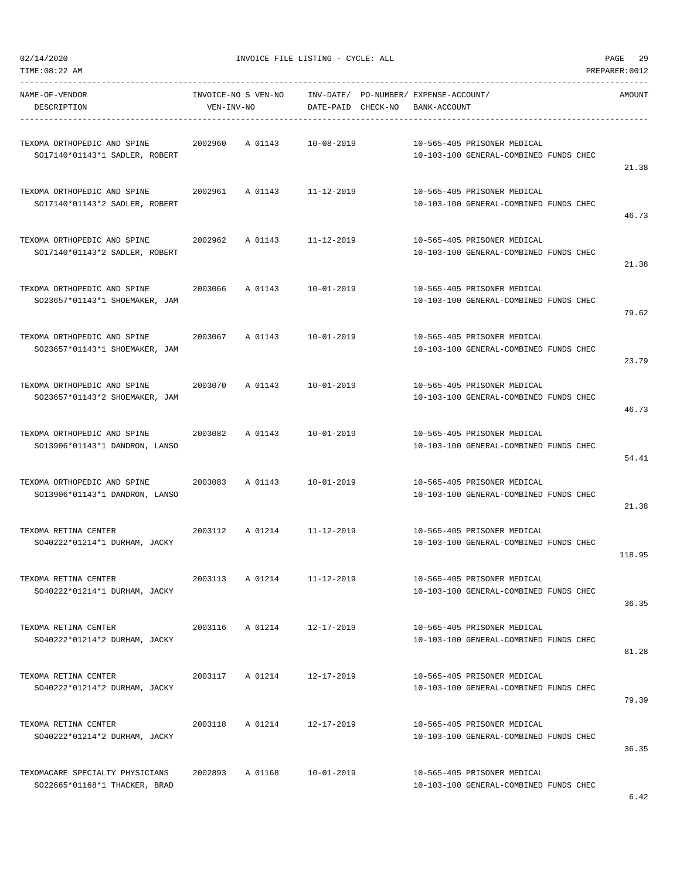| TIME:08:22 AM                                                 |            |                     |                    |                                       |                                                                       | PREPARER: 0012 |
|---------------------------------------------------------------|------------|---------------------|--------------------|---------------------------------------|-----------------------------------------------------------------------|----------------|
| NAME-OF-VENDOR                                                |            | INVOICE-NO S VEN-NO |                    | INV-DATE/ PO-NUMBER/ EXPENSE-ACCOUNT/ |                                                                       | AMOUNT         |
| DESCRIPTION                                                   | VEN-INV-NO |                     | DATE-PAID CHECK-NO | BANK-ACCOUNT                          |                                                                       |                |
|                                                               |            |                     |                    |                                       |                                                                       |                |
| TEXOMA ORTHOPEDIC AND SPINE                                   | 2002960    | A 01143             | $10 - 08 - 2019$   |                                       | 10-565-405 PRISONER MEDICAL                                           |                |
| SO17140*01143*1 SADLER, ROBERT                                |            |                     |                    |                                       | 10-103-100 GENERAL-COMBINED FUNDS CHEC                                |                |
|                                                               |            |                     |                    |                                       |                                                                       | 21.38          |
| TEXOMA ORTHOPEDIC AND SPINE                                   | 2002961    | A 01143             | $11 - 12 - 2019$   |                                       | 10-565-405 PRISONER MEDICAL                                           |                |
| SO17140*01143*2 SADLER, ROBERT                                |            |                     |                    |                                       | 10-103-100 GENERAL-COMBINED FUNDS CHEC                                |                |
|                                                               |            |                     |                    |                                       |                                                                       | 46.73          |
| TEXOMA ORTHOPEDIC AND SPINE                                   | 2002962    | A 01143             | $11 - 12 - 2019$   |                                       | 10-565-405 PRISONER MEDICAL                                           |                |
| SO17140*01143*2 SADLER, ROBERT                                |            |                     |                    |                                       | 10-103-100 GENERAL-COMBINED FUNDS CHEC                                |                |
|                                                               |            |                     |                    |                                       |                                                                       | 21.38          |
|                                                               | 2003066    |                     |                    |                                       |                                                                       |                |
| TEXOMA ORTHOPEDIC AND SPINE<br>SO23657*01143*1 SHOEMAKER, JAM |            | A 01143             | $10 - 01 - 2019$   |                                       | 10-565-405 PRISONER MEDICAL<br>10-103-100 GENERAL-COMBINED FUNDS CHEC |                |
|                                                               |            |                     |                    |                                       |                                                                       | 79.62          |
|                                                               |            |                     |                    |                                       |                                                                       |                |
| TEXOMA ORTHOPEDIC AND SPINE                                   | 2003067    | A 01143             | $10 - 01 - 2019$   |                                       | 10-565-405 PRISONER MEDICAL                                           |                |
| SO23657*01143*1 SHOEMAKER, JAM                                |            |                     |                    |                                       | 10-103-100 GENERAL-COMBINED FUNDS CHEC                                | 23.79          |
|                                                               |            |                     |                    |                                       |                                                                       |                |
| TEXOMA ORTHOPEDIC AND SPINE                                   | 2003070    | A 01143             | $10 - 01 - 2019$   |                                       | 10-565-405 PRISONER MEDICAL                                           |                |
| SO23657*01143*2 SHOEMAKER, JAM                                |            |                     |                    |                                       | 10-103-100 GENERAL-COMBINED FUNDS CHEC                                |                |
|                                                               |            |                     |                    |                                       |                                                                       | 46.73          |
| TEXOMA ORTHOPEDIC AND SPINE                                   | 2003082    | A 01143             | 10-01-2019         |                                       | 10-565-405 PRISONER MEDICAL                                           |                |
| SO13906*01143*1 DANDRON, LANSO                                |            |                     |                    |                                       | 10-103-100 GENERAL-COMBINED FUNDS CHEC                                |                |
|                                                               |            |                     |                    |                                       |                                                                       | 54.41          |
| TEXOMA ORTHOPEDIC AND SPINE                                   | 2003083    | A 01143             | $10 - 01 - 2019$   |                                       | 10-565-405 PRISONER MEDICAL                                           |                |
| SO13906*01143*1 DANDRON, LANSO                                |            |                     |                    |                                       | 10-103-100 GENERAL-COMBINED FUNDS CHEC                                |                |
|                                                               |            |                     |                    |                                       |                                                                       | 21.38          |
|                                                               | 2003112    |                     |                    |                                       |                                                                       |                |
| TEXOMA RETINA CENTER<br>SO40222*01214*1 DURHAM, JACKY         |            | A 01214             | $11 - 12 - 2019$   |                                       | 10-565-405 PRISONER MEDICAL<br>10-103-100 GENERAL-COMBINED FUNDS CHEC |                |
|                                                               |            |                     |                    |                                       |                                                                       | 118.95         |
|                                                               |            |                     |                    |                                       |                                                                       |                |
| TEXOMA RETINA CENTER                                          | 2003113    | A 01214             | 11-12-2019         |                                       | 10-565-405 PRISONER MEDICAL                                           |                |
| SO40222*01214*1 DURHAM, JACKY                                 |            |                     |                    |                                       | 10-103-100 GENERAL-COMBINED FUNDS CHEC                                | 36.35          |
|                                                               |            |                     |                    |                                       |                                                                       |                |
| TEXOMA RETINA CENTER                                          |            | 2003116 A 01214     | 12-17-2019         |                                       | 10-565-405 PRISONER MEDICAL                                           |                |
| SO40222*01214*2 DURHAM, JACKY                                 |            |                     |                    |                                       | 10-103-100 GENERAL-COMBINED FUNDS CHEC                                | 81.28          |
|                                                               |            |                     |                    |                                       |                                                                       |                |
| TEXOMA RETINA CENTER                                          | 2003117    | A 01214             | 12-17-2019         |                                       | 10-565-405 PRISONER MEDICAL                                           |                |
| SO40222*01214*2 DURHAM, JACKY                                 |            |                     |                    |                                       | 10-103-100 GENERAL-COMBINED FUNDS CHEC                                |                |
|                                                               |            |                     |                    |                                       |                                                                       | 79.39          |
| TEXOMA RETINA CENTER                                          | 2003118    | A 01214             | 12-17-2019         |                                       | 10-565-405 PRISONER MEDICAL                                           |                |
| SO40222*01214*2 DURHAM, JACKY                                 |            |                     |                    |                                       | 10-103-100 GENERAL-COMBINED FUNDS CHEC                                |                |
|                                                               |            |                     |                    |                                       |                                                                       | 36.35          |
| TEXOMACARE SPECIALTY PHYSICIANS                               | 2002893    | A 01168             | $10 - 01 - 2019$   |                                       | 10-565-405 PRISONER MEDICAL                                           |                |
| SO22665*01168*1 THACKER, BRAD                                 |            |                     |                    |                                       | 10-103-100 GENERAL-COMBINED FUNDS CHEC                                |                |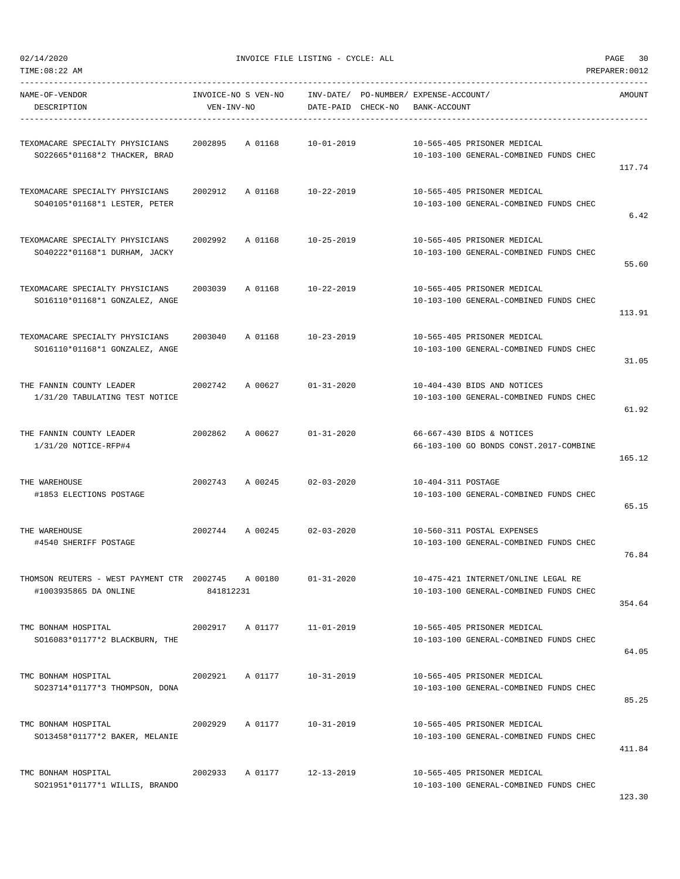02/14/2020 INVOICE FILE LISTING - CYCLE: ALL PAGE 30

| NAME-OF-VENDOR<br>DESCRIPTION                                       | VEN-INV-NO | INVOICE-NO S VEN-NO | DATE-PAID CHECK-NO | INV-DATE/ PO-NUMBER/ EXPENSE-ACCOUNT/<br>BANK-ACCOUNT |                                                                               | AMOUNT |
|---------------------------------------------------------------------|------------|---------------------|--------------------|-------------------------------------------------------|-------------------------------------------------------------------------------|--------|
| TEXOMACARE SPECIALTY PHYSICIANS<br>SO22665*01168*2 THACKER, BRAD    | 2002895    | A 01168             | 10-01-2019         |                                                       | 10-565-405 PRISONER MEDICAL<br>10-103-100 GENERAL-COMBINED FUNDS CHEC         | 117.74 |
| TEXOMACARE SPECIALTY PHYSICIANS<br>SO40105*01168*1 LESTER, PETER    | 2002912    | A 01168             | 10-22-2019         |                                                       | 10-565-405 PRISONER MEDICAL<br>10-103-100 GENERAL-COMBINED FUNDS CHEC         | 6.42   |
| TEXOMACARE SPECIALTY PHYSICIANS<br>SO40222*01168*1 DURHAM, JACKY    | 2002992    | A 01168             | $10 - 25 - 2019$   |                                                       | 10-565-405 PRISONER MEDICAL<br>10-103-100 GENERAL-COMBINED FUNDS CHEC         | 55.60  |
| TEXOMACARE SPECIALTY PHYSICIANS<br>SO16110*01168*1 GONZALEZ, ANGE   | 2003039    | A 01168             | 10-22-2019         |                                                       | 10-565-405 PRISONER MEDICAL<br>10-103-100 GENERAL-COMBINED FUNDS CHEC         | 113.91 |
| TEXOMACARE SPECIALTY PHYSICIANS<br>SO16110*01168*1 GONZALEZ, ANGE   | 2003040    | A 01168             | 10-23-2019         |                                                       | 10-565-405 PRISONER MEDICAL<br>10-103-100 GENERAL-COMBINED FUNDS CHEC         | 31.05  |
| THE FANNIN COUNTY LEADER<br>1/31/20 TABULATING TEST NOTICE          | 2002742    | A 00627             | $01 - 31 - 2020$   |                                                       | 10-404-430 BIDS AND NOTICES<br>10-103-100 GENERAL-COMBINED FUNDS CHEC         | 61.92  |
| THE FANNIN COUNTY LEADER<br>1/31/20 NOTICE-RFP#4                    | 2002862    | A 00627             | $01 - 31 - 2020$   |                                                       | 66-667-430 BIDS & NOTICES<br>66-103-100 GO BONDS CONST.2017-COMBINE           | 165.12 |
| THE WAREHOUSE<br>#1853 ELECTIONS POSTAGE                            | 2002743    | A 00245             | $02 - 03 - 2020$   | 10-404-311 POSTAGE                                    | 10-103-100 GENERAL-COMBINED FUNDS CHEC                                        | 65.15  |
| THE WAREHOUSE<br>#4540 SHERIFF POSTAGE                              | 2002744    | A 00245             | $02 - 03 - 2020$   |                                                       | 10-560-311 POSTAL EXPENSES<br>10-103-100 GENERAL-COMBINED FUNDS CHEC          | 76.84  |
| THOMSON REUTERS - WEST PAYMENT CTR 2002745<br>#1003935865 DA ONLINE | 841812231  | A 00180             | $01 - 31 - 2020$   |                                                       | 10-475-421 INTERNET/ONLINE LEGAL RE<br>10-103-100 GENERAL-COMBINED FUNDS CHEC | 354.64 |
| TMC BONHAM HOSPITAL<br>SO16083*01177*2 BLACKBURN, THE               | 2002917    | A 01177             | 11-01-2019         |                                                       | 10-565-405 PRISONER MEDICAL<br>10-103-100 GENERAL-COMBINED FUNDS CHEC         | 64.05  |
| TMC BONHAM HOSPITAL<br>SO23714*01177*3 THOMPSON, DONA               | 2002921    | A 01177             | 10-31-2019         |                                                       | 10-565-405 PRISONER MEDICAL<br>10-103-100 GENERAL-COMBINED FUNDS CHEC         | 85.25  |
| TMC BONHAM HOSPITAL<br>SO13458*01177*2 BAKER, MELANIE               | 2002929    | A 01177             | $10 - 31 - 2019$   |                                                       | 10-565-405 PRISONER MEDICAL<br>10-103-100 GENERAL-COMBINED FUNDS CHEC         | 411.84 |
| TMC BONHAM HOSPITAL<br>SO21951*01177*1 WILLIS, BRANDO               | 2002933    | A 01177             | 12-13-2019         |                                                       | 10-565-405 PRISONER MEDICAL<br>10-103-100 GENERAL-COMBINED FUNDS CHEC         |        |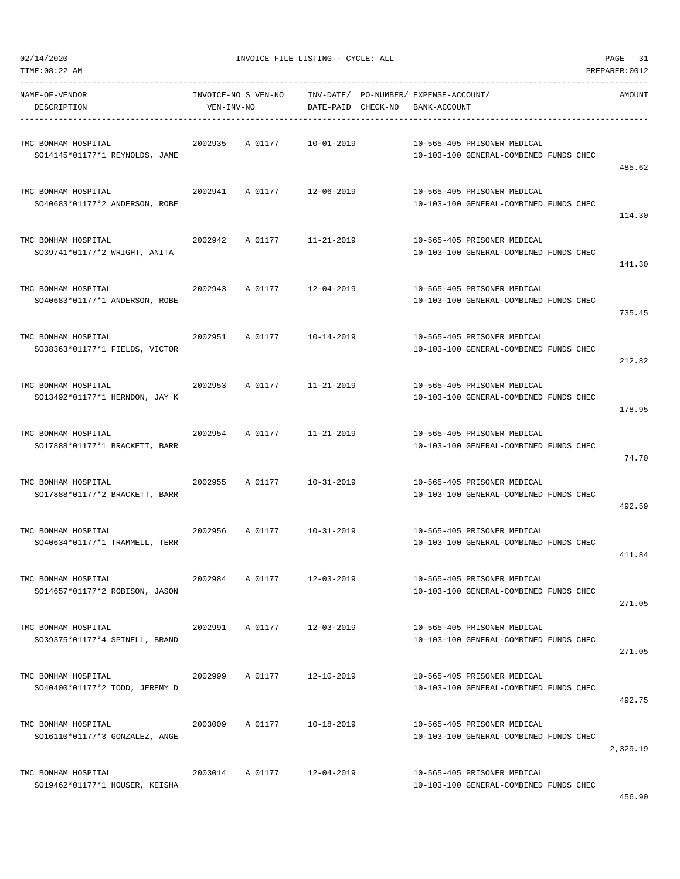| TIME:08:22 AM                  |            |                     |                    |                                       |                                        | PREPARER: 0012 |
|--------------------------------|------------|---------------------|--------------------|---------------------------------------|----------------------------------------|----------------|
| NAME-OF-VENDOR                 |            | INVOICE-NO S VEN-NO |                    | INV-DATE/ PO-NUMBER/ EXPENSE-ACCOUNT/ |                                        | AMOUNT         |
| DESCRIPTION                    | VEN-INV-NO |                     | DATE-PAID CHECK-NO | BANK-ACCOUNT                          |                                        |                |
| TMC BONHAM HOSPITAL            | 2002935    | A 01177             |                    |                                       | 10-565-405 PRISONER MEDICAL            |                |
| SO14145*01177*1 REYNOLDS, JAME |            |                     | 10-01-2019         |                                       | 10-103-100 GENERAL-COMBINED FUNDS CHEC |                |
|                                |            |                     |                    |                                       |                                        | 485.62         |
| TMC BONHAM HOSPITAL            | 2002941    | A 01177             | 12-06-2019         |                                       | 10-565-405 PRISONER MEDICAL            |                |
| SO40683*01177*2 ANDERSON, ROBE |            |                     |                    |                                       | 10-103-100 GENERAL-COMBINED FUNDS CHEC |                |
|                                |            |                     |                    |                                       |                                        | 114.30         |
| TMC BONHAM HOSPITAL            | 2002942    | A 01177             | 11-21-2019         |                                       | 10-565-405 PRISONER MEDICAL            |                |
| SO39741*01177*2 WRIGHT, ANITA  |            |                     |                    |                                       | 10-103-100 GENERAL-COMBINED FUNDS CHEC |                |
|                                |            |                     |                    |                                       |                                        | 141.30         |
| TMC BONHAM HOSPITAL            | 2002943    | A 01177             | 12-04-2019         |                                       | 10-565-405 PRISONER MEDICAL            |                |
| SO40683*01177*1 ANDERSON, ROBE |            |                     |                    |                                       | 10-103-100 GENERAL-COMBINED FUNDS CHEC |                |
|                                |            |                     |                    |                                       |                                        | 735.45         |
| TMC BONHAM HOSPITAL            | 2002951    | A 01177             | 10-14-2019         |                                       | 10-565-405 PRISONER MEDICAL            |                |
| SO38363*01177*1 FIELDS, VICTOR |            |                     |                    |                                       | 10-103-100 GENERAL-COMBINED FUNDS CHEC |                |
|                                |            |                     |                    |                                       |                                        | 212.82         |
| TMC BONHAM HOSPITAL            | 2002953    | A 01177             | 11-21-2019         |                                       | 10-565-405 PRISONER MEDICAL            |                |
| SO13492*01177*1 HERNDON, JAY K |            |                     |                    |                                       | 10-103-100 GENERAL-COMBINED FUNDS CHEC |                |
|                                |            |                     |                    |                                       |                                        | 178.95         |
| TMC BONHAM HOSPITAL            | 2002954    | A 01177             | 11-21-2019         |                                       | 10-565-405 PRISONER MEDICAL            |                |
| SO17888*01177*1 BRACKETT, BARR |            |                     |                    |                                       | 10-103-100 GENERAL-COMBINED FUNDS CHEC |                |
|                                |            |                     |                    |                                       |                                        | 74.70          |
| TMC BONHAM HOSPITAL            | 2002955    | A 01177             | 10-31-2019         |                                       | 10-565-405 PRISONER MEDICAL            |                |
| SO17888*01177*2 BRACKETT, BARR |            |                     |                    |                                       | 10-103-100 GENERAL-COMBINED FUNDS CHEC |                |
|                                |            |                     |                    |                                       |                                        | 492.59         |
| TMC BONHAM HOSPITAL            | 2002956    | A 01177             | 10-31-2019         |                                       | 10-565-405 PRISONER MEDICAL            |                |
| SO40634*01177*1 TRAMMELL, TERR |            |                     |                    |                                       | 10-103-100 GENERAL-COMBINED FUNDS CHEC |                |
|                                |            |                     |                    |                                       |                                        | 411.84         |
| TMC BONHAM HOSPITAL            | 2002984    | A 01177             | 12-03-2019         |                                       | 10-565-405 PRISONER MEDICAL            |                |
| SO14657*01177*2 ROBISON, JASON |            |                     |                    |                                       | 10-103-100 GENERAL-COMBINED FUNDS CHEC |                |
|                                |            |                     |                    |                                       |                                        | 271.05         |
| TMC BONHAM HOSPITAL            | 2002991    | A 01177             | 12-03-2019         |                                       | 10-565-405 PRISONER MEDICAL            |                |
| SO39375*01177*4 SPINELL, BRAND |            |                     |                    |                                       | 10-103-100 GENERAL-COMBINED FUNDS CHEC |                |
|                                |            |                     |                    |                                       |                                        | 271.05         |
| TMC BONHAM HOSPITAL            | 2002999    | A 01177             | $12 - 10 - 2019$   |                                       | 10-565-405 PRISONER MEDICAL            |                |
| SO40400*01177*2 TODD, JEREMY D |            |                     |                    |                                       | 10-103-100 GENERAL-COMBINED FUNDS CHEC |                |
|                                |            |                     |                    |                                       |                                        | 492.75         |
| TMC BONHAM HOSPITAL            | 2003009    | A 01177             | $10 - 18 - 2019$   |                                       | 10-565-405 PRISONER MEDICAL            |                |
| SO16110*01177*3 GONZALEZ, ANGE |            |                     |                    |                                       | 10-103-100 GENERAL-COMBINED FUNDS CHEC |                |
|                                |            |                     |                    |                                       |                                        | 2,329.19       |
| TMC BONHAM HOSPITAL            | 2003014    | A 01177             | $12 - 04 - 2019$   |                                       | 10-565-405 PRISONER MEDICAL            |                |
| SO19462*01177*1 HOUSER, KEISHA |            |                     |                    |                                       | 10-103-100 GENERAL-COMBINED FUNDS CHEC |                |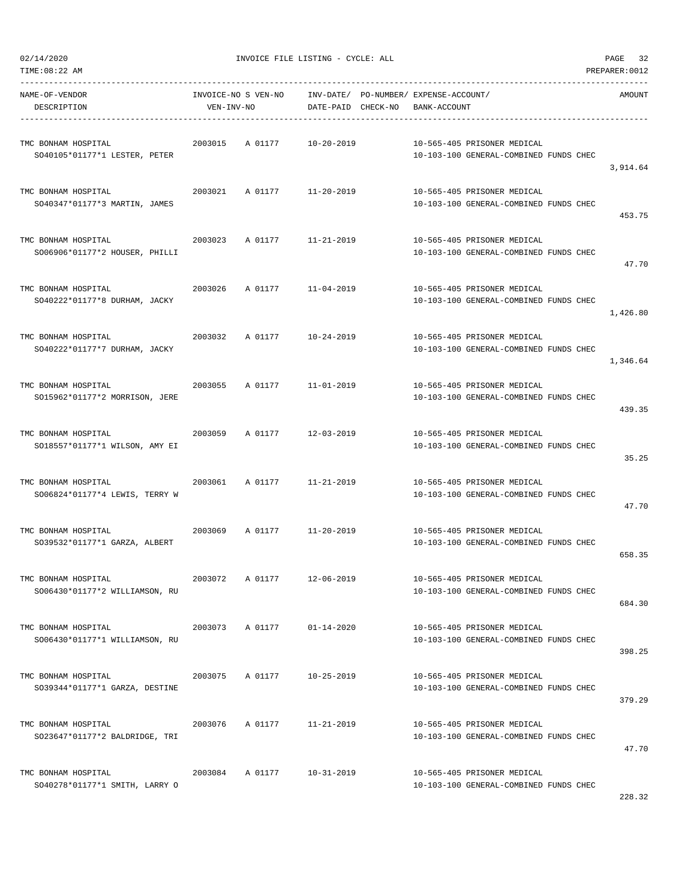| TIME:08:22 AM                                         |                                   |                            |                    |                                                       |                                        | PREPARER: 0012 |
|-------------------------------------------------------|-----------------------------------|----------------------------|--------------------|-------------------------------------------------------|----------------------------------------|----------------|
| NAME-OF-VENDOR<br>DESCRIPTION                         | INVOICE-NO S VEN-NO<br>VEN-INV-NO |                            | DATE-PAID CHECK-NO | INV-DATE/ PO-NUMBER/ EXPENSE-ACCOUNT/<br>BANK-ACCOUNT |                                        | AMOUNT         |
| TMC BONHAM HOSPITAL<br>SO40105*01177*1 LESTER, PETER  | 2003015                           | A 01177                    | $10 - 20 - 2019$   | 10-565-405 PRISONER MEDICAL                           | 10-103-100 GENERAL-COMBINED FUNDS CHEC | 3,914.64       |
| TMC BONHAM HOSPITAL<br>SO40347*01177*3 MARTIN, JAMES  | 2003021                           | A 01177 11-20-2019         |                    | 10-565-405 PRISONER MEDICAL                           | 10-103-100 GENERAL-COMBINED FUNDS CHEC | 453.75         |
| TMC BONHAM HOSPITAL<br>SO06906*01177*2 HOUSER, PHILLI | 2003023                           | A 01177                    | 11-21-2019         | 10-565-405 PRISONER MEDICAL                           | 10-103-100 GENERAL-COMBINED FUNDS CHEC | 47.70          |
| TMC BONHAM HOSPITAL<br>SO40222*01177*8 DURHAM, JACKY  | 2003026                           | A 01177 11-04-2019         |                    | 10-565-405 PRISONER MEDICAL                           | 10-103-100 GENERAL-COMBINED FUNDS CHEC | 1,426.80       |
| TMC BONHAM HOSPITAL<br>SO40222*01177*7 DURHAM, JACKY  | 2003032                           | A 01177                    | 10-24-2019         | 10-565-405 PRISONER MEDICAL                           | 10-103-100 GENERAL-COMBINED FUNDS CHEC | 1,346.64       |
| TMC BONHAM HOSPITAL<br>SO15962*01177*2 MORRISON, JERE | 2003055                           | A 01177                    | 11-01-2019         | 10-565-405 PRISONER MEDICAL                           | 10-103-100 GENERAL-COMBINED FUNDS CHEC | 439.35         |
| TMC BONHAM HOSPITAL<br>SO18557*01177*1 WILSON, AMY EI | 2003059                           | A 01177                    | 12-03-2019         | 10-565-405 PRISONER MEDICAL                           | 10-103-100 GENERAL-COMBINED FUNDS CHEC | 35.25          |
| TMC BONHAM HOSPITAL<br>SO06824*01177*4 LEWIS, TERRY W | 2003061                           | A 01177                    | $11 - 21 - 2019$   | 10-565-405 PRISONER MEDICAL                           | 10-103-100 GENERAL-COMBINED FUNDS CHEC | 47.70          |
| TMC BONHAM HOSPITAL<br>SO39532*01177*1 GARZA, ALBERT  |                                   | 2003069 A 01177 11-20-2019 |                    | 10-565-405 PRISONER MEDICAL                           | 10-103-100 GENERAL-COMBINED FUNDS CHEC | 658.35         |
| TMC BONHAM HOSPITAL<br>SO06430*01177*2 WILLIAMSON, RU | 2003072                           | A 01177                    | 12-06-2019         | 10-565-405 PRISONER MEDICAL                           | 10-103-100 GENERAL-COMBINED FUNDS CHEC | 684.30         |
| TMC BONHAM HOSPITAL<br>SO06430*01177*1 WILLIAMSON, RU | 2003073                           | A 01177                    | $01 - 14 - 2020$   | 10-565-405 PRISONER MEDICAL                           | 10-103-100 GENERAL-COMBINED FUNDS CHEC | 398.25         |
| TMC BONHAM HOSPITAL<br>SO39344*01177*1 GARZA, DESTINE | 2003075                           | A 01177                    | $10 - 25 - 2019$   | 10-565-405 PRISONER MEDICAL                           | 10-103-100 GENERAL-COMBINED FUNDS CHEC | 379.29         |
| TMC BONHAM HOSPITAL<br>SO23647*01177*2 BALDRIDGE, TRI | 2003076                           | A 01177                    | 11-21-2019         | 10-565-405 PRISONER MEDICAL                           | 10-103-100 GENERAL-COMBINED FUNDS CHEC | 47.70          |
| TMC BONHAM HOSPITAL<br>SO40278*01177*1 SMITH, LARRY O | 2003084                           | A 01177                    | 10-31-2019         | 10-565-405 PRISONER MEDICAL                           | 10-103-100 GENERAL-COMBINED FUNDS CHEC |                |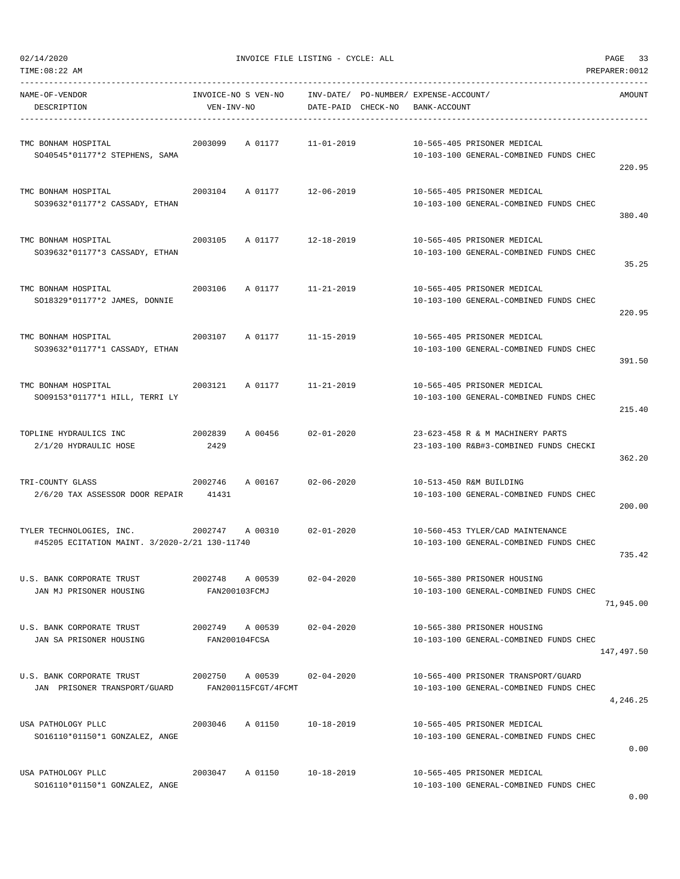| TIME:08:22 AM                                                                                        |                                           |                    |                                                                               | PREPARER: 0012 |
|------------------------------------------------------------------------------------------------------|-------------------------------------------|--------------------|-------------------------------------------------------------------------------|----------------|
| NAME-OF-VENDOR<br>DESCRIPTION                                                                        | INVOICE-NO S VEN-NO<br>VEN-INV-NO         | DATE-PAID CHECK-NO | INV-DATE/ PO-NUMBER/ EXPENSE-ACCOUNT/<br>BANK-ACCOUNT                         | AMOUNT         |
| TMC BONHAM HOSPITAL<br>SO40545*01177*2 STEPHENS, SAMA                                                | 2003099<br>A 01177 11-01-2019             |                    | 10-565-405 PRISONER MEDICAL<br>10-103-100 GENERAL-COMBINED FUNDS CHEC         | 220.95         |
| TMC BONHAM HOSPITAL<br>SO39632*01177*2 CASSADY, ETHAN                                                | 2003104 A 01177 12-06-2019                |                    | 10-565-405 PRISONER MEDICAL<br>10-103-100 GENERAL-COMBINED FUNDS CHEC         | 380.40         |
| TMC BONHAM HOSPITAL<br>S039632*01177*3 CASSADY, ETHAN                                                | 2003105 A 01177 12-18-2019                |                    | 10-565-405 PRISONER MEDICAL<br>10-103-100 GENERAL-COMBINED FUNDS CHEC         | 35.25          |
| TMC BONHAM HOSPITAL<br>SO18329*01177*2 JAMES, DONNIE                                                 | 2003106<br>A 01177 11-21-2019             |                    | 10-565-405 PRISONER MEDICAL<br>10-103-100 GENERAL-COMBINED FUNDS CHEC         | 220.95         |
| TMC BONHAM HOSPITAL<br>S039632*01177*1 CASSADY, ETHAN                                                | 2003107<br>A 01177                        | 11-15-2019         | 10-565-405 PRISONER MEDICAL<br>10-103-100 GENERAL-COMBINED FUNDS CHEC         | 391.50         |
| TMC BONHAM HOSPITAL<br>SO09153*01177*1 HILL, TERRI LY                                                | 2003121 A 01177                           | 11-21-2019         | 10-565-405 PRISONER MEDICAL<br>10-103-100 GENERAL-COMBINED FUNDS CHEC         | 215.40         |
| TOPLINE HYDRAULICS INC<br>2/1/20 HYDRAULIC HOSE                                                      | 2002839<br>A 00456<br>2429                | 02-01-2020         | 23-623-458 R & M MACHINERY PARTS<br>23-103-100 R&B#3-COMBINED FUNDS CHECKI    | 362.20         |
| TRI-COUNTY GLASS<br>2/6/20 TAX ASSESSOR DOOR REPAIR 41431                                            | 2002746<br>A 00167                        | $02 - 06 - 2020$   | 10-513-450 R&M BUILDING<br>10-103-100 GENERAL-COMBINED FUNDS CHEC             | 200.00         |
| TYLER TECHNOLOGIES, INC. 2002747 A 00310 02-01-2020<br>#45205 ECITATION MAINT. 3/2020-2/21 130-11740 |                                           |                    | 10-560-453 TYLER/CAD MAINTENANCE<br>10-103-100 GENERAL-COMBINED FUNDS CHEC    | 735.42         |
| U.S. BANK CORPORATE TRUST<br>JAN MJ PRISONER HOUSING                                                 | 2002748 A 00539<br>FAN200103FCMJ          | $02 - 04 - 2020$   | 10-565-380 PRISONER HOUSING<br>10-103-100 GENERAL-COMBINED FUNDS CHEC         | 71,945.00      |
| U.S. BANK CORPORATE TRUST<br>JAN SA PRISONER HOUSING                                                 | 2002749 A 00539<br>FAN200104FCSA          | 02-04-2020         | 10-565-380 PRISONER HOUSING<br>10-103-100 GENERAL-COMBINED FUNDS CHEC         | 147,497.50     |
| U.S. BANK CORPORATE TRUST<br>JAN PRISONER TRANSPORT/GUARD                                            | 2002750<br>A 00539<br>FAN200115FCGT/4FCMT | $02 - 04 - 2020$   | 10-565-400 PRISONER TRANSPORT/GUARD<br>10-103-100 GENERAL-COMBINED FUNDS CHEC | 4,246.25       |
| USA PATHOLOGY PLLC<br>SO16110*01150*1 GONZALEZ, ANGE                                                 | 2003046<br>A 01150                        | 10-18-2019         | 10-565-405 PRISONER MEDICAL<br>10-103-100 GENERAL-COMBINED FUNDS CHEC         | 0.00           |
| USA PATHOLOGY PLLC<br>SO16110*01150*1 GONZALEZ, ANGE                                                 | 2003047<br>A 01150                        | $10 - 18 - 2019$   | 10-565-405 PRISONER MEDICAL<br>10-103-100 GENERAL-COMBINED FUNDS CHEC         |                |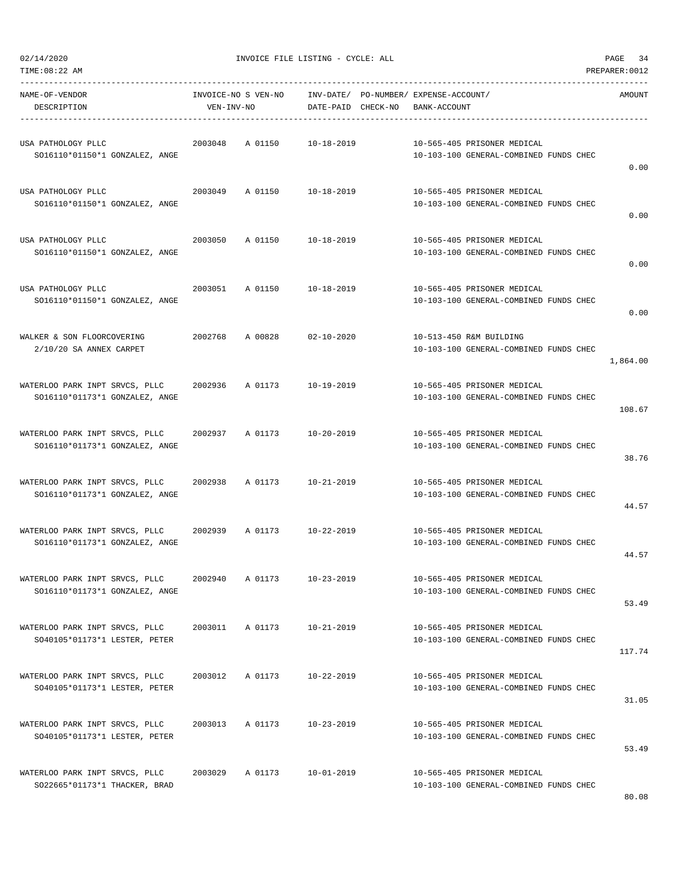| NAME-OF-VENDOR<br>DESCRIPTION                                    | VEN-INV-NO | INVOICE-NO S VEN-NO | DATE-PAID CHECK-NO | INV-DATE/ PO-NUMBER/ EXPENSE-ACCOUNT/<br>BANK-ACCOUNT |                                                                       | AMOUNT   |
|------------------------------------------------------------------|------------|---------------------|--------------------|-------------------------------------------------------|-----------------------------------------------------------------------|----------|
| USA PATHOLOGY PLLC<br>SO16110*01150*1 GONZALEZ, ANGE             | 2003048    | A 01150             | 10-18-2019         |                                                       | 10-565-405 PRISONER MEDICAL<br>10-103-100 GENERAL-COMBINED FUNDS CHEC | 0.00     |
| USA PATHOLOGY PLLC<br>SO16110*01150*1 GONZALEZ, ANGE             | 2003049    | A 01150             | $10 - 18 - 2019$   |                                                       | 10-565-405 PRISONER MEDICAL<br>10-103-100 GENERAL-COMBINED FUNDS CHEC | 0.00     |
| USA PATHOLOGY PLLC<br>SO16110*01150*1 GONZALEZ, ANGE             | 2003050    | A 01150             | 10-18-2019         |                                                       | 10-565-405 PRISONER MEDICAL<br>10-103-100 GENERAL-COMBINED FUNDS CHEC | 0.00     |
| USA PATHOLOGY PLLC<br>SO16110*01150*1 GONZALEZ, ANGE             | 2003051    | A 01150             | 10-18-2019         |                                                       | 10-565-405 PRISONER MEDICAL<br>10-103-100 GENERAL-COMBINED FUNDS CHEC | 0.00     |
| WALKER & SON FLOORCOVERING<br>2/10/20 SA ANNEX CARPET            | 2002768    | A 00828             | $02 - 10 - 2020$   |                                                       | 10-513-450 R&M BUILDING<br>10-103-100 GENERAL-COMBINED FUNDS CHEC     | 1,864.00 |
| WATERLOO PARK INPT SRVCS, PLLC<br>SO16110*01173*1 GONZALEZ, ANGE | 2002936    | A 01173             | $10 - 19 - 2019$   |                                                       | 10-565-405 PRISONER MEDICAL<br>10-103-100 GENERAL-COMBINED FUNDS CHEC | 108.67   |
| WATERLOO PARK INPT SRVCS, PLLC<br>SO16110*01173*1 GONZALEZ, ANGE | 2002937    | A 01173             | 10-20-2019         |                                                       | 10-565-405 PRISONER MEDICAL<br>10-103-100 GENERAL-COMBINED FUNDS CHEC | 38.76    |
| WATERLOO PARK INPT SRVCS, PLLC<br>SO16110*01173*1 GONZALEZ, ANGE | 2002938    | A 01173             | 10-21-2019         |                                                       | 10-565-405 PRISONER MEDICAL<br>10-103-100 GENERAL-COMBINED FUNDS CHEC | 44.57    |
| WATERLOO PARK INPT SRVCS, PLLC<br>SO16110*01173*1 GONZALEZ, ANGE | 2002939    | A 01173             | 10-22-2019         |                                                       | 10-565-405 PRISONER MEDICAL<br>10-103-100 GENERAL-COMBINED FUNDS CHEC | 44.57    |
| WATERLOO PARK INPT SRVCS, PLLC<br>SO16110*01173*1 GONZALEZ, ANGE | 2002940    | A 01173             | $10 - 23 - 2019$   |                                                       | 10-565-405 PRISONER MEDICAL<br>10-103-100 GENERAL-COMBINED FUNDS CHEC | 53.49    |
| WATERLOO PARK INPT SRVCS, PLLC<br>SO40105*01173*1 LESTER, PETER  | 2003011    | A 01173             | $10 - 21 - 2019$   |                                                       | 10-565-405 PRISONER MEDICAL<br>10-103-100 GENERAL-COMBINED FUNDS CHEC | 117.74   |
| WATERLOO PARK INPT SRVCS, PLLC<br>SO40105*01173*1 LESTER, PETER  | 2003012    | A 01173             | $10 - 22 - 2019$   |                                                       | 10-565-405 PRISONER MEDICAL<br>10-103-100 GENERAL-COMBINED FUNDS CHEC | 31.05    |
| WATERLOO PARK INPT SRVCS, PLLC<br>SO40105*01173*1 LESTER, PETER  | 2003013    | A 01173             | $10 - 23 - 2019$   |                                                       | 10-565-405 PRISONER MEDICAL<br>10-103-100 GENERAL-COMBINED FUNDS CHEC | 53.49    |
| WATERLOO PARK INPT SRVCS, PLLC<br>SO22665*01173*1 THACKER, BRAD  | 2003029    | A 01173             | $10 - 01 - 2019$   |                                                       | 10-565-405 PRISONER MEDICAL<br>10-103-100 GENERAL-COMBINED FUNDS CHEC |          |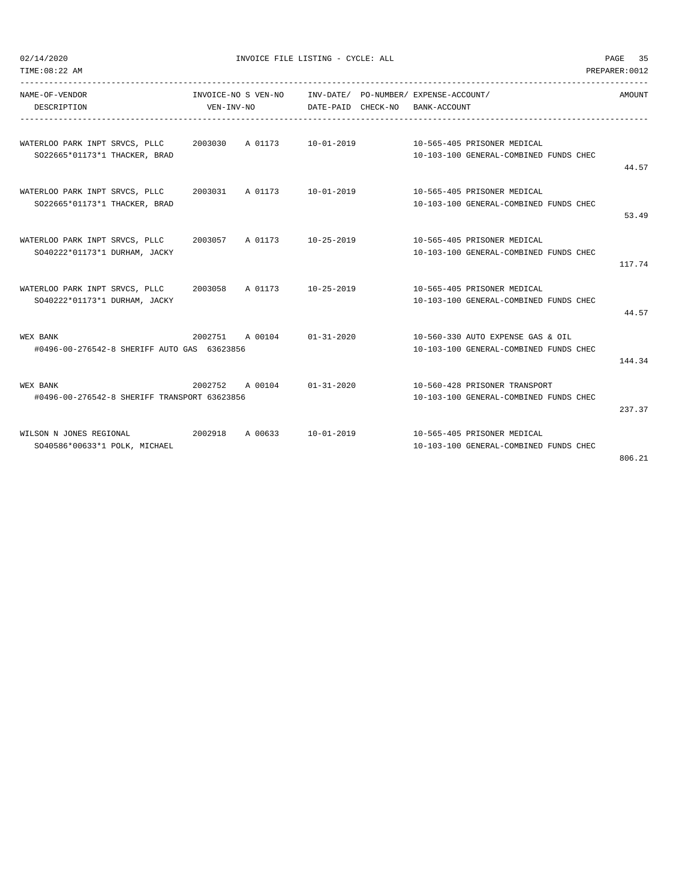| TIME: 08:22 AM                                                                        |            |         |                            |                                                           | PREPARER: 0012 |
|---------------------------------------------------------------------------------------|------------|---------|----------------------------|-----------------------------------------------------------|----------------|
| NAME-OF-VENDOR                                                                        |            |         |                            | INVOICE-NO S VEN-NO INV-DATE/ PO-NUMBER/ EXPENSE-ACCOUNT/ | AMOUNT         |
| DESCRIPTION                                                                           | VEN-INV-NO |         | DATE-PAID CHECK-NO         | BANK-ACCOUNT                                              |                |
| WATERLOO PARK INPT SRVCS, PLLC 2003030 A 01173 10-01-2019 10-565-405 PRISONER MEDICAL |            |         |                            |                                                           |                |
| SO22665*01173*1 THACKER, BRAD                                                         |            |         |                            | 10-103-100 GENERAL-COMBINED FUNDS CHEC                    |                |
|                                                                                       |            |         |                            |                                                           | 44.57          |
| WATERLOO PARK INPT SRVCS, PLLC 		 2003031 		 A 01173 		 10-01-2019                    |            |         |                            | 10-565-405 PRISONER MEDICAL                               |                |
| SO22665*01173*1 THACKER, BRAD                                                         |            |         |                            | 10-103-100 GENERAL-COMBINED FUNDS CHEC                    |                |
|                                                                                       |            |         |                            |                                                           | 53.49          |
| WATERLOO PARK INPT SRVCS, PLLC 2003057 A 01173 10-25-2019                             |            |         |                            | 10-565-405 PRISONER MEDICAL                               |                |
| SO40222*01173*1 DURHAM, JACKY                                                         |            |         |                            | 10-103-100 GENERAL-COMBINED FUNDS CHEC                    |                |
|                                                                                       |            |         |                            |                                                           | 117.74         |
| WATERLOO PARK INPT SRVCS, PLLC 2003058 A 01173 10-25-2019                             |            |         |                            | 10-565-405 PRISONER MEDICAL                               |                |
| SO40222*01173*1 DURHAM, JACKY                                                         |            |         |                            | 10-103-100 GENERAL-COMBINED FUNDS CHEC                    |                |
|                                                                                       |            |         |                            |                                                           | 44.57          |
| WEX BANK                                                                              |            |         | 2002751 A 00104 01-31-2020 | 10-560-330 AUTO EXPENSE GAS & OIL                         |                |
| #0496-00-276542-8 SHERIFF AUTO GAS 63623856                                           |            |         |                            | 10-103-100 GENERAL-COMBINED FUNDS CHEC                    |                |
|                                                                                       |            |         |                            |                                                           | 144.34         |
| WEX BANK                                                                              |            |         | 2002752 A 00104 01-31-2020 | 10-560-428 PRISONER TRANSPORT                             |                |
| #0496-00-276542-8 SHERIFF TRANSPORT 63623856                                          |            |         |                            | 10-103-100 GENERAL-COMBINED FUNDS CHEC                    |                |
|                                                                                       |            |         |                            |                                                           | 237.37         |
| WILSON N JONES REGIONAL                                                               | 2002918    | A 00633 | 10-01-2019                 | 10-565-405 PRISONER MEDICAL                               |                |
| SO40586*00633*1 POLK, MICHAEL                                                         |            |         |                            | 10-103-100 GENERAL-COMBINED FUNDS CHEC                    |                |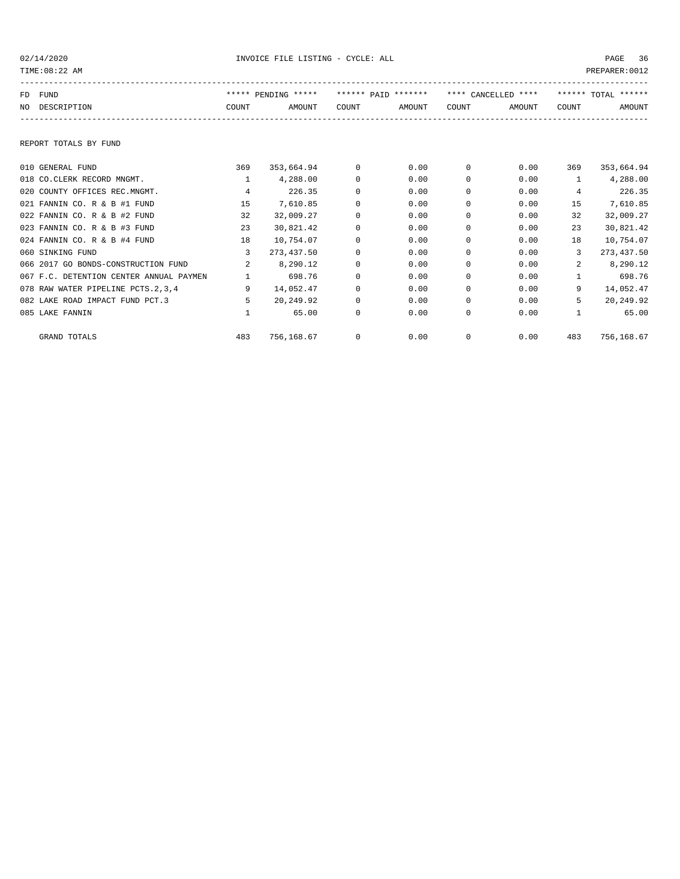| TIME: 08:22 AM                          |                |                     |            |                     |          |                     |              | PREPARER: 0012      |
|-----------------------------------------|----------------|---------------------|------------|---------------------|----------|---------------------|--------------|---------------------|
| FUND<br>FD.                             |                | ***** PENDING ***** |            | ****** PAID ******* |          | **** CANCELLED **** |              | ****** TOTAL ****** |
| NO DESCRIPTION                          | COUNT          | AMOUNT              | COUNT      | AMOUNT              | COUNT    | AMOUNT              | COUNT        | AMOUNT              |
| REPORT TOTALS BY FUND                   |                |                     |            |                     |          |                     |              |                     |
| 010 GENERAL FUND                        | 369            | 353,664.94          | $^{\circ}$ | 0.00                | 0        | 0.00                | 369          | 353,664.94          |
| 018 CO.CLERK RECORD MNGMT.              | $\mathbf{1}$   | 4,288.00            | 0          | 0.00                | $\Omega$ | 0.00                | $\mathbf{1}$ | 4,288.00            |
| 020 COUNTY OFFICES REC.MNGMT.           | $\overline{4}$ | 226.35              | $\Omega$   | 0.00                | $\Omega$ | 0.00                | 4            | 226.35              |
| 021 FANNIN CO. R & B #1 FUND            | 15             | 7,610.85            | $\Omega$   | 0.00                | $\Omega$ | 0.00                | 15           | 7,610.85            |
| 022 FANNIN CO. R & B #2 FUND            | 32             | 32,009.27           | $\Omega$   | 0.00                | $\Omega$ | 0.00                | 32           | 32,009.27           |
| 023 FANNIN CO. R & B #3 FUND            | 23             | 30,821.42           | 0          | 0.00                | $\Omega$ | 0.00                | 23           | 30,821.42           |
| 024 FANNIN CO. R & B #4 FUND            | 18             | 10,754.07           | 0          | 0.00                | $\Omega$ | 0.00                | 18           | 10,754.07           |
| 060 SINKING FUND                        | 3              | 273, 437.50         | 0          | 0.00                | 0        | 0.00                | 3            | 273, 437.50         |
| 066 2017 GO BONDS-CONSTRUCTION FUND     | 2              | 8,290.12            | 0          | 0.00                | 0        | 0.00                | 2            | 8,290.12            |
| 067 F.C. DETENTION CENTER ANNUAL PAYMEN | $\mathbf{1}$   | 698.76              | $\Omega$   | 0.00                | $\Omega$ | 0.00                | $\mathbf{1}$ | 698.76              |
| 078 RAW WATER PIPELINE PCTS.2,3,4       | 9              | 14,052.47           | $\Omega$   | 0.00                | $\Omega$ | 0.00                | 9            | 14,052.47           |
| 082 LAKE ROAD IMPACT FUND PCT.3         | 5              | 20,249.92           | 0          | 0.00                | 0        | 0.00                | 5            | 20,249.92           |
| 085 LAKE FANNIN                         | $\mathbf{1}$   | 65.00               | 0          | 0.00                | 0        | 0.00                | $\mathbf{1}$ | 65.00               |
| GRAND TOTALS                            | 483            | 756,168.67          | 0          | 0.00                | $\Omega$ | 0.00                | 483          | 756,168.67          |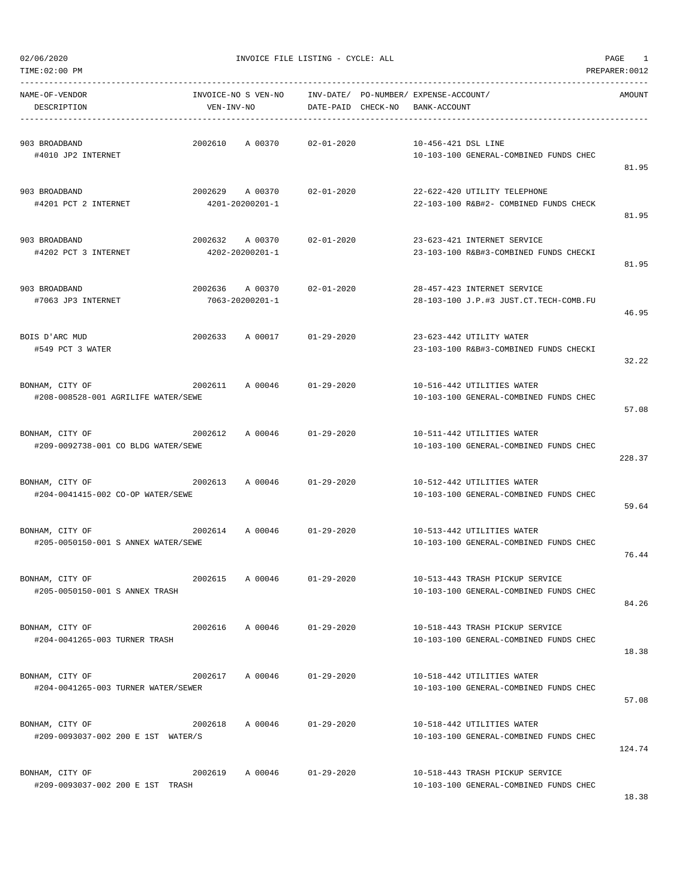TIME:02:00 PM PREPARER:0012

### 02/06/2020 INVOICE FILE LISTING - CYCLE: ALL PAGE 1

| NAME-OF-VENDOR<br>DESCRIPTION                                                        | VEN-INV-NO      | INVOICE-NO S VEN-NO INV-DATE/ PO-NUMBER/ EXPENSE-ACCOUNT/ | DATE-PAID CHECK-NO | BANK-ACCOUNT        |                                                                           | AMOUNT |
|--------------------------------------------------------------------------------------|-----------------|-----------------------------------------------------------|--------------------|---------------------|---------------------------------------------------------------------------|--------|
| 903 BROADBAND<br>#4010 JP2 INTERNET                                                  |                 | 2002610 A 00370 02-01-2020                                |                    | 10-456-421 DSL LINE | 10-103-100 GENERAL-COMBINED FUNDS CHEC                                    | 81.95  |
| 903 BROADBAND<br>#4201 PCT 2 INTERNET                                                | 4201-20200201-1 | 2002629 A 00370                                           | $02 - 01 - 2020$   |                     | 22-622-420 UTILITY TELEPHONE<br>22-103-100 R&B#2- COMBINED FUNDS CHECK    | 81.95  |
| 903 BROADBAND<br>#4202 PCT 3 INTERNET                                                | 4202-20200201-1 | 2002632 A 00370 02-01-2020                                |                    |                     | 23-623-421 INTERNET SERVICE<br>23-103-100 R&B#3-COMBINED FUNDS CHECKI     | 81.95  |
| 903 BROADBAND<br>#7063 JP3 INTERNET                                                  |                 | 2002636 A 00370<br>7063-20200201-1                        | $02 - 01 - 2020$   |                     | 28-457-423 INTERNET SERVICE<br>28-103-100 J.P.#3 JUST.CT.TECH-COMB.FU     | 46.95  |
| BOIS D'ARC MUD<br>#549 PCT 3 WATER                                                   |                 | 2002633 A 00017 01-29-2020                                |                    |                     | 23-623-442 UTILITY WATER<br>23-103-100 R&B#3-COMBINED FUNDS CHECKI        | 32.22  |
| BONHAM, CITY OF<br>#208-008528-001 AGRILIFE WATER/SEWE                               |                 | 2002611       A  00046            01-29-2020              |                    |                     | 10-516-442 UTILITIES WATER<br>10-103-100 GENERAL-COMBINED FUNDS CHEC      | 57.08  |
| BONHAM, CITY OF<br>#209-0092738-001 CO BLDG WATER/SEWE                               |                 | 2002612 A 00046 01-29-2020                                |                    |                     | 10-511-442 UTILITIES WATER<br>10-103-100 GENERAL-COMBINED FUNDS CHEC      | 228.37 |
| $2002613$ A 00046 01-29-2020<br>BONHAM, CITY OF<br>#204-0041415-002 CO-OP WATER/SEWE |                 |                                                           |                    |                     | 10-512-442 UTILITIES WATER<br>10-103-100 GENERAL-COMBINED FUNDS CHEC      | 59.64  |
| BONHAM, CITY OF<br>#205-0050150-001 S ANNEX WATER/SEWE                               |                 | 2002614 A 00046 01-29-2020                                |                    |                     | 10-513-442 UTILITIES WATER<br>10-103-100 GENERAL-COMBINED FUNDS CHEC      | 76.44  |
| BONHAM, CITY OF<br>#205-0050150-001 S ANNEX TRASH                                    | 2002615         | A 00046                                                   | $01 - 29 - 2020$   |                     | 10-513-443 TRASH PICKUP SERVICE<br>10-103-100 GENERAL-COMBINED FUNDS CHEC | 84.26  |
| BONHAM, CITY OF<br>#204-0041265-003 TURNER TRASH                                     |                 | 2002616 A 00046 01-29-2020                                |                    |                     | 10-518-443 TRASH PICKUP SERVICE<br>10-103-100 GENERAL-COMBINED FUNDS CHEC | 18.38  |
| BONHAM, CITY OF<br>#204-0041265-003 TURNER WATER/SEWER                               |                 | 2002617 A 00046                                           | $01 - 29 - 2020$   |                     | 10-518-442 UTILITIES WATER<br>10-103-100 GENERAL-COMBINED FUNDS CHEC      | 57.08  |
| BONHAM, CITY OF<br>#209-0093037-002 200 E 1ST WATER/S                                | 2002618 A 00046 |                                                           | $01 - 29 - 2020$   |                     | 10-518-442 UTILITIES WATER<br>10-103-100 GENERAL-COMBINED FUNDS CHEC      | 124.74 |
| BONHAM, CITY OF<br>#209-0093037-002 200 E 1ST TRASH                                  |                 | 2002619 A 00046 01-29-2020                                |                    |                     | 10-518-443 TRASH PICKUP SERVICE<br>10-103-100 GENERAL-COMBINED FUNDS CHEC |        |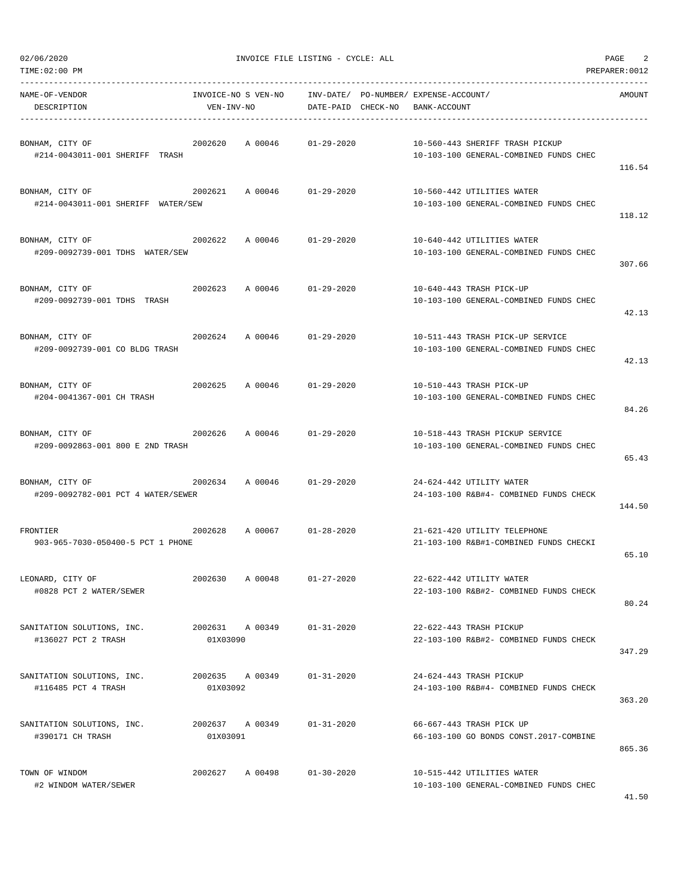| TIME:02:00 PM                                                                       |                             |                            |                    |                                                                           |                                                                            | PREPARER: 0012 |
|-------------------------------------------------------------------------------------|-----------------------------|----------------------------|--------------------|---------------------------------------------------------------------------|----------------------------------------------------------------------------|----------------|
| NAME-OF-VENDOR<br>DESCRIPTION                                                       | VEN-INV-NO                  |                            | DATE-PAID CHECK-NO | INVOICE-NO S VEN-NO INV-DATE/ PO-NUMBER/ EXPENSE-ACCOUNT/<br>BANK-ACCOUNT |                                                                            | AMOUNT         |
| BONHAM, CITY OF<br>#214-0043011-001 SHERIFF TRASH                                   | 2002620                     | A 00046                    | 01-29-2020         |                                                                           | 10-560-443 SHERIFF TRASH PICKUP<br>10-103-100 GENERAL-COMBINED FUNDS CHEC  | 116.54         |
| BONHAM, CITY OF<br>#214-0043011-001 SHERIFF WATER/SEW                               | 2002621 A 00046 01-29-2020  |                            |                    |                                                                           | 10-560-442 UTILITIES WATER<br>10-103-100 GENERAL-COMBINED FUNDS CHEC       | 118.12         |
| BONHAM, CITY OF<br>#209-0092739-001 TDHS WATER/SEW                                  | 2002622                     | A 00046 01-29-2020         |                    |                                                                           | 10-640-442 UTILITIES WATER<br>10-103-100 GENERAL-COMBINED FUNDS CHEC       | 307.66         |
| BONHAM, CITY OF<br>#209-0092739-001 TDHS TRASH                                      | 2002623                     | A 00046 01-29-2020         |                    |                                                                           | 10-640-443 TRASH PICK-UP<br>10-103-100 GENERAL-COMBINED FUNDS CHEC         | 42.13          |
| BONHAM, CITY OF<br>#209-0092739-001 CO BLDG TRASH                                   | 2002624 A 00046 01-29-2020  |                            |                    |                                                                           | 10-511-443 TRASH PICK-UP SERVICE<br>10-103-100 GENERAL-COMBINED FUNDS CHEC | 42.13          |
| BONHAM, CITY OF<br>#204-0041367-001 CH TRASH                                        |                             | 2002625 A 00046 01-29-2020 |                    |                                                                           | 10-510-443 TRASH PICK-UP<br>10-103-100 GENERAL-COMBINED FUNDS CHEC         | 84.26          |
| BONHAM, CITY OF<br>#209-0092863-001 800 E 2ND TRASH                                 | 2002626                     | A 00046 01-29-2020         |                    |                                                                           | 10-518-443 TRASH PICKUP SERVICE<br>10-103-100 GENERAL-COMBINED FUNDS CHEC  | 65.43          |
| 2002634 A 00046 01-29-2020<br>BONHAM, CITY OF<br>#209-0092782-001 PCT 4 WATER/SEWER |                             |                            |                    |                                                                           | 24-624-442 UTILITY WATER<br>24-103-100 R&B#4- COMBINED FUNDS CHECK         | 144.50         |
| FRONTIER<br>903-965-7030-050400-5 PCT 1 PHONE                                       |                             | 2002628 A 00067 01-28-2020 |                    |                                                                           | 21-621-420 UTILITY TELEPHONE<br>21-103-100 R&B#1-COMBINED FUNDS CHECKI     | 65.10          |
| LEONARD, CITY OF<br>#0828 PCT 2 WATER/SEWER                                         | 2002630                     | A 00048                    | $01 - 27 - 2020$   |                                                                           | 22-622-442 UTILITY WATER<br>22-103-100 R&B#2- COMBINED FUNDS CHECK         | 80.24          |
| SANITATION SOLUTIONS, INC.<br>#136027 PCT 2 TRASH                                   | 2002631 A 00349<br>01X03090 |                            | $01 - 31 - 2020$   |                                                                           | 22-622-443 TRASH PICKUP<br>22-103-100 R&B#2- COMBINED FUNDS CHECK          | 347.29         |
| SANITATION SOLUTIONS, INC.<br>#116485 PCT 4 TRASH                                   | 2002635 A 00349<br>01X03092 |                            | $01 - 31 - 2020$   |                                                                           | 24-624-443 TRASH PICKUP<br>24-103-100 R&B#4- COMBINED FUNDS CHECK          | 363.20         |
| SANITATION SOLUTIONS, INC.<br>#390171 CH TRASH                                      | 2002637 A 00349<br>01X03091 |                            | $01 - 31 - 2020$   |                                                                           | 66-667-443 TRASH PICK UP<br>66-103-100 GO BONDS CONST.2017-COMBINE         | 865.36         |
| TOWN OF WINDOM<br>#2 WINDOM WATER/SEWER                                             | 2002627 A 00498             |                            | $01 - 30 - 2020$   |                                                                           | 10-515-442 UTILITIES WATER<br>10-103-100 GENERAL-COMBINED FUNDS CHEC       |                |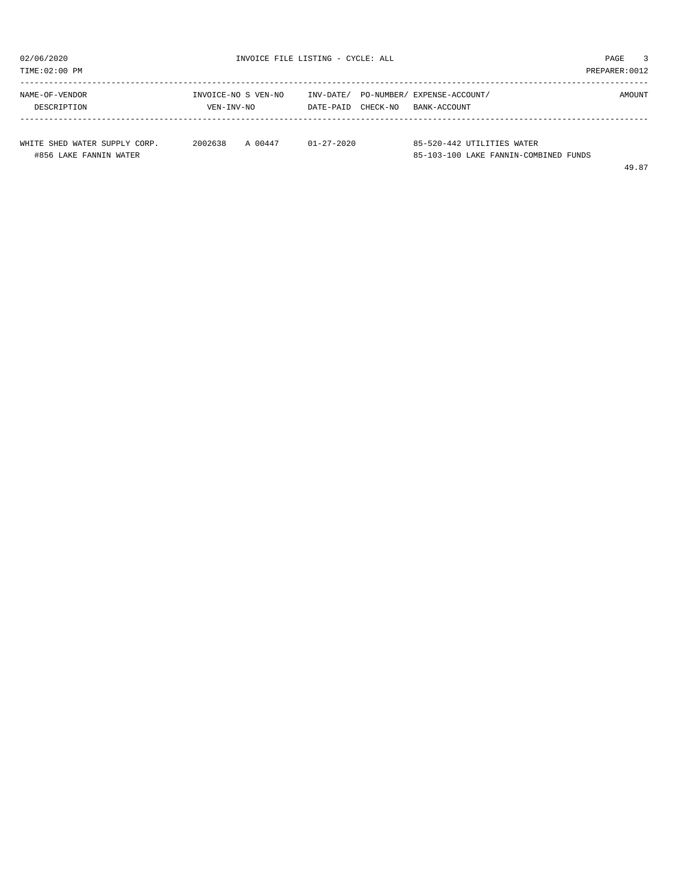| TIME:02:00 PM                                           |                                   |                                    | PREPARER: 0012                                                      |  |
|---------------------------------------------------------|-----------------------------------|------------------------------------|---------------------------------------------------------------------|--|
| NAME-OF-VENDOR<br>DESCRIPTION                           | INVOICE-NO S VEN-NO<br>VEN-INV-NO | INV-DATE/<br>CHECK-NO<br>DATE-PAID | PO-NUMBER/ EXPENSE-ACCOUNT/<br>AMOUNT<br>BANK-ACCOUNT               |  |
| WHITE SHED WATER SUPPLY CORP.<br>#856 LAKE FANNIN WATER | 2002638<br>A 00447                | $01 - 27 - 2020$                   | 85-520-442 UTILITIES WATER<br>85-103-100 LAKE FANNIN-COMBINED FUNDS |  |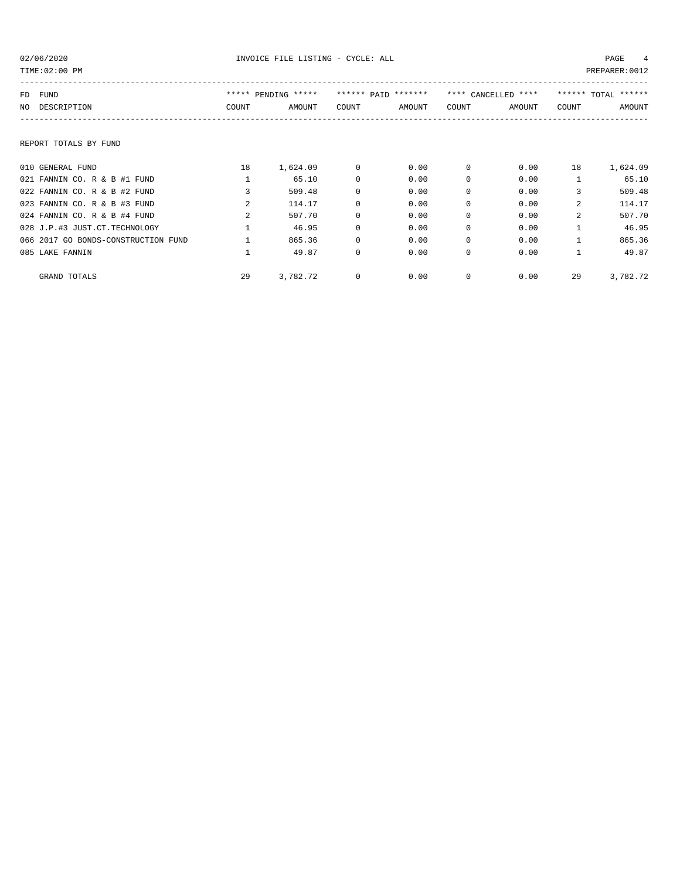| TIME:02:00 PM<br>PREPARER: 0012     |                |                     |          |                     |             |                     |              |                     |
|-------------------------------------|----------------|---------------------|----------|---------------------|-------------|---------------------|--------------|---------------------|
| FD FUND                             |                | ***** PENDING ***** |          | ****** PAID ******* |             | **** CANCELLED **** |              | ****** TOTAL ****** |
| NO DESCRIPTION                      | COUNT          | AMOUNT              | COUNT    | AMOUNT              | COUNT       | AMOUNT              | COUNT        | <b>AMOUNT</b>       |
| REPORT TOTALS BY FUND               |                |                     |          |                     |             |                     |              |                     |
| 010 GENERAL FUND                    | 18             | 1,624.09            | 0        | 0.00                | $\mathbf 0$ | 0.00                | 18           | 1,624.09            |
| 021 FANNIN CO. R & B #1 FUND        |                | 65.10               | 0        | 0.00                | $\Omega$    | 0.00                |              | 65.10               |
| 022 FANNIN CO. R & B #2 FUND        | 3              | 509.48              | $\Omega$ | 0.00                | $\Omega$    | 0.00                | 3            | 509.48              |
| 023 FANNIN CO. R & B #3 FUND        | $\mathcal{L}$  | 114.17              | 0        | 0.00                | $\Omega$    | 0.00                | $\mathbf{2}$ | 114.17              |
| 024 FANNIN CO. R & B #4 FUND        | $\mathfrak{D}$ | 507.70              | $\Omega$ | 0.00                | $\Omega$    | 0.00                | $\mathbf{2}$ | 507.70              |
| 028 J.P.#3 JUST.CT.TECHNOLOGY       |                | 46.95               | 0        | 0.00                | $\mathbf 0$ | 0.00                |              | 46.95               |
| 066 2017 GO BONDS-CONSTRUCTION FUND |                | 865.36              | 0        | 0.00                | $\Omega$    | 0.00                |              | 865.36              |
| 085 LAKE FANNIN                     |                | 49.87               | 0        | 0.00                | $\mathbf 0$ | 0.00                |              | 49.87               |
| GRAND TOTALS                        | 29             | 3,782.72            | 0        | 0.00                | 0           | 0.00                | 29           | 3,782.72            |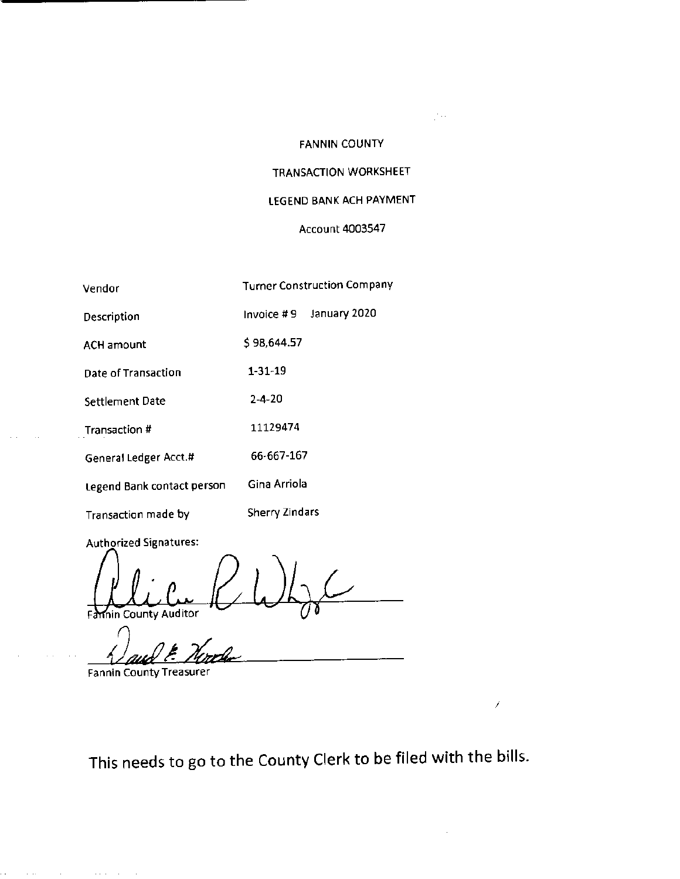# FANNIN COUNTY

 $\mathbb{Z}^{n+1}$ 

Í

# TRANSACTION WORKSHEET

# LEGEND BANK ACH PAYMENT

## Account 4003547

| Vendor                     | <b>Turner Construction Company</b> |
|----------------------------|------------------------------------|
| Description                | January 2020<br>Invoice #9         |
| ACH amount                 | \$98,644.57                        |
| Date of Transaction        | $1 - 31 - 19$                      |
| <b>Settlement Date</b>     | $2 - 4 - 20$                       |
| Transaction #              | 11129474                           |
| General Ledger Acct.#      | 66-667-167                         |
| Legend Bank contact person | Gina Arriola                       |
| Transaction made by        | Sherry Zindars                     |

Authorized Signatures:

 $\sim 10$ 

Farnin County Auditor

Fannin County Treasurer

 $\mathcal{L}_{\mathcal{A}}$  is the contribution of the contribution of the contribution of  $\mathcal{A}$ 

This needs to go to the County Clerk to be filed with the bills.